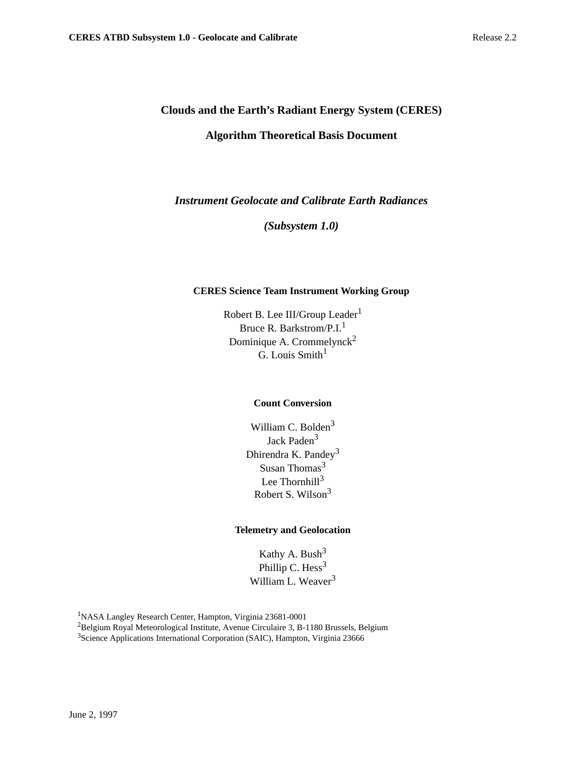# **Clouds and the Earth's Radiant Energy System (CERES) Algorithm Theoretical Basis Document**

*Instrument Geolocate and Calibrate Earth Radiances*

*(Subsystem 1.0)*

# **CERES Science Team Instrument Working Group**

Robert B. Lee III/Group Leader<sup>1</sup> Bruce R. Barkstrom/P.I.<sup>1</sup> Dominique A. Crommelynck<sup>2</sup>  $\tilde{G}$  Louis Smith<sup>1</sup>

# **Count Conversion**

William C. Bolden<sup>3</sup> Jack Paden<sup>3</sup> Dhirendra K. Pandey<sup>3</sup> Susan Thomas<sup>3</sup> Lee Thornhill $3$ Robert S. Wilson3

# **Telemetry and Geolocation**

Kathy A. Bush<sup>3</sup> Phillip C.  $Hess<sup>3</sup>$ William L. Weaver<sup>3</sup>

1 NASA Langley Research Center, Hampton, Virginia 23681-0001

2Belgium Royal Meteorological Institute, Avenue Circulaire 3, B-1180 Brussels, Belgium <sup>3</sup>Science Applications International Corporation (SAIC), Hampton, Virginia 23666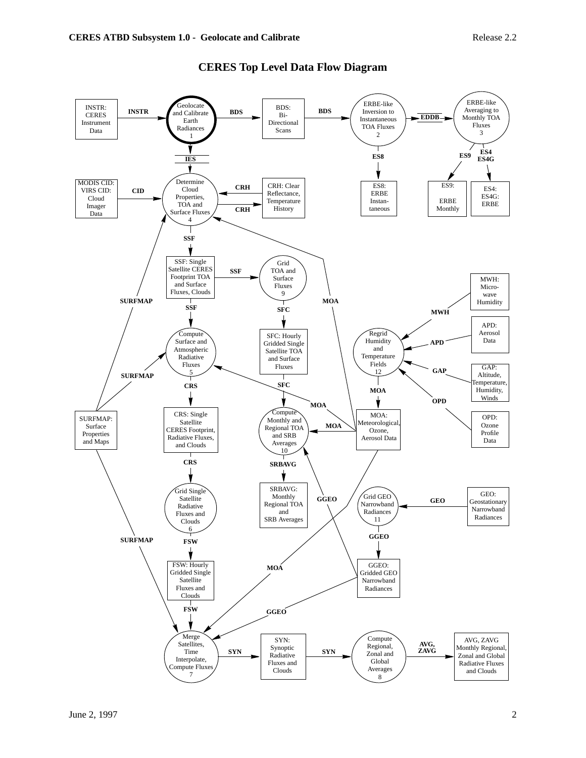

# **CERES Top Level Data Flow Diagram**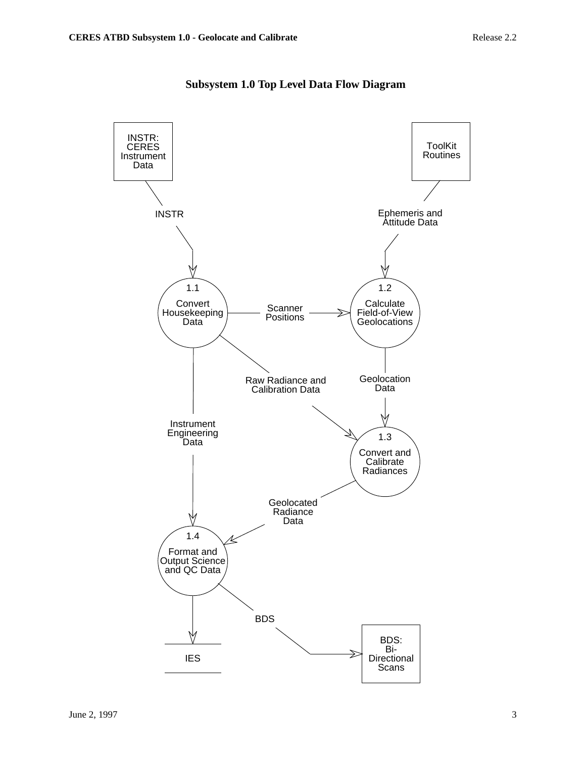

# **Subsystem 1.0 Top Level Data Flow Diagram**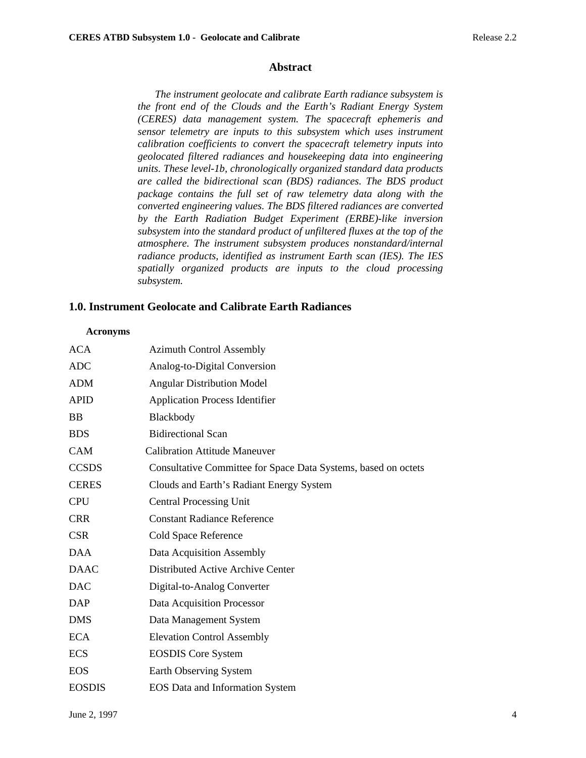# **Abstract**

*The instrument geolocate and calibrate Earth radiance subsystem is the front end of the Clouds and the Earth's Radiant Energy System (CERES) data management system. The spacecraft ephemeris and sensor telemetry are inputs to this subsystem which uses instrument calibration coefficients to convert the spacecraft telemetry inputs into geolocated filtered radiances and housekeeping data into engineering units. These level-1b, chronologically organized standard data products are called the bidirectional scan (BDS) radiances. The BDS product package contains the full set of raw telemetry data along with the converted engineering values. The BDS filtered radiances are converted by the Earth Radiation Budget Experiment (ERBE)-like inversion subsystem into the standard product of unfiltered fluxes at the top of the atmosphere. The instrument subsystem produces nonstandard/internal radiance products, identified as instrument Earth scan (IES). The IES spatially organized products are inputs to the cloud processing subsystem.*

# **1.0. Instrument Geolocate and Calibrate Earth Radiances**

## **Acronyms**

| <b>ACA</b>    | <b>Azimuth Control Assembly</b>                                |
|---------------|----------------------------------------------------------------|
| <b>ADC</b>    | Analog-to-Digital Conversion                                   |
| <b>ADM</b>    | <b>Angular Distribution Model</b>                              |
| <b>APID</b>   | <b>Application Process Identifier</b>                          |
| <b>BB</b>     | Blackbody                                                      |
| <b>BDS</b>    | <b>Bidirectional Scan</b>                                      |
| <b>CAM</b>    | <b>Calibration Attitude Maneuver</b>                           |
| <b>CCSDS</b>  | Consultative Committee for Space Data Systems, based on octets |
| <b>CERES</b>  | Clouds and Earth's Radiant Energy System                       |
| <b>CPU</b>    | <b>Central Processing Unit</b>                                 |
| <b>CRR</b>    | <b>Constant Radiance Reference</b>                             |
| <b>CSR</b>    | Cold Space Reference                                           |
| <b>DAA</b>    | Data Acquisition Assembly                                      |
| <b>DAAC</b>   | Distributed Active Archive Center                              |
| <b>DAC</b>    | Digital-to-Analog Converter                                    |
| DAP           | Data Acquisition Processor                                     |
| <b>DMS</b>    | Data Management System                                         |
| <b>ECA</b>    | <b>Elevation Control Assembly</b>                              |
| <b>ECS</b>    | <b>EOSDIS</b> Core System                                      |
| <b>EOS</b>    | Earth Observing System                                         |
| <b>EOSDIS</b> | <b>EOS</b> Data and Information System                         |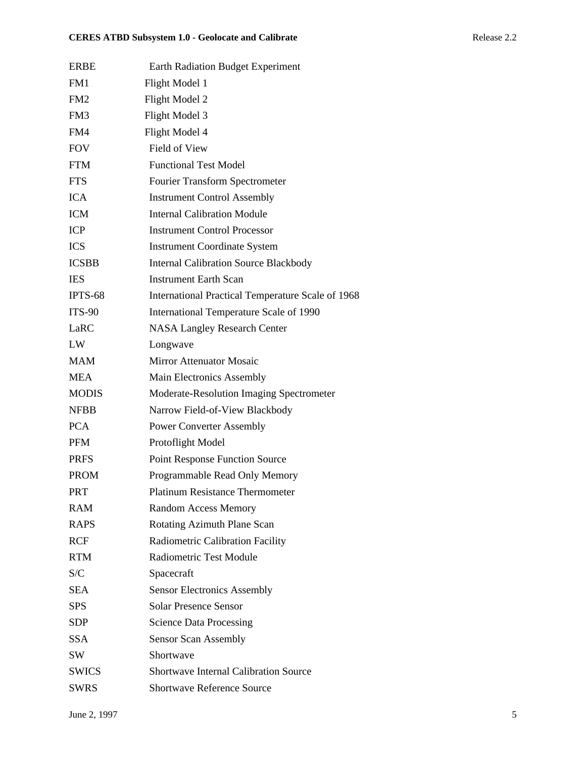| <b>ERBE</b>     | <b>Earth Radiation Budget Experiment</b>          |
|-----------------|---------------------------------------------------|
| FM1             | Flight Model 1                                    |
| FM <sub>2</sub> | Flight Model 2                                    |
| FM3             | Flight Model 3                                    |
| FM4             | Flight Model 4                                    |
| <b>FOV</b>      | Field of View                                     |
| <b>FTM</b>      | <b>Functional Test Model</b>                      |
| <b>FTS</b>      | <b>Fourier Transform Spectrometer</b>             |
| <b>ICA</b>      | <b>Instrument Control Assembly</b>                |
| <b>ICM</b>      | <b>Internal Calibration Module</b>                |
| <b>ICP</b>      | <b>Instrument Control Processor</b>               |
| <b>ICS</b>      | <b>Instrument Coordinate System</b>               |
| <b>ICSBB</b>    | <b>Internal Calibration Source Blackbody</b>      |
| <b>IES</b>      | <b>Instrument Earth Scan</b>                      |
| IPTS-68         | International Practical Temperature Scale of 1968 |
| <b>ITS-90</b>   | International Temperature Scale of 1990           |
| LaRC            | <b>NASA Langley Research Center</b>               |
| LW              | Longwave                                          |
| <b>MAM</b>      | <b>Mirror Attenuator Mosaic</b>                   |
| <b>MEA</b>      | Main Electronics Assembly                         |
| <b>MODIS</b>    | Moderate-Resolution Imaging Spectrometer          |
| <b>NFBB</b>     | Narrow Field-of-View Blackbody                    |
| <b>PCA</b>      | <b>Power Converter Assembly</b>                   |
| <b>PFM</b>      | Protoflight Model                                 |
| <b>PRFS</b>     | <b>Point Response Function Source</b>             |
| <b>PROM</b>     | Programmable Read Only Memory                     |
| <b>PRT</b>      | Platinum Resistance Thermometer                   |
| <b>RAM</b>      | <b>Random Access Memory</b>                       |
| <b>RAPS</b>     | Rotating Azimuth Plane Scan                       |
| <b>RCF</b>      | Radiometric Calibration Facility                  |
| <b>RTM</b>      | Radiometric Test Module                           |
| S/C             | Spacecraft                                        |
| SEA             | <b>Sensor Electronics Assembly</b>                |
| <b>SPS</b>      | <b>Solar Presence Sensor</b>                      |
| <b>SDP</b>      | <b>Science Data Processing</b>                    |
| <b>SSA</b>      | <b>Sensor Scan Assembly</b>                       |
| SW              | Shortwave                                         |
| <b>SWICS</b>    | <b>Shortwave Internal Calibration Source</b>      |
| <b>SWRS</b>     | <b>Shortwave Reference Source</b>                 |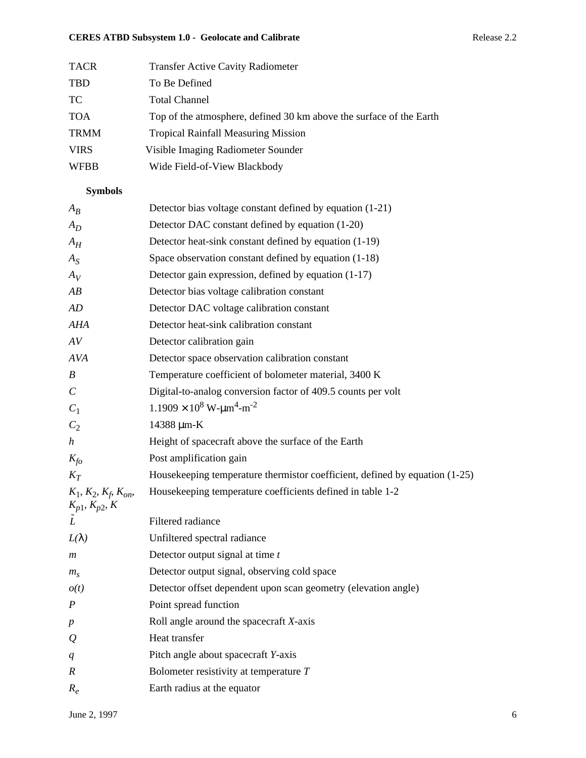# **CERES ATBD Subsystem 1.0 - Geolocate and Calibrate** Release 2.2

| <b>TACR</b> | <b>Transfer Active Cavity Radiometer</b>                            |
|-------------|---------------------------------------------------------------------|
| <b>TBD</b>  | To Be Defined                                                       |
| TC.         | <b>Total Channel</b>                                                |
| <b>TOA</b>  | Top of the atmosphere, defined 30 km above the surface of the Earth |
| <b>TRMM</b> | <b>Tropical Rainfall Measuring Mission</b>                          |
| <b>VIRS</b> | Visible Imaging Radiometer Sounder                                  |
| <b>WFBB</b> | Wide Field-of-View Blackbody                                        |

# **Symbols**

| $A_B$                                           | Detector bias voltage constant defined by equation (1-21)                   |
|-------------------------------------------------|-----------------------------------------------------------------------------|
| $A_D$                                           | Detector DAC constant defined by equation (1-20)                            |
| $A_H$                                           | Detector heat-sink constant defined by equation (1-19)                      |
| $A_{S}$                                         | Space observation constant defined by equation (1-18)                       |
| $A_V$                                           | Detector gain expression, defined by equation (1-17)                        |
| AB                                              | Detector bias voltage calibration constant                                  |
| AD                                              | Detector DAC voltage calibration constant                                   |
| AHA                                             | Detector heat-sink calibration constant                                     |
| AV                                              | Detector calibration gain                                                   |
| <b>AVA</b>                                      | Detector space observation calibration constant                             |
| B                                               | Temperature coefficient of bolometer material, 3400 K                       |
| $\mathcal{C}_{0}^{0}$                           | Digital-to-analog conversion factor of 409.5 counts per volt                |
| $C_1$                                           | $1.1909 \times 10^8$ W- $\mu$ m <sup>4</sup> -m <sup>-2</sup>               |
| $C_2$                                           | 14388 µm-K                                                                  |
| $\boldsymbol{h}$                                | Height of spacecraft above the surface of the Earth                         |
| $K_{fo}$                                        | Post amplification gain                                                     |
| $K_T$                                           | Housekeeping temperature thermistor coefficient, defined by equation (1-25) |
| $K_1, K_2, K_f, K_{on},$<br>$K_{p1}, K_{p2}, K$ | Housekeeping temperature coefficients defined in table 1-2                  |
|                                                 | Filtered radiance                                                           |
| $L(\lambda)$                                    | Unfiltered spectral radiance                                                |
| $\boldsymbol{m}$                                | Detector output signal at time $t$                                          |
| $m_{\rm s}$                                     | Detector output signal, observing cold space                                |
| o(t)                                            | Detector offset dependent upon scan geometry (elevation angle)              |
| $\overline{P}$                                  | Point spread function                                                       |
| $\boldsymbol{p}$                                | Roll angle around the spacecraft $X$ -axis                                  |
| $\varrho$                                       | Heat transfer                                                               |
| q                                               | Pitch angle about spacecraft Y-axis                                         |
| R                                               | Bolometer resistivity at temperature $T$                                    |
| $R_e$                                           | Earth radius at the equator                                                 |
|                                                 |                                                                             |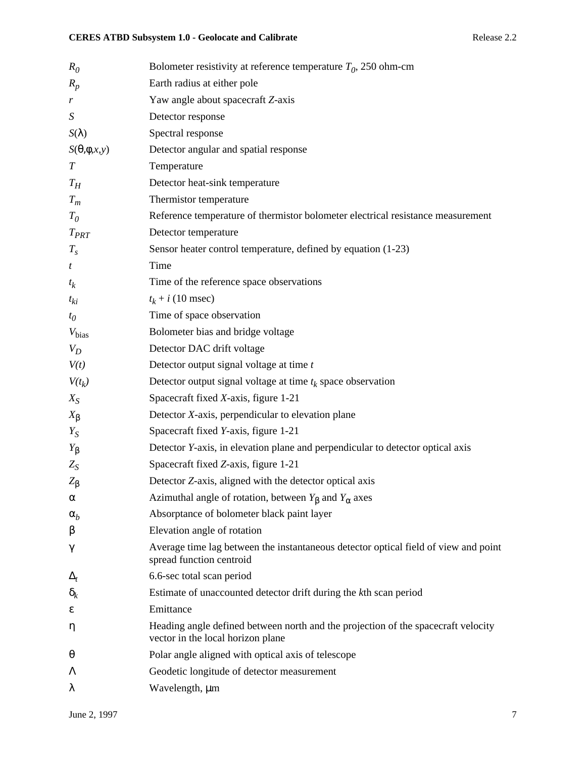| $R_0$                | Bolometer resistivity at reference temperature $T_0$ , 250 ohm-cm                                                      |
|----------------------|------------------------------------------------------------------------------------------------------------------------|
| $R_p$                | Earth radius at either pole                                                                                            |
| r                    | Yaw angle about spacecraft Z-axis                                                                                      |
| $\boldsymbol{S}$     | Detector response                                                                                                      |
| $S(\lambda)$         | Spectral response                                                                                                      |
| $S(\theta,\phi,x,y)$ | Detector angular and spatial response                                                                                  |
| $\boldsymbol{T}$     | Temperature                                                                                                            |
| $T_H$                | Detector heat-sink temperature                                                                                         |
| $T_m$                | Thermistor temperature                                                                                                 |
| $T_{0}$              | Reference temperature of thermistor bolometer electrical resistance measurement                                        |
| $T_{PRT}$            | Detector temperature                                                                                                   |
| $T_{s}$              | Sensor heater control temperature, defined by equation (1-23)                                                          |
| t                    | Time                                                                                                                   |
| $t_k$                | Time of the reference space observations                                                                               |
| $t_{ki}$             | $t_k + i$ (10 msec)                                                                                                    |
| $t_{0}$              | Time of space observation                                                                                              |
| $V_{bias}$           | Bolometer bias and bridge voltage                                                                                      |
| $V_D$                | Detector DAC drift voltage                                                                                             |
| V(t)                 | Detector output signal voltage at time t                                                                               |
| $V(t_k)$             | Detector output signal voltage at time $t_k$ space observation                                                         |
| $X_{S}$              | Spacecraft fixed X-axis, figure 1-21                                                                                   |
| $X_{\beta}$          | Detector X-axis, perpendicular to elevation plane                                                                      |
| $Y_S$                | Spacecraft fixed Y-axis, figure 1-21                                                                                   |
| $Y_{\beta}$          | Detector <i>Y</i> -axis, in elevation plane and perpendicular to detector optical axis                                 |
| $Z_S$                | Spacecraft fixed Z-axis, figure 1-21                                                                                   |
| $Z_{\beta}$          | Detector Z-axis, aligned with the detector optical axis                                                                |
| α                    | Azimuthal angle of rotation, between $Y_{\beta}$ and $Y_{\alpha}$ axes                                                 |
| $\alpha_b$           | Absorptance of bolometer black paint layer                                                                             |
| β                    | Elevation angle of rotation                                                                                            |
| γ                    | Average time lag between the instantaneous detector optical field of view and point<br>spread function centroid        |
| $\Delta_t$           | 6.6-sec total scan period                                                                                              |
| $\delta_k$           | Estimate of unaccounted detector drift during the kth scan period                                                      |
| ε                    | Emittance                                                                                                              |
| η                    | Heading angle defined between north and the projection of the spacecraft velocity<br>vector in the local horizon plane |
| $\theta$             | Polar angle aligned with optical axis of telescope                                                                     |
| Λ                    | Geodetic longitude of detector measurement                                                                             |
| λ                    | Wavelength, µm                                                                                                         |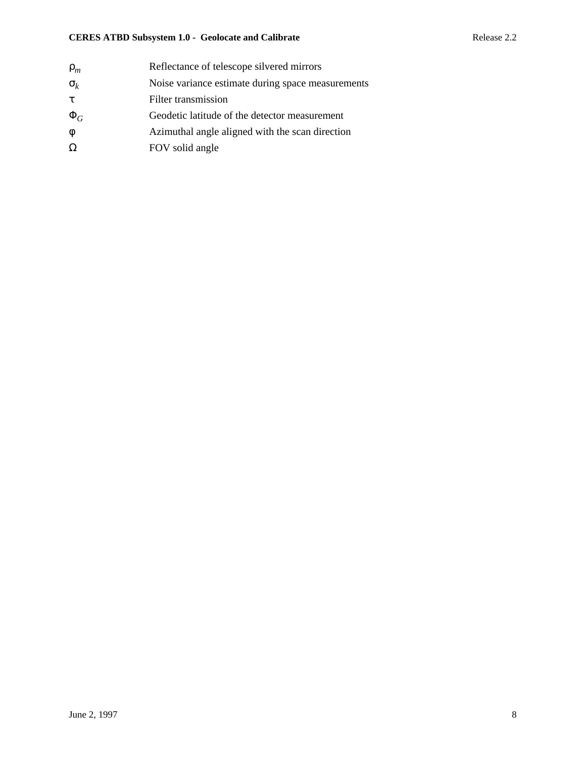# **CERES ATBD Subsystem 1.0 - Geolocate and Calibrate** Release 2.2

| Noise variance estimate during space measurements |
|---------------------------------------------------|
|                                                   |
| Geodetic latitude of the detector measurement     |
| Azimuthal angle aligned with the scan direction   |
|                                                   |
|                                                   |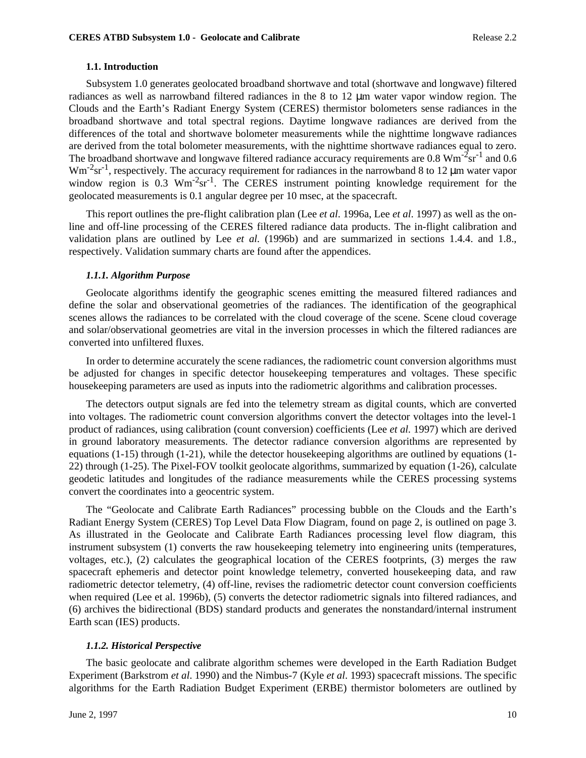#### **1.1. Introduction**

Subsystem 1.0 generates geolocated broadband shortwave and total (shortwave and longwave) filtered radiances as well as narrowband filtered radiances in the 8 to 12 µm water vapor window region. The Clouds and the Earth's Radiant Energy System (CERES) thermistor bolometers sense radiances in the broadband shortwave and total spectral regions. Daytime longwave radiances are derived from the differences of the total and shortwave bolometer measurements while the nighttime longwave radiances are derived from the total bolometer measurements, with the nighttime shortwave radiances equal to zero. The broadband shortwave and longwave filtered radiance accuracy requirements are  $0.8 \text{ Wm}^{-2} \text{sr}^{-1}$  and  $0.6 \text{ Wm}^{-2} \text{sr}^{-1}$  $Wm^{-2}$ sr<sup>-1</sup>, respectively. The accuracy requirement for radiances in the narrowband 8 to 12  $\mu$ m water vapor window region is 0.3 Wm<sup>-2</sup>sr<sup>-1</sup>. The CERES instrument pointing knowledge requirement for the geolocated measurements is 0.1 angular degree per 10 msec, at the spacecraft.

This report outlines the pre-flight calibration plan (Lee *et al*. 1996a, Lee *et al*. 1997) as well as the online and off-line processing of the CERES filtered radiance data products. The in-flight calibration and validation plans are outlined by Lee *et al.* (1996b) and are summarized in sections 1.4.4. and 1.8., respectively. Validation summary charts are found after the appendices.

#### *1.1.1. Algorithm Purpose*

Geolocate algorithms identify the geographic scenes emitting the measured filtered radiances and define the solar and observational geometries of the radiances. The identification of the geographical scenes allows the radiances to be correlated with the cloud coverage of the scene. Scene cloud coverage and solar/observational geometries are vital in the inversion processes in which the filtered radiances are converted into unfiltered fluxes.

In order to determine accurately the scene radiances, the radiometric count conversion algorithms must be adjusted for changes in specific detector housekeeping temperatures and voltages. These specific housekeeping parameters are used as inputs into the radiometric algorithms and calibration processes.

The detectors output signals are fed into the telemetry stream as digital counts, which are converted into voltages. The radiometric count conversion algorithms convert the detector voltages into the level-1 product of radiances, using calibration (count conversion) coefficients (Lee *et al.* 1997) which are derived in ground laboratory measurements. The detector radiance conversion algorithms are represented by equations  $(1-15)$  through  $(1-21)$ , while the detector house keeping algorithms are outlined by equations  $(1-15)$ 22) through (1-25). The Pixel-FOV toolkit geolocate algorithms, summarized by equation (1-26), calculate geodetic latitudes and longitudes of the radiance measurements while the CERES processing systems convert the coordinates into a geocentric system.

The "Geolocate and Calibrate Earth Radiances" processing bubble on the Clouds and the Earth's Radiant Energy System (CERES) Top Level Data Flow Diagram, found on page 2, is outlined on page 3. As illustrated in the Geolocate and Calibrate Earth Radiances processing level flow diagram, this instrument subsystem (1) converts the raw housekeeping telemetry into engineering units (temperatures, voltages, etc.), (2) calculates the geographical location of the CERES footprints, (3) merges the raw spacecraft ephemeris and detector point knowledge telemetry, converted housekeeping data, and raw radiometric detector telemetry, (4) off-line, revises the radiometric detector count conversion coefficients when required (Lee et al. 1996b), (5) converts the detector radiometric signals into filtered radiances, and (6) archives the bidirectional (BDS) standard products and generates the nonstandard/internal instrument Earth scan (IES) products.

### *1.1.2. Historical Perspective*

The basic geolocate and calibrate algorithm schemes were developed in the Earth Radiation Budget Experiment (Barkstrom *et al*. 1990) and the Nimbus-7 (Kyle *et al*. 1993) spacecraft missions. The specific algorithms for the Earth Radiation Budget Experiment (ERBE) thermistor bolometers are outlined by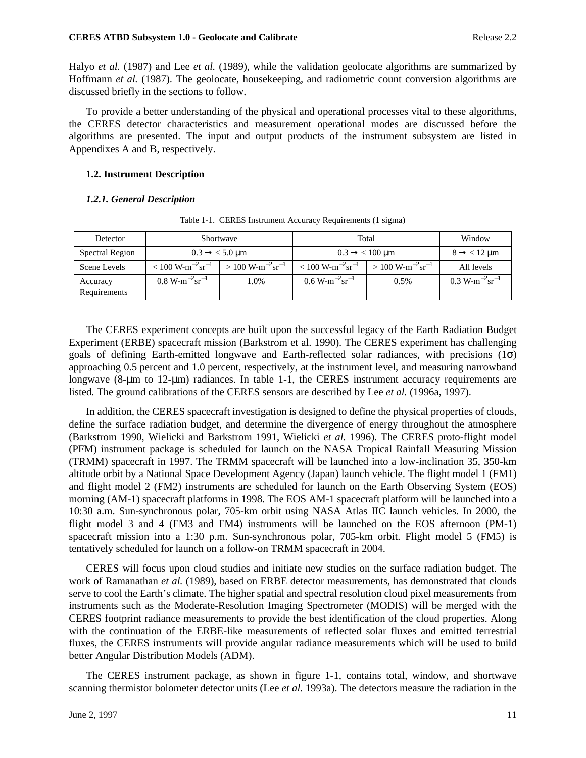Halyo *et al.* (1987) and Lee *et al.* (1989), while the validation geolocate algorithms are summarized by Hoffmann *et al.* (1987). The geolocate, housekeeping, and radiometric count conversion algorithms are discussed briefly in the sections to follow.

To provide a better understanding of the physical and operational processes vital to these algorithms, the CERES detector characteristics and measurement operational modes are discussed before the algorithms are presented. The input and output products of the instrument subsystem are listed in Appendixes A and B, respectively.

# **1.2. Instrument Description**

# *1.2.1. General Description*

| Detector                 |                                        | Shortwave                                   | Total                                       | Window                                 |                                      |
|--------------------------|----------------------------------------|---------------------------------------------|---------------------------------------------|----------------------------------------|--------------------------------------|
| Spectral Region          |                                        | $0.3 \rightarrow < 5.0 \text{ }\mu\text{m}$ | $0.3 \rightarrow < 100 \text{ }\mu\text{m}$ | $8 \rightarrow$ < 12 µm                |                                      |
| Scene Levels             | $< 100 \text{ W-m}^{-2}\text{sr}^{-1}$ | $> 100 \text{ W-m}^{-2}\text{sr}^{-1}$      | $< 100 \text{ W-m}^{-2}\text{sr}^{-1}$      | $> 100 \text{ W-m}^{-2}\text{sr}^{-1}$ | All levels                           |
| Accuracy<br>Requirements | $0.8 W-m^{-2}sr^{-1}$                  | 1.0%                                        | $0.6 \text{ W-m}^{-2}\text{sr}^{-1}$        | $0.5\%$                                | $0.3 \text{ W-m}^{-2}\text{sr}^{-1}$ |

Table 1-1. CERES Instrument Accuracy Requirements (1 sigma)

The CERES experiment concepts are built upon the successful legacy of the Earth Radiation Budget Experiment (ERBE) spacecraft mission (Barkstrom et al. 1990). The CERES experiment has challenging goals of defining Earth-emitted longwave and Earth-reflected solar radiances, with precisions (1σ) approaching 0.5 percent and 1.0 percent, respectively, at the instrument level, and measuring narrowband longwave (8-µm to 12-µm) radiances. In table 1-1, the CERES instrument accuracy requirements are listed. The ground calibrations of the CERES sensors are described by Lee *et al.* (1996a, 1997).

In addition, the CERES spacecraft investigation is designed to define the physical properties of clouds, define the surface radiation budget, and determine the divergence of energy throughout the atmosphere (Barkstrom 1990, Wielicki and Barkstrom 1991, Wielicki *et al.* 1996). The CERES proto-flight model (PFM) instrument package is scheduled for launch on the NASA Tropical Rainfall Measuring Mission (TRMM) spacecraft in 1997. The TRMM spacecraft will be launched into a low-inclination 35°, 350-km altitude orbit by a National Space Development Agency (Japan) launch vehicle. The flight model 1 (FM1) and flight model 2 (FM2) instruments are scheduled for launch on the Earth Observing System (EOS) morning (AM-1) spacecraft platforms in 1998. The EOS AM-1 spacecraft platform will be launched into a 10:30 a.m. Sun-synchronous polar, 705-km orbit using NASA Atlas IIC launch vehicles. In 2000, the flight model 3 and 4 (FM3 and FM4) instruments will be launched on the EOS afternoon (PM-1) spacecraft mission into a 1:30 p.m. Sun-synchronous polar, 705-km orbit. Flight model 5 (FM5) is tentatively scheduled for launch on a follow-on TRMM spacecraft in 2004.

CERES will focus upon cloud studies and initiate new studies on the surface radiation budget. The work of Ramanathan *et al.* (1989), based on ERBE detector measurements, has demonstrated that clouds serve to cool the Earth's climate. The higher spatial and spectral resolution cloud pixel measurements from instruments such as the Moderate-Resolution Imaging Spectrometer (MODIS) will be merged with the CERES footprint radiance measurements to provide the best identification of the cloud properties. Along with the continuation of the ERBE-like measurements of reflected solar fluxes and emitted terrestrial fluxes, the CERES instruments will provide angular radiance measurements which will be used to build better Angular Distribution Models (ADM).

The CERES instrument package, as shown in figure 1-1, contains total, window, and shortwave scanning thermistor bolometer detector units (Lee *et al.* 1993a). The detectors measure the radiation in the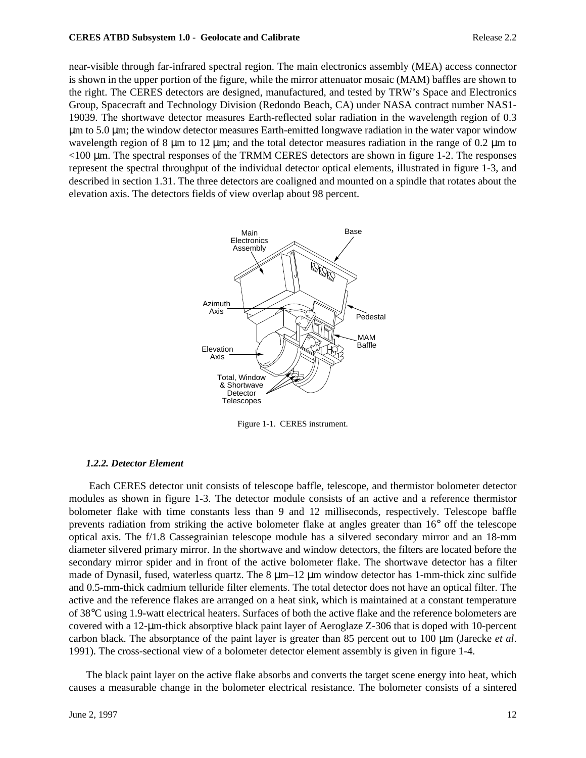#### **CERES ATBD Subsystem 1.0 - Geolocate and Calibrate Release 2.2 Release 2.2**

near-visible through far-infrared spectral region. The main electronics assembly (MEA) access connector is shown in the upper portion of the figure, while the mirror attenuator mosaic (MAM) baffles are shown to the right. The CERES detectors are designed, manufactured, and tested by TRW's Space and Electronics Group, Spacecraft and Technology Division (Redondo Beach, CA) under NASA contract number NAS1- 19039. The shortwave detector measures Earth-reflected solar radiation in the wavelength region of 0.3 µm to 5.0 µm; the window detector measures Earth-emitted longwave radiation in the water vapor window wavelength region of 8  $\mu$ m to 12  $\mu$ m; and the total detector measures radiation in the range of 0.2  $\mu$ m to  $<$ 100  $\mu$ m. The spectral responses of the TRMM CERES detectors are shown in figure 1-2. The responses represent the spectral throughput of the individual detector optical elements, illustrated in figure 1-3, and described in section 1.31. The three detectors are coaligned and mounted on a spindle that rotates about the elevation axis. The detectors fields of view overlap about 98 percent.



Figure 1-1. CERES instrument.

# *1.2.2. Detector Element*

 Each CERES detector unit consists of telescope baffle, telescope, and thermistor bolometer detector modules as shown in figure 1-3. The detector module consists of an active and a reference thermistor bolometer flake with time constants less than 9 and 12 milliseconds, respectively. Telescope baffle prevents radiation from striking the active bolometer flake at angles greater than 16° off the telescope optical axis. The f/1.8 Cassegrainian telescope module has a silvered secondary mirror and an 18-mm diameter silvered primary mirror. In the shortwave and window detectors, the filters are located before the secondary mirror spider and in front of the active bolometer flake. The shortwave detector has a filter made of Dynasil, fused, waterless quartz. The  $8 \mu m-12 \mu m$  window detector has 1-mm-thick zinc sulfide and 0.5-mm-thick cadmium telluride filter elements. The total detector does not have an optical filter. The active and the reference flakes are arranged on a heat sink, which is maintained at a constant temperature of 38°C using 1.9-watt electrical heaters. Surfaces of both the active flake and the reference bolometers are covered with a 12-µm-thick absorptive black paint layer of Aeroglaze Z-306 that is doped with 10-percent carbon black. The absorptance of the paint layer is greater than 85 percent out to 100 µm (Jarecke *et al.*) 1991). The cross-sectional view of a bolometer detector element assembly is given in figure 1-4.

The black paint layer on the active flake absorbs and converts the target scene energy into heat, which causes a measurable change in the bolometer electrical resistance. The bolometer consists of a sintered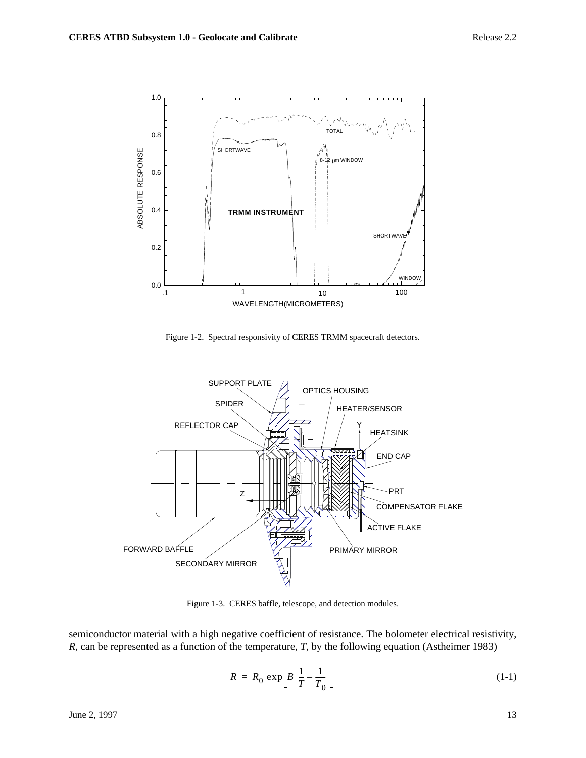

Figure 1-2. Spectral responsivity of CERES TRMM spacecraft detectors.



Figure 1-3. CERES baffle, telescope, and detection modules.

semiconductor material with a high negative coefficient of resistance. The bolometer electrical resistivity, *R*, can be represented as a function of the temperature, *T*, by the following equation (Astheimer 1983)

$$
R = R_0 \exp\left[B\left(\frac{1}{T} - \frac{1}{T_0}\right)\right]
$$
 (1-1)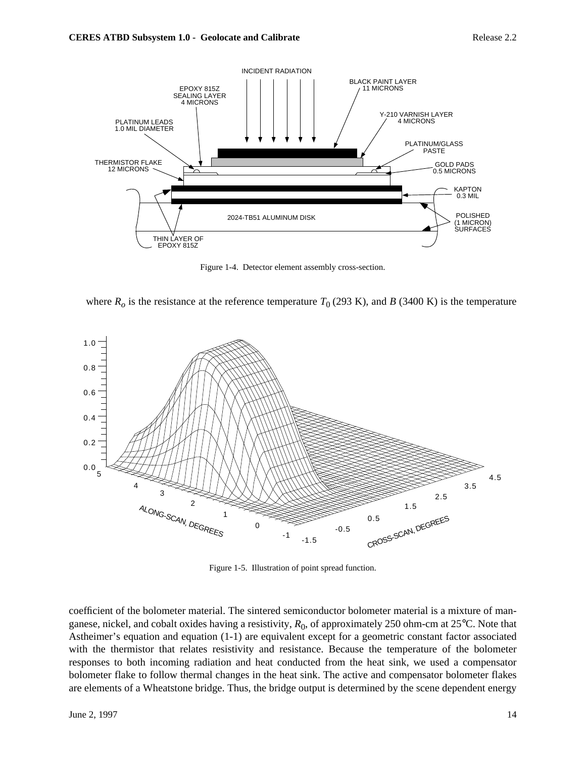

Figure 1-4. Detector element assembly cross-section.





Figure 1-5. Illustration of point spread function.

coefficient of the bolometer material. The sintered semiconductor bolometer material is a mixture of manganese, nickel, and cobalt oxides having a resistivity,  $R_0$ , of approximately 250 ohm-cm at 25<sup>o</sup>C. Note that Astheimer's equation and equation (1-1) are equivalent except for a geometric constant factor associated with the thermistor that relates resistivity and resistance. Because the temperature of the bolometer responses to both incoming radiation and heat conducted from the heat sink, we used a compensator bolometer flake to follow thermal changes in the heat sink. The active and compensator bolometer flakes are elements of a Wheatstone bridge. Thus, the bridge output is determined by the scene dependent energy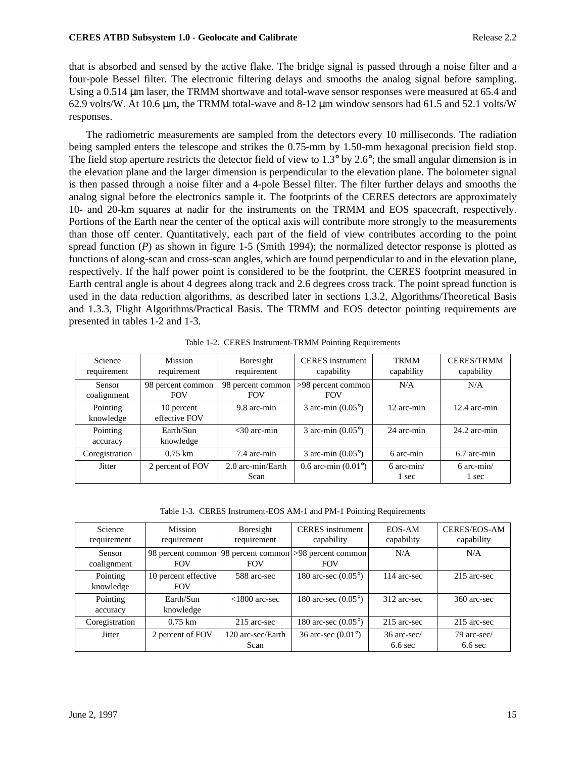that is absorbed and sensed by the active flake. The bridge signal is passed through a noise filter and a four-pole Bessel filter. The electronic filtering delays and smooths the analog signal before sampling. Using a 0.514  $\mu$ m laser, the TRMM shortwave and total-wave sensor responses were measured at 65.4 and 62.9 volts/W. At 10.6 µm, the TRMM total-wave and 8-12 µm window sensors had 61.5 and 52.1 volts/W responses.

The radiometric measurements are sampled from the detectors every 10 milliseconds. The radiation being sampled enters the telescope and strikes the 0.75-mm by 1.50-mm hexagonal precision field stop. The field stop aperture restricts the detector field of view to 1.3° by 2.6°; the small angular dimension is in the elevation plane and the larger dimension is perpendicular to the elevation plane. The bolometer signal is then passed through a noise filter and a 4-pole Bessel filter. The filter further delays and smooths the analog signal before the electronics sample it. The footprints of the CERES detectors are approximately 10- and 20-km squares at nadir for the instruments on the TRMM and EOS spacecraft, respectively. Portions of the Earth near the center of the optical axis will contribute more strongly to the measurements than those off center. Quantitatively, each part of the field of view contributes according to the point spread function (*P*) as shown in figure 1-5 (Smith 1994); the normalized detector response is plotted as functions of along-scan and cross-scan angles, which are found perpendicular to and in the elevation plane, respectively. If the half power point is considered to be the footprint, the CERES footprint measured in Earth central angle is about 4 degrees along track and 2.6 degrees cross track. The point spread function is used in the data reduction algorithms, as described later in sections 1.3.2, Algorithms/Theoretical Basis and 1.3.3, Flight Algorithms/Practical Basis. The TRMM and EOS detector pointing requirements are presented in tables 1-2 and 1-3.

| Science<br>requirement       | <b>Mission</b><br>requirement   | Boresight<br>requirement        | <b>CERES</b> instrument<br>capability | <b>TRMM</b><br>capability | <b>CERES/TRMM</b><br>capability |
|------------------------------|---------------------------------|---------------------------------|---------------------------------------|---------------------------|---------------------------------|
| <b>Sensor</b><br>coalignment | 98 percent common<br><b>FOV</b> | 98 percent common<br><b>FOV</b> | >98 percent common<br><b>FOV</b>      | N/A                       | N/A                             |
| Pointing<br>knowledge        | 10 percent<br>effective FOV     | 9.8 arc-min                     | 3 arc-min $(0.05^{\circ})$            | 12 arc-min                | $12.4$ arc-min                  |
| Pointing<br>accuracy         | Earth/Sun<br>knowledge          | $<$ 30 arc-min                  | 3 arc-min $(0.05^{\circ})$            | 24 arc-min                | $24.2$ arc-min                  |
| Coregistration               | $0.75 \; \mathrm{km}$           | 7.4 arc-min                     | 3 arc-min $(0.05^{\circ})$            | 6 arc-min                 | 6.7 arc-min                     |
| Jitter                       | 2 percent of FOV                | 2.0 arc-min/Earth<br>Scan       | 0.6 arc-min $(0.01^{\circ})$          | $6$ arc-min/<br>1 sec     | $6$ arc-min/<br>1 sec           |

Table 1-2. CERES Instrument-TRMM Pointing Requirements

Table 1-3. CERES Instrument-EOS AM-1 and PM-1 Pointing Requirements

| Science<br>requirement | <b>Mission</b><br>requirement      | Boresight<br>requirement        | <b>CERES</b> instrument<br>capability | EOS-AM<br>capability     | <b>CERES/EOS-AM</b><br>capability |
|------------------------|------------------------------------|---------------------------------|---------------------------------------|--------------------------|-----------------------------------|
| Sensor<br>coalignment  | 98 percent common<br><b>FOV</b>    | 98 percent common<br><b>FOV</b> | $ >98$ percent common<br><b>FOV</b>   | N/A                      | N/A                               |
| Pointing<br>knowledge  | 10 percent effective<br><b>FOV</b> | 588 arc-sec                     | 180 arc-sec $(0.05^{\circ})$          | 114 arc-sec              | 215 arc-sec                       |
| Pointing<br>accuracy   | Earth/Sun<br>knowledge             | $<1800$ arc-sec                 | 180 arc-sec $(0.05^{\circ})$          | 312 arc-sec              | 360 arc-sec                       |
| Coregistration         | $0.75 \; \mathrm{km}$              | 215 arc-sec                     | 180 arc-sec $(0.05^{\circ})$          | 215 arc-sec              | 215 arc-sec                       |
| Jitter                 | 2 percent of FOV                   | 120 arc-sec/Earth<br>Scan       | 36 arc-sec $(0.01^{\circ})$           | 36 arc-sec/<br>$6.6$ sec | 79 arc-sec/<br>$6.6$ sec          |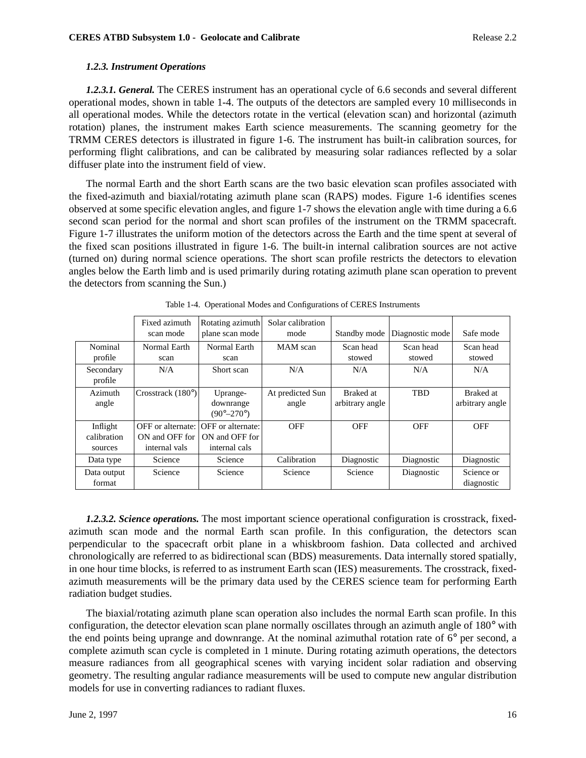# *1.2.3. Instrument Operations*

*1.2.3.1. General.* The CERES instrument has an operational cycle of 6.6 seconds and several different operational modes, shown in table 1-4. The outputs of the detectors are sampled every 10 milliseconds in all operational modes. While the detectors rotate in the vertical (elevation scan) and horizontal (azimuth rotation) planes, the instrument makes Earth science measurements. The scanning geometry for the TRMM CERES detectors is illustrated in figure 1-6. The instrument has built-in calibration sources, for performing flight calibrations, and can be calibrated by measuring solar radiances reflected by a solar diffuser plate into the instrument field of view.

The normal Earth and the short Earth scans are the two basic elevation scan profiles associated with the fixed-azimuth and biaxial/rotating azimuth plane scan (RAPS) modes. Figure 1-6 identifies scenes observed at some specific elevation angles, and figure 1-7 shows the elevation angle with time during a 6.6 second scan period for the normal and short scan profiles of the instrument on the TRMM spacecraft. Figure 1-7 illustrates the uniform motion of the detectors across the Earth and the time spent at several of the fixed scan positions illustrated in figure 1-6. The built-in internal calibration sources are not active (turned on) during normal science operations. The short scan profile restricts the detectors to elevation angles below the Earth limb and is used primarily during rotating azimuth plane scan operation to prevent the detectors from scanning the Sun.)

|                                    | Fixed azimuth<br>scan mode                           | Rotating azimuth<br>plane scan mode                  | Solar calibration<br>mode | Standby mode                 | Diagnostic mode     | Safe mode                           |
|------------------------------------|------------------------------------------------------|------------------------------------------------------|---------------------------|------------------------------|---------------------|-------------------------------------|
| Nominal<br>profile                 | Normal Earth<br>scan                                 | Normal Earth<br>scan                                 | MAM scan                  | Scan head<br>stowed          | Scan head<br>stowed | Scan head<br>stowed                 |
| Secondary<br>profile               | N/A                                                  | Short scan                                           | N/A                       | N/A                          | N/A                 | N/A                                 |
| Azimuth<br>angle                   | Crosstrack $(180^{\circ})$                           | Uprange-<br>downrange<br>$(90^{\circ}-270^{\circ})$  | At predicted Sun<br>angle | Braked at<br>arbitrary angle | <b>TBD</b>          | <b>Braked</b> at<br>arbitrary angle |
| Inflight<br>calibration<br>sources | OFF or alternate:<br>ON and OFF for<br>internal vals | OFF or alternate:<br>ON and OFF for<br>internal cals | <b>OFF</b>                | <b>OFF</b>                   | <b>OFF</b>          | <b>OFF</b>                          |
| Data type                          | Science                                              | Science                                              | Calibration               | Diagnostic                   | Diagnostic          | Diagnostic                          |
| Data output<br>format              | Science                                              | Science                                              | Science                   | Science                      | Diagnostic          | Science or<br>diagnostic            |

Table 1-4. Operational Modes and Configurations of CERES Instruments

*1.2.3.2. Science operations.* The most important science operational configuration is crosstrack, fixedazimuth scan mode and the normal Earth scan profile. In this configuration, the detectors scan perpendicular to the spacecraft orbit plane in a whiskbroom fashion. Data collected and archived chronologically are referred to as bidirectional scan (BDS) measurements. Data internally stored spatially, in one hour time blocks, is referred to as instrument Earth scan (IES) measurements. The crosstrack, fixedazimuth measurements will be the primary data used by the CERES science team for performing Earth radiation budget studies.

The biaxial/rotating azimuth plane scan operation also includes the normal Earth scan profile. In this configuration, the detector elevation scan plane normally oscillates through an azimuth angle of 180° with the end points being uprange and downrange. At the nominal azimuthal rotation rate of 6° per second, a complete azimuth scan cycle is completed in 1 minute. During rotating azimuth operations, the detectors measure radiances from all geographical scenes with varying incident solar radiation and observing geometry. The resulting angular radiance measurements will be used to compute new angular distribution models for use in converting radiances to radiant fluxes.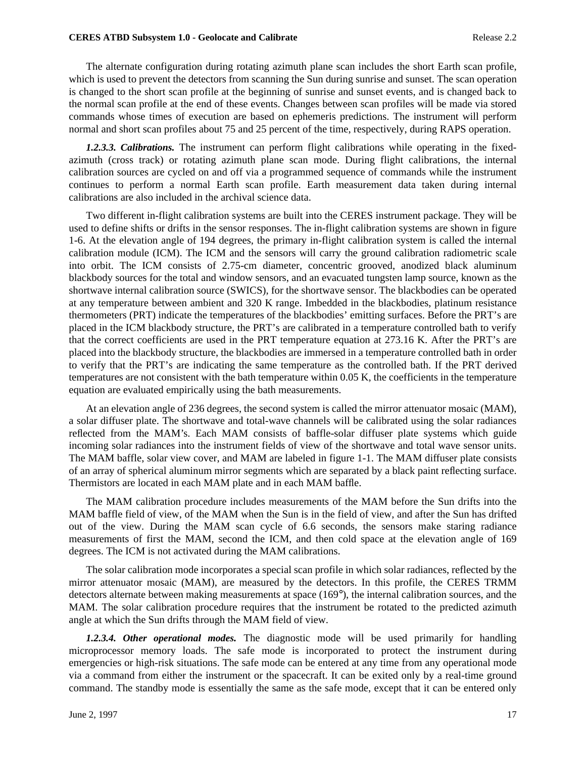The alternate configuration during rotating azimuth plane scan includes the short Earth scan profile, which is used to prevent the detectors from scanning the Sun during sunrise and sunset. The scan operation is changed to the short scan profile at the beginning of sunrise and sunset events, and is changed back to the normal scan profile at the end of these events. Changes between scan profiles will be made via stored commands whose times of execution are based on ephemeris predictions. The instrument will perform normal and short scan profiles about 75 and 25 percent of the time, respectively, during RAPS operation.

*1.2.3.3. Calibrations.* The instrument can perform flight calibrations while operating in the fixedazimuth (cross track) or rotating azimuth plane scan mode. During flight calibrations, the internal calibration sources are cycled on and off via a programmed sequence of commands while the instrument continues to perform a normal Earth scan profile. Earth measurement data taken during internal calibrations are also included in the archival science data.

Two different in-flight calibration systems are built into the CERES instrument package. They will be used to define shifts or drifts in the sensor responses. The in-flight calibration systems are shown in figure 1-6. At the elevation angle of 194 degrees, the primary in-flight calibration system is called the internal calibration module (ICM). The ICM and the sensors will carry the ground calibration radiometric scale into orbit. The ICM consists of 2.75-cm diameter, concentric grooved, anodized black aluminum blackbody sources for the total and window sensors, and an evacuated tungsten lamp source, known as the shortwave internal calibration source (SWICS), for the shortwave sensor. The blackbodies can be operated at any temperature between ambient and 320 K range. Imbedded in the blackbodies, platinum resistance thermometers (PRT) indicate the temperatures of the blackbodies' emitting surfaces. Before the PRT's are placed in the ICM blackbody structure, the PRT's are calibrated in a temperature controlled bath to verify that the correct coefficients are used in the PRT temperature equation at 273.16 K. After the PRT's are placed into the blackbody structure, the blackbodies are immersed in a temperature controlled bath in order to verify that the PRT's are indicating the same temperature as the controlled bath. If the PRT derived temperatures are not consistent with the bath temperature within 0.05 K, the coefficients in the temperature equation are evaluated empirically using the bath measurements.

At an elevation angle of 236 degrees, the second system is called the mirror attenuator mosaic (MAM), a solar diffuser plate. The shortwave and total-wave channels will be calibrated using the solar radiances reflected from the MAM's. Each MAM consists of baffle-solar diffuser plate systems which guide incoming solar radiances into the instrument fields of view of the shortwave and total wave sensor units. The MAM baffle, solar view cover, and MAM are labeled in figure 1-1. The MAM diffuser plate consists of an array of spherical aluminum mirror segments which are separated by a black paint reflecting surface. Thermistors are located in each MAM plate and in each MAM baffle.

The MAM calibration procedure includes measurements of the MAM before the Sun drifts into the MAM baffle field of view, of the MAM when the Sun is in the field of view, and after the Sun has drifted out of the view. During the MAM scan cycle of 6.6 seconds, the sensors make staring radiance measurements of first the MAM, second the ICM, and then cold space at the elevation angle of 169 degrees. The ICM is not activated during the MAM calibrations.

The solar calibration mode incorporates a special scan profile in which solar radiances, reflected by the mirror attenuator mosaic (MAM), are measured by the detectors. In this profile, the CERES TRMM detectors alternate between making measurements at space (169°), the internal calibration sources, and the MAM. The solar calibration procedure requires that the instrument be rotated to the predicted azimuth angle at which the Sun drifts through the MAM field of view.

*1.2.3.4. Other operational modes.* The diagnostic mode will be used primarily for handling microprocessor memory loads. The safe mode is incorporated to protect the instrument during emergencies or high-risk situations. The safe mode can be entered at any time from any operational mode via a command from either the instrument or the spacecraft. It can be exited only by a real-time ground command. The standby mode is essentially the same as the safe mode, except that it can be entered only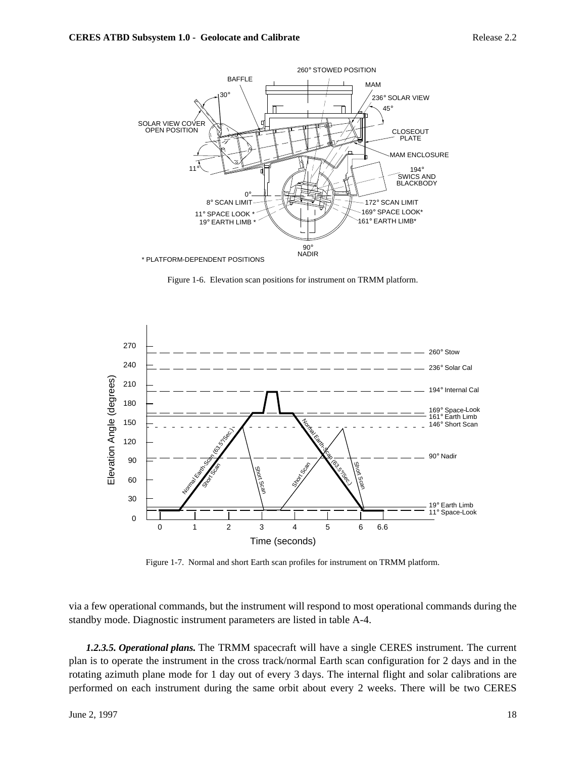

Figure 1-6. Elevation scan positions for instrument on TRMM platform.



Figure 1-7. Normal and short Earth scan profiles for instrument on TRMM platform.

via a few operational commands, but the instrument will respond to most operational commands during the standby mode. Diagnostic instrument parameters are listed in table A-4.

*1.2.3.5. Operational plans.* The TRMM spacecraft will have a single CERES instrument. The current plan is to operate the instrument in the cross track/normal Earth scan configuration for 2 days and in the rotating azimuth plane mode for 1 day out of every 3 days. The internal flight and solar calibrations are performed on each instrument during the same orbit about every 2 weeks. There will be two CERES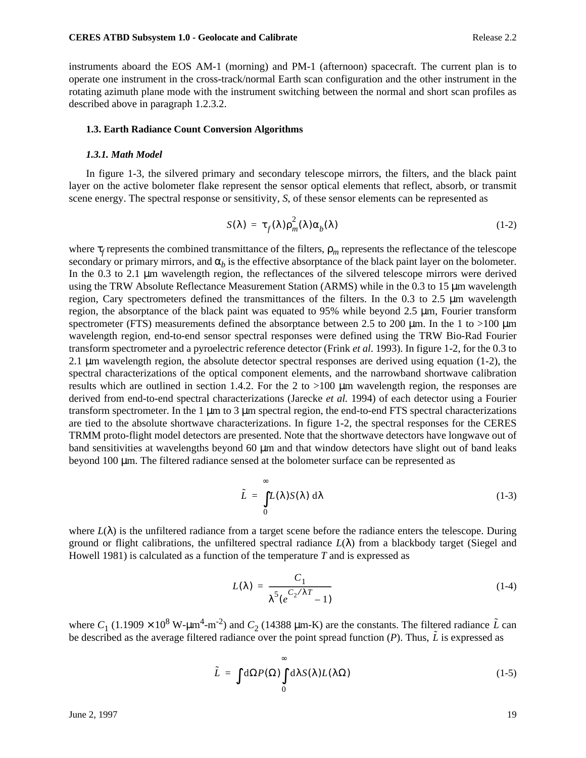instruments aboard the EOS AM-1 (morning) and PM-1 (afternoon) spacecraft. The current plan is to operate one instrument in the cross-track/normal Earth scan configuration and the other instrument in the rotating azimuth plane mode with the instrument switching between the normal and short scan profiles as described above in paragraph 1.2.3.2.

### **1.3. Earth Radiance Count Conversion Algorithms**

#### *1.3.1. Math Model*

In figure 1-3, the silvered primary and secondary telescope mirrors, the filters, and the black paint layer on the active bolometer flake represent the sensor optical elements that reflect, absorb, or transmit scene energy. The spectral response or sensitivity, *S*, of these sensor elements can be represented as

$$
S(\lambda) = \tau_f(\lambda) \rho_m^2(\lambda) \alpha_b(\lambda)
$$
 (1-2)

where τ<sub>*f*</sub> represents the combined transmittance of the filters,  $ρ<sub>m</sub>$  represents the reflectance of the telescope secondary or primary mirrors, and  $\alpha_b$  is the effective absorptance of the black paint layer on the bolometer. In the 0.3 to 2.1 µm wavelength region, the reflectances of the silvered telescope mirrors were derived using the TRW Absolute Reflectance Measurement Station (ARMS) while in the 0.3 to 15 µm wavelength region, Cary spectrometers defined the transmittances of the filters. In the 0.3 to 2.5  $\mu$ m wavelength region, the absorptance of the black paint was equated to 95% while beyond 2.5 µm, Fourier transform spectrometer (FTS) measurements defined the absorptance between 2.5 to 200  $\mu$ m. In the 1 to >100  $\mu$ m wavelength region, end-to-end sensor spectral responses were defined using the TRW Bio-Rad Fourier transform spectrometer and a pyroelectric reference detector (Frink *et al*. 1993). In figure 1-2, for the 0.3 to 2.1 µm wavelength region, the absolute detector spectral responses are derived using equation (1-2), the spectral characterizations of the optical component elements, and the narrowband shortwave calibration results which are outlined in section 1.4.2. For the 2 to  $>100$  µm wavelength region, the responses are derived from end-to-end spectral characterizations (Jarecke *et al.* 1994) of each detector using a Fourier transform spectrometer. In the 1 µm to 3 µm spectral region, the end-to-end FTS spectral characterizations are tied to the absolute shortwave characterizations. In figure 1-2, the spectral responses for the CERES TRMM proto-flight model detectors are presented. Note that the shortwave detectors have longwave out of band sensitivities at wavelengths beyond 60 µm and that window detectors have slight out of band leaks beyond 100 µm. The filtered radiance sensed at the bolometer surface can be represented as

$$
\tilde{L} = \int_{0}^{\infty} L(\lambda) S(\lambda) \, d\lambda \tag{1-3}
$$

where  $L(\lambda)$  is the unfiltered radiance from a target scene before the radiance enters the telescope. During ground or flight calibrations, the unfiltered spectral radiance  $L(\lambda)$  from a blackbody target (Siegel and Howell 1981) is calculated as a function of the temperature *T* and is expressed as

$$
L(\lambda) = \frac{C_1}{\lambda^5 (e^{C_2/\lambda T} - 1)}
$$
(1-4)

where  $C_1$  (1.1909 × 10<sup>8</sup> W- $\mu$ m<sup>4</sup>-m<sup>-2</sup>) and  $C_2$  (14388  $\mu$ m-K) are the constants. The filtered radiance  $\tilde{L}$  can be described as the average filtered radiance over the point spread function (*P*). Thus,  $\tilde{L}$  is expressed as

$$
\tilde{L} = \int d\Omega P(\Omega) \int_{0}^{\infty} d\lambda S(\lambda) L(\lambda \Omega)
$$
\n(1-5)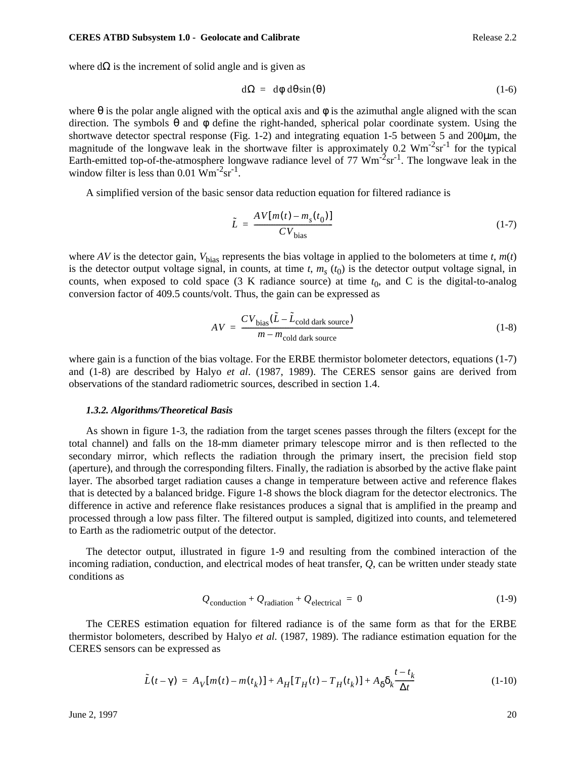where  $d\Omega$  is the increment of solid angle and is given as

$$
d\Omega = d\phi \, d\theta \sin(\theta) \tag{1-6}
$$

where  $\theta$  is the polar angle aligned with the optical axis and  $\phi$  is the azimuthal angle aligned with the scan direction. The symbols θ and φ define the right-handed, spherical polar coordinate system. Using the shortwave detector spectral response (Fig. 1-2) and integrating equation 1-5 between 5 and 200µm, the magnitude of the longwave leak in the shortwave filter is approximately  $0.2 \text{ Wm}^2 \text{sr}^1$  for the typical Earth-emitted top-of-the-atmosphere longwave radiance level of 77  $Wm<sup>-2</sup>sr<sup>-1</sup>$ . The longwave leak in the window filter is less than  $0.01 \text{ Wm}^{-2}\text{sr}^{-1}$ .

A simplified version of the basic sensor data reduction equation for filtered radiance is

$$
\tilde{L} = \frac{AV[m(t) - m_s(t_0)]}{CV_{bias}} \tag{1-7}
$$

where *AV* is the detector gain,  $V_{bias}$  represents the bias voltage in applied to the bolometers at time *t*,  $m(t)$ is the detector output voltage signal, in counts, at time  $t$ ,  $m<sub>s</sub>$  ( $t<sub>0</sub>$ ) is the detector output voltage signal, in counts, when exposed to cold space  $(3 K$  radiance source) at time  $t_0$ , and C is the digital-to-analog conversion factor of 409.5 counts/volt. Thus, the gain can be expressed as

$$
AV = \frac{CV_{bias}(\tilde{L} - \tilde{L}_{cold dark source})}{m - m_{cold dark source}}
$$
(1-8)

where gain is a function of the bias voltage. For the ERBE thermistor bolometer detectors, equations (1-7) and (1-8) are described by Halyo *et al*. (1987, 1989). The CERES sensor gains are derived from observations of the standard radiometric sources, described in section 1.4.

### *1.3.2. Algorithms/Theoretical Basis*

As shown in figure 1-3, the radiation from the target scenes passes through the filters (except for the total channel) and falls on the 18-mm diameter primary telescope mirror and is then reflected to the secondary mirror, which reflects the radiation through the primary insert, the precision field stop (aperture), and through the corresponding filters. Finally, the radiation is absorbed by the active flake paint layer. The absorbed target radiation causes a change in temperature between active and reference flakes that is detected by a balanced bridge. Figure 1-8 shows the block diagram for the detector electronics. The difference in active and reference flake resistances produces a signal that is amplified in the preamp and processed through a low pass filter. The filtered output is sampled, digitized into counts, and telemetered to Earth as the radiometric output of the detector.

The detector output, illustrated in figure 1-9 and resulting from the combined interaction of the incoming radiation, conduction, and electrical modes of heat transfer, *Q*, can be written under steady state conditions as

$$
Q_{\text{conduction}} + Q_{\text{radiation}} + Q_{\text{electrical}} = 0 \tag{1-9}
$$

The CERES estimation equation for filtered radiance is of the same form as that for the ERBE thermistor bolometers, described by Halyo *et al.* (1987, 1989). The radiance estimation equation for the CERES sensors can be expressed as

$$
\tilde{L}(t - \gamma) = A_V[m(t) - m(t_k)] + A_H[T_H(t) - T_H(t_k)] + A_\delta \delta_k \frac{t - t_k}{\Delta t}
$$
\n(1-10)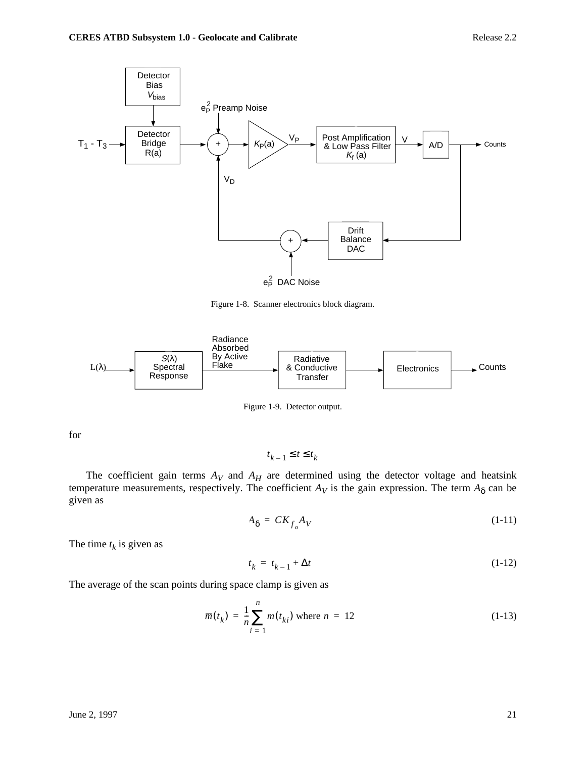

Figure 1-8. Scanner electronics block diagram.



Figure 1-9. Detector output.

for

 $t_{k-1} \leq t \leq t_k$ 

The coefficient gain terms  $A_V$  and  $A_H$  are determined using the detector voltage and heatsink temperature measurements, respectively. The coefficient  $A_V$  is the gain expression. The term  $A_\delta$  can be given as

$$
A_{\delta} = C K_{f_o} A_V \tag{1-11}
$$

The time  $t_k$  is given as

$$
t_k = t_{k-1} + \Delta t \tag{1-12}
$$

The average of the scan points during space clamp is given as

$$
\overline{m}(t_k) = \frac{1}{n} \sum_{i=1}^{n} m(t_{ki}) \text{ where } n = 12
$$
 (1-13)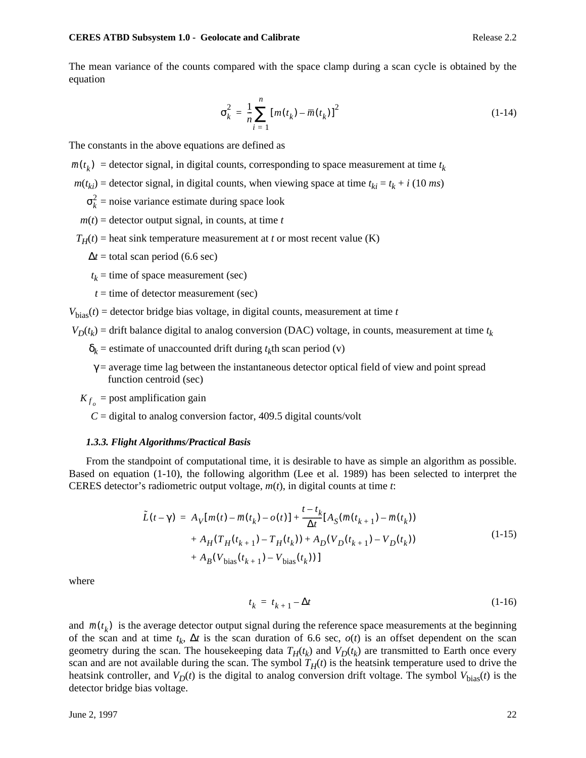The mean variance of the counts compared with the space clamp during a scan cycle is obtained by the equation

$$
\sigma_k^2 = \frac{1}{n} \sum_{i=1}^n \left[ m(t_k) - \overline{m}(t_k) \right]^2
$$
 (1-14)

The constants in the above equations are defined as

- $\overline{m}(t_k)$  = detector signal, in digital counts, corresponding to space measurement at time  $t_k$
- $m(t_{ki})$  = detector signal, in digital counts, when viewing space at time  $t_{ki} = t_k + i (10 \text{ ms})$ 
	- $\sigma_k^2$  = noise variance estimate during space look
	- $m(t)$  = detector output signal, in counts, at time *t*

 $T_H(t)$  = heat sink temperature measurement at *t* or most recent value (K)

- $\Delta t$  = total scan period (6.6 sec)
- $t_k$  = time of space measurement (sec)
- $t =$  time of detector measurement (sec)

 $V_{\text{bias}}(t)$  = detector bridge bias voltage, in digital counts, measurement at time *t* 

 $V_D(t_k)$  = drift balance digital to analog conversion (DAC) voltage, in counts, measurement at time  $t_k$ 

- $\delta_k$  = estimate of unaccounted drift during  $t_k$ th scan period (v)
- $\gamma$  = average time lag between the instantaneous detector optical field of view and point spread function centroid (sec)

 $K_{f_o}$  = post amplification gain

 $C =$  digital to analog conversion factor, 409.5 digital counts/volt

### *1.3.3. Flight Algorithms/Practical Basis*

From the standpoint of computational time, it is desirable to have as simple an algorithm as possible. Based on equation (1-10), the following algorithm (Lee et al. 1989) has been selected to interpret the CERES detector's radiometric output voltage, *m*(*t*), in digital counts at time *t*:

$$
\tilde{L}(t-\gamma) = A_V[m(t) - \overline{m}(t_k) - o(t)] + \frac{t - t_k}{\Delta t} [A_S(\overline{m}(t_{k+1}) - \overline{m}(t_k)) + A_H(T_H(t_{k+1}) - T_H(t_k)) + A_D(V_D(t_{k+1}) - V_D(t_k)) + A_B(V_{bias}(t_{k+1}) - V_{bias}(t_k))]
$$
\n(1-15)

where

$$
t_k = t_{k+1} - \Delta t \tag{1-16}
$$

and  $\bar{m}(t_k)$  is the average detector output signal during the reference space measurements at the beginning of the scan and at time  $t_k$ ,  $\Delta t$  is the scan duration of 6.6 sec,  $o(t)$  is an offset dependent on the scan geometry during the scan. The housekeeping data  $T_H(t_k)$  and  $V_D(t_k)$  are transmitted to Earth once every scan and are not available during the scan. The symbol  $T<sub>H</sub>(t)$  is the heatsink temperature used to drive the heatsink controller, and  $V_D(t)$  is the digital to analog conversion drift voltage. The symbol  $V_{bias}(t)$  is the detector bridge bias voltage.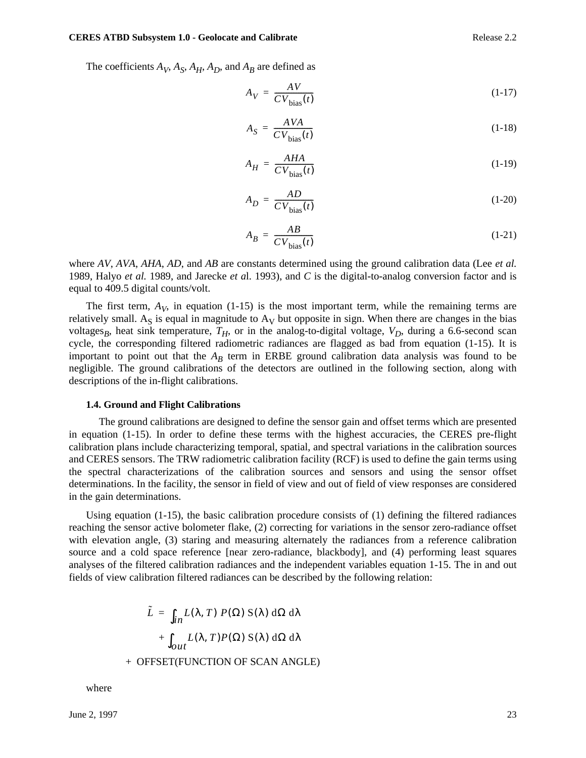#### **CERES ATBD Subsystem 1.0 - Geolocate and Calibrate Release 2.2 Release 2.2**

The coefficients  $A_V$ ,  $A_S$ ,  $A_H$ ,  $A_D$ , and  $A_B$  are defined as

$$
A_V = \frac{AV}{CV_{bias}(t)}\tag{1-17}
$$

$$
A_S = \frac{AVA}{CV_{bias}(t)}\tag{1-18}
$$

$$
A_H = \frac{AHA}{CV_{bias}(t)}\tag{1-19}
$$

$$
A_D = \frac{AD}{CV_{bias}(t)}\tag{1-20}
$$

$$
A_B = \frac{AB}{CV_{bias}(t)}\tag{1-21}
$$

where *AV*, *AVA*, *AHA*, *AD*, and *AB* are constants determined using the ground calibration data (Lee *et al.* 1989, Halyo *et al.* 1989, and Jarecke *et a*l. 1993), and *C* is the digital-to-analog conversion factor and is equal to 409.5 digital counts/volt.

The first term,  $A_V$ , in equation (1-15) is the most important term, while the remaining terms are relatively small. A<sub>S</sub> is equal in magnitude to  $A_V$  but opposite in sign. When there are changes in the bias voltages<sub>*B*</sub>, heat sink temperature,  $T_H$ , or in the analog-to-digital voltage,  $V_D$ , during a 6.6-second scan cycle, the corresponding filtered radiometric radiances are flagged as bad from equation (1-15). It is important to point out that the  $A_B$  term in ERBE ground calibration data analysis was found to be negligible. The ground calibrations of the detectors are outlined in the following section, along with descriptions of the in-flight calibrations.

#### **1.4. Ground and Flight Calibrations**

 The ground calibrations are designed to define the sensor gain and offset terms which are presented in equation (1-15). In order to define these terms with the highest accuracies, the CERES pre-flight calibration plans include characterizing temporal, spatial, and spectral variations in the calibration sources and CERES sensors. The TRW radiometric calibration facility (RCF) is used to define the gain terms using the spectral characterizations of the calibration sources and sensors and using the sensor offset determinations. In the facility, the sensor in field of view and out of field of view responses are considered in the gain determinations.

Using equation  $(1-15)$ , the basic calibration procedure consists of  $(1)$  defining the filtered radiances reaching the sensor active bolometer flake, (2) correcting for variations in the sensor zero-radiance offset with elevation angle, (3) staring and measuring alternately the radiances from a reference calibration source and a cold space reference [near zero-radiance, blackbody], and (4) performing least squares analyses of the filtered calibration radiances and the independent variables equation 1-15. The in and out fields of view calibration filtered radiances can be described by the following relation:

$$
\tilde{L} = \int_{in} L(\lambda, T) P(\Omega) S(\lambda) d\Omega d\lambda
$$

$$
+ \int_{out} L(\lambda, T) P(\Omega) S(\lambda) d\Omega d\lambda
$$
OFFSET/EINCTION OF SCAN ANGI E

+ OFFSET(FUNCTION OF SCAN ANGLE)

where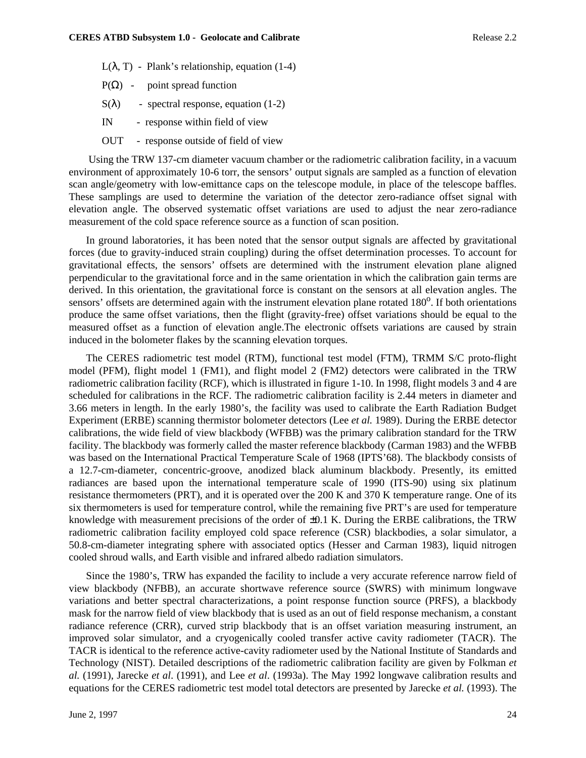- L(λ, T) Plank's relationship, equation  $(1-4)$
- $P(\Omega)$  point spread function
- $S(\lambda)$  spectral response, equation (1-2)
- IN response within field of view
- OUT response outside of field of view

 Using the TRW 137-cm diameter vacuum chamber or the radiometric calibration facility, in a vacuum environment of approximately 10-6 torr, the sensors' output signals are sampled as a function of elevation scan angle/geometry with low-emittance caps on the telescope module, in place of the telescope baffles. These samplings are used to determine the variation of the detector zero-radiance offset signal with elevation angle. The observed systematic offset variations are used to adjust the near zero-radiance measurement of the cold space reference source as a function of scan position.

In ground laboratories, it has been noted that the sensor output signals are affected by gravitational forces (due to gravity-induced strain coupling) during the offset determination processes. To account for gravitational effects, the sensors' offsets are determined with the instrument elevation plane aligned perpendicular to the gravitational force and in the same orientation in which the calibration gain terms are derived. In this orientation, the gravitational force is constant on the sensors at all elevation angles. The sensors' offsets are determined again with the instrument elevation plane rotated 180<sup>o</sup>. If both orientations produce the same offset variations, then the flight (gravity-free) offset variations should be equal to the measured offset as a function of elevation angle.The electronic offsets variations are caused by strain induced in the bolometer flakes by the scanning elevation torques.

The CERES radiometric test model (RTM), functional test model (FTM), TRMM S/C proto-flight model (PFM), flight model 1 (FM1), and flight model 2 (FM2) detectors were calibrated in the TRW radiometric calibration facility (RCF), which is illustrated in figure 1-10. In 1998, flight models 3 and 4 are scheduled for calibrations in the RCF. The radiometric calibration facility is 2.44 meters in diameter and 3.66 meters in length. In the early 1980's, the facility was used to calibrate the Earth Radiation Budget Experiment (ERBE) scanning thermistor bolometer detectors (Lee *et al.* 1989). During the ERBE detector calibrations, the wide field of view blackbody (WFBB) was the primary calibration standard for the TRW facility. The blackbody was formerly called the master reference blackbody (Carman 1983) and the WFBB was based on the International Practical Temperature Scale of 1968 (IPTS'68). The blackbody consists of a 12.7-cm-diameter, concentric-groove, anodized black aluminum blackbody. Presently, its emitted radiances are based upon the international temperature scale of 1990 (ITS-90) using six platinum resistance thermometers (PRT), and it is operated over the 200 K and 370 K temperature range. One of its six thermometers is used for temperature control, while the remaining five PRT's are used for temperature knowledge with measurement precisions of the order of  $\pm 0.1$  K. During the ERBE calibrations, the TRW radiometric calibration facility employed cold space reference (CSR) blackbodies, a solar simulator, a 50.8-cm-diameter integrating sphere with associated optics (Hesser and Carman 1983), liquid nitrogen cooled shroud walls, and Earth visible and infrared albedo radiation simulators.

Since the 1980's, TRW has expanded the facility to include a very accurate reference narrow field of view blackbody (NFBB), an accurate shortwave reference source (SWRS) with minimum longwave variations and better spectral characterizations, a point response function source (PRFS), a blackbody mask for the narrow field of view blackbody that is used as an out of field response mechanism, a constant radiance reference (CRR), curved strip blackbody that is an offset variation measuring instrument, an improved solar simulator, and a cryogenically cooled transfer active cavity radiometer (TACR). The TACR is identical to the reference active-cavity radiometer used by the National Institute of Standards and Technology (NIST). Detailed descriptions of the radiometric calibration facility are given by Folkman *et al.* (1991), Jarecke *et al*. (1991), and Lee *et al*. (1993a). The May 1992 longwave calibration results and equations for the CERES radiometric test model total detectors are presented by Jarecke *et al.* (1993). The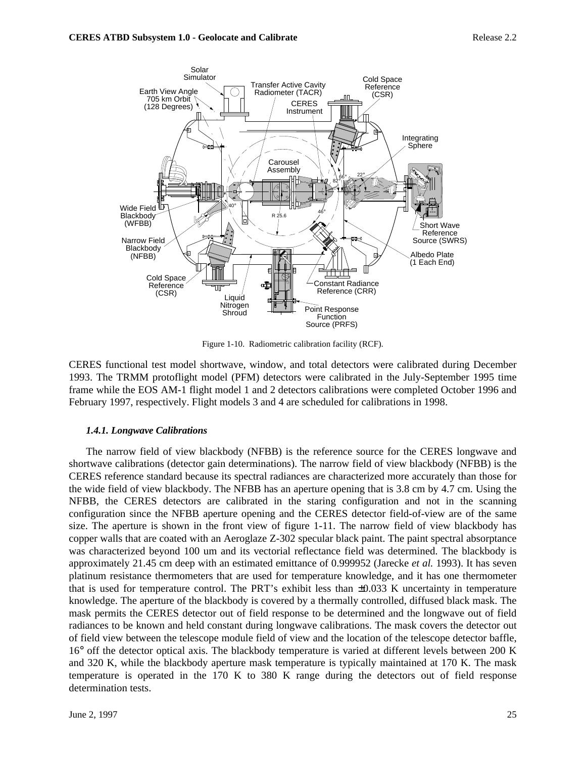

Figure 1-10. Radiometric calibration facility (RCF).

CERES functional test model shortwave, window, and total detectors were calibrated during December 1993. The TRMM protoflight model (PFM) detectors were calibrated in the July-September 1995 time frame while the EOS AM-1 flight model 1 and 2 detectors calibrations were completed October 1996 and February 1997, respectively. Flight models 3 and 4 are scheduled for calibrations in 1998.

# *1.4.1. Longwave Calibrations*

The narrow field of view blackbody (NFBB) is the reference source for the CERES longwave and shortwave calibrations (detector gain determinations). The narrow field of view blackbody (NFBB) is the CERES reference standard because its spectral radiances are characterized more accurately than those for the wide field of view blackbody. The NFBB has an aperture opening that is 3.8 cm by 4.7 cm. Using the NFBB, the CERES detectors are calibrated in the staring configuration and not in the scanning configuration since the NFBB aperture opening and the CERES detector field-of-view are of the same size. The aperture is shown in the front view of figure 1-11. The narrow field of view blackbody has copper walls that are coated with an Aeroglaze Z-302 specular black paint. The paint spectral absorptance was characterized beyond 100 um and its vectorial reflectance field was determined. The blackbody is approximately 21.45 cm deep with an estimated emittance of 0.999952 (Jarecke *et al.* 1993). It has seven platinum resistance thermometers that are used for temperature knowledge, and it has one thermometer that is used for temperature control. The PRT's exhibit less than  $\pm 0.033$  K uncertainty in temperature knowledge. The aperture of the blackbody is covered by a thermally controlled, diffused black mask. The mask permits the CERES detector out of field response to be determined and the longwave out of field radiances to be known and held constant during longwave calibrations. The mask covers the detector out of field view between the telescope module field of view and the location of the telescope detector baffle, 16° off the detector optical axis. The blackbody temperature is varied at different levels between 200 K and 320 K, while the blackbody aperture mask temperature is typically maintained at 170 K. The mask temperature is operated in the 170 K to 380 K range during the detectors out of field response determination tests.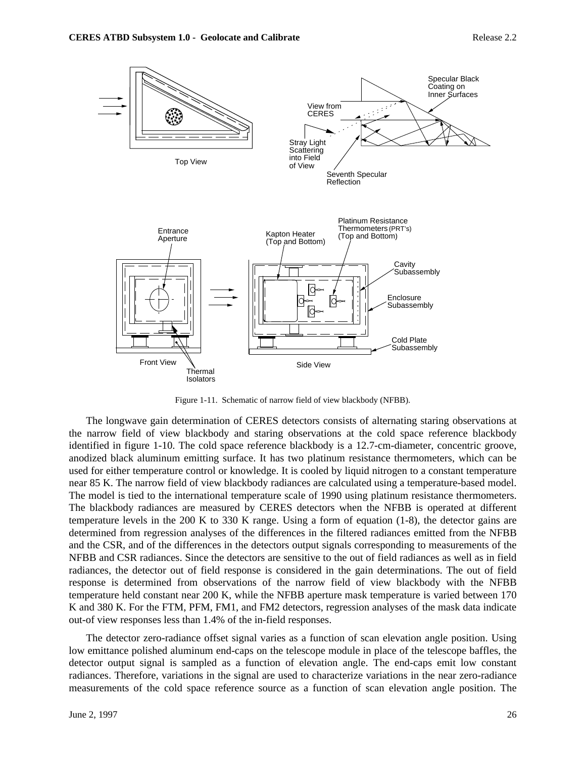

Figure 1-11. Schematic of narrow field of view blackbody (NFBB).

The longwave gain determination of CERES detectors consists of alternating staring observations at the narrow field of view blackbody and staring observations at the cold space reference blackbody identified in figure 1-10. The cold space reference blackbody is a 12.7-cm-diameter, concentric groove, anodized black aluminum emitting surface. It has two platinum resistance thermometers, which can be used for either temperature control or knowledge. It is cooled by liquid nitrogen to a constant temperature near 85 K. The narrow field of view blackbody radiances are calculated using a temperature-based model. The model is tied to the international temperature scale of 1990 using platinum resistance thermometers. The blackbody radiances are measured by CERES detectors when the NFBB is operated at different temperature levels in the 200 K to 330 K range. Using a form of equation (1-8), the detector gains are determined from regression analyses of the differences in the filtered radiances emitted from the NFBB and the CSR, and of the differences in the detectors output signals corresponding to measurements of the NFBB and CSR radiances. Since the detectors are sensitive to the out of field radiances as well as in field radiances, the detector out of field response is considered in the gain determinations. The out of field response is determined from observations of the narrow field of view blackbody with the NFBB temperature held constant near 200 K, while the NFBB aperture mask temperature is varied between 170 K and 380 K. For the FTM, PFM, FM1, and FM2 detectors, regression analyses of the mask data indicate out-of view responses less than 1.4% of the in-field responses.

The detector zero-radiance offset signal varies as a function of scan elevation angle position. Using low emittance polished aluminum end-caps on the telescope module in place of the telescope baffles, the detector output signal is sampled as a function of elevation angle. The end-caps emit low constant radiances. Therefore, variations in the signal are used to characterize variations in the near zero-radiance measurements of the cold space reference source as a function of scan elevation angle position. The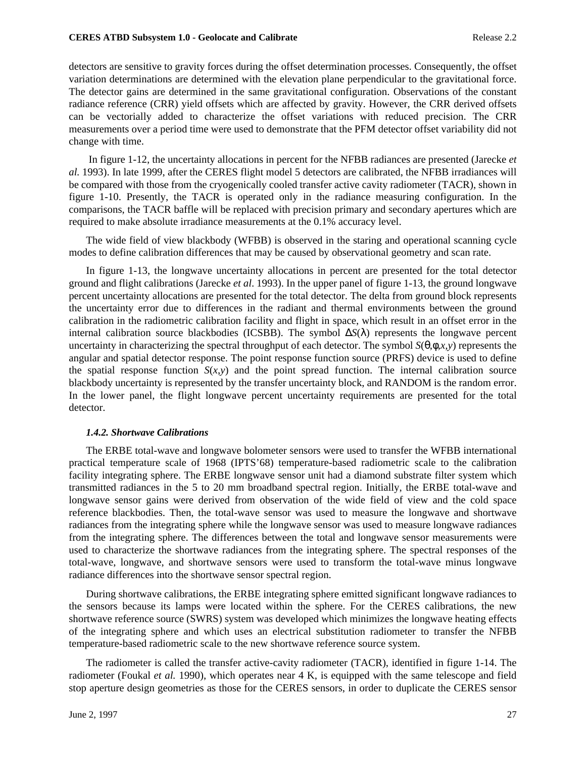#### **CERES ATBD Subsystem 1.0 - Geolocate and Calibrate Release 2.2 Release 2.2**

detectors are sensitive to gravity forces during the offset determination processes. Consequently, the offset variation determinations are determined with the elevation plane perpendicular to the gravitational force. The detector gains are determined in the same gravitational configuration. Observations of the constant radiance reference (CRR) yield offsets which are affected by gravity. However, the CRR derived offsets can be vectorially added to characterize the offset variations with reduced precision. The CRR measurements over a period time were used to demonstrate that the PFM detector offset variability did not change with time.

 In figure 1-12, the uncertainty allocations in percent for the NFBB radiances are presented (Jarecke *et al.* 1993). In late 1999, after the CERES flight model 5 detectors are calibrated, the NFBB irradiances will be compared with those from the cryogenically cooled transfer active cavity radiometer (TACR), shown in figure 1-10. Presently, the TACR is operated only in the radiance measuring configuration. In the comparisons, the TACR baffle will be replaced with precision primary and secondary apertures which are required to make absolute irradiance measurements at the 0.1% accuracy level.

The wide field of view blackbody (WFBB) is observed in the staring and operational scanning cycle modes to define calibration differences that may be caused by observational geometry and scan rate.

In figure 1-13, the longwave uncertainty allocations in percent are presented for the total detector ground and flight calibrations (Jarecke *et al*. 1993). In the upper panel of figure 1-13, the ground longwave percent uncertainty allocations are presented for the total detector. The delta from ground block represents the uncertainty error due to differences in the radiant and thermal environments between the ground calibration in the radiometric calibration facility and flight in space, which result in an offset error in the internal calibration source blackbodies (ICSBB). The symbol ∆*S*(λ) represents the longwave percent uncertainty in characterizing the spectral throughput of each detector. The symbol  $S(\theta, \phi, x, y)$  represents the angular and spatial detector response. The point response function source (PRFS) device is used to define the spatial response function  $S(x,y)$  and the point spread function. The internal calibration source blackbody uncertainty is represented by the transfer uncertainty block, and RANDOM is the random error. In the lower panel, the flight longwave percent uncertainty requirements are presented for the total detector.

### *1.4.2. Shortwave Calibrations*

The ERBE total-wave and longwave bolometer sensors were used to transfer the WFBB international practical temperature scale of 1968 (IPTS'68) temperature-based radiometric scale to the calibration facility integrating sphere. The ERBE longwave sensor unit had a diamond substrate filter system which transmitted radiances in the 5 to 20 mm broadband spectral region. Initially, the ERBE total-wave and longwave sensor gains were derived from observation of the wide field of view and the cold space reference blackbodies. Then, the total-wave sensor was used to measure the longwave and shortwave radiances from the integrating sphere while the longwave sensor was used to measure longwave radiances from the integrating sphere. The differences between the total and longwave sensor measurements were used to characterize the shortwave radiances from the integrating sphere. The spectral responses of the total-wave, longwave, and shortwave sensors were used to transform the total-wave minus longwave radiance differences into the shortwave sensor spectral region.

During shortwave calibrations, the ERBE integrating sphere emitted significant longwave radiances to the sensors because its lamps were located within the sphere. For the CERES calibrations, the new shortwave reference source (SWRS) system was developed which minimizes the longwave heating effects of the integrating sphere and which uses an electrical substitution radiometer to transfer the NFBB temperature-based radiometric scale to the new shortwave reference source system.

The radiometer is called the transfer active-cavity radiometer (TACR), identified in figure 1-14. The radiometer (Foukal *et al.* 1990), which operates near 4 K, is equipped with the same telescope and field stop aperture design geometries as those for the CERES sensors, in order to duplicate the CERES sensor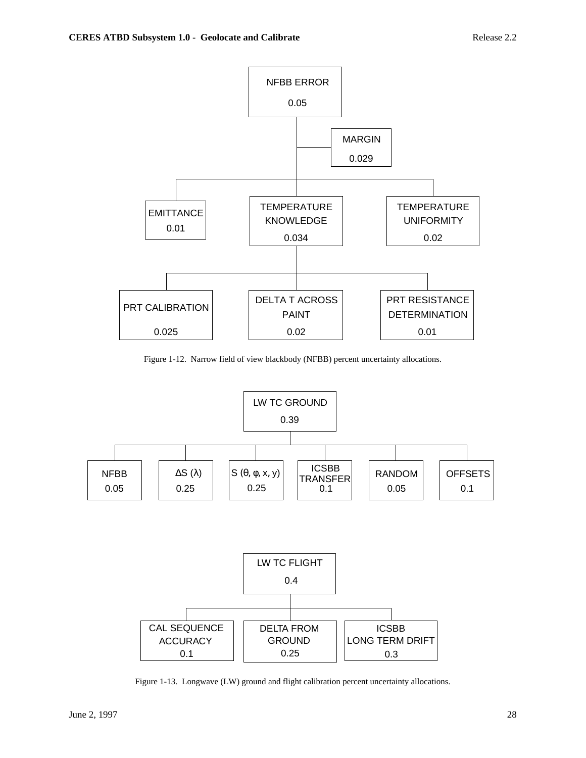

Figure 1-12. Narrow field of view blackbody (NFBB) percent uncertainty allocations.



Figure 1-13. Longwave (LW) ground and flight calibration percent uncertainty allocations.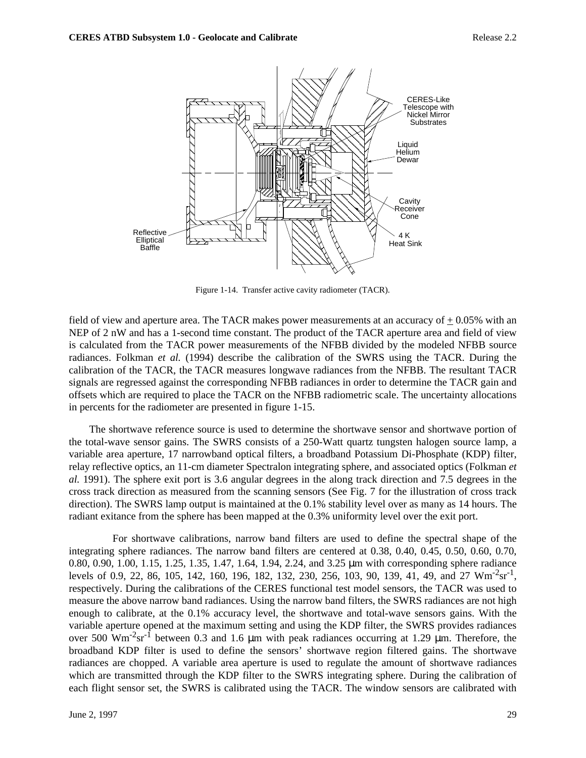

Figure 1-14. Transfer active cavity radiometer (TACR).

field of view and aperture area. The TACR makes power measurements at an accuracy of  $+0.05\%$  with an NEP of 2 nW and has a 1-second time constant. The product of the TACR aperture area and field of view is calculated from the TACR power measurements of the NFBB divided by the modeled NFBB source radiances. Folkman *et al.* (1994) describe the calibration of the SWRS using the TACR. During the calibration of the TACR, the TACR measures longwave radiances from the NFBB. The resultant TACR signals are regressed against the corresponding NFBB radiances in order to determine the TACR gain and offsets which are required to place the TACR on the NFBB radiometric scale. The uncertainty allocations in percents for the radiometer are presented in figure 1-15.

 The shortwave reference source is used to determine the shortwave sensor and shortwave portion of the total-wave sensor gains. The SWRS consists of a 250-Watt quartz tungsten halogen source lamp, a variable area aperture, 17 narrowband optical filters, a broadband Potassium Di-Phosphate (KDP) filter, relay reflective optics, an 11-cm diameter Spectralon integrating sphere, and associated optics (Folkman *et al.* 1991). The sphere exit port is 3.6 angular degrees in the along track direction and 7.5 degrees in the cross track direction as measured from the scanning sensors (See Fig. 7 for the illustration of cross track direction). The SWRS lamp output is maintained at the 0.1% stability level over as many as 14 hours. The radiant exitance from the sphere has been mapped at the 0.3% uniformity level over the exit port.

 For shortwave calibrations, narrow band filters are used to define the spectral shape of the integrating sphere radiances. The narrow band filters are centered at 0.38, 0.40, 0.45, 0.50, 0.60, 0.70, 0.80, 0.90, 1.00, 1.15, 1.25, 1.35, 1.47, 1.64, 1.94, 2.24, and 3.25 µm with corresponding sphere radiance levels of 0.9, 22, 86, 105, 142, 160, 196, 182, 132, 230, 256, 103, 90, 139, 41, 49, and 27  $\text{Wm}^2\text{sr}^1$ , respectively. During the calibrations of the CERES functional test model sensors, the TACR was used to measure the above narrow band radiances. Using the narrow band filters, the SWRS radiances are not high enough to calibrate, at the 0.1% accuracy level, the shortwave and total-wave sensors gains. With the variable aperture opened at the maximum setting and using the KDP filter, the SWRS provides radiances over 500  $\text{Wm}^2\text{sr}^1$  between 0.3 and 1.6  $\mu$ m with peak radiances occurring at 1.29  $\mu$ m. Therefore, the broadband KDP filter is used to define the sensors' shortwave region filtered gains. The shortwave radiances are chopped. A variable area aperture is used to regulate the amount of shortwave radiances which are transmitted through the KDP filter to the SWRS integrating sphere. During the calibration of each flight sensor set, the SWRS is calibrated using the TACR. The window sensors are calibrated with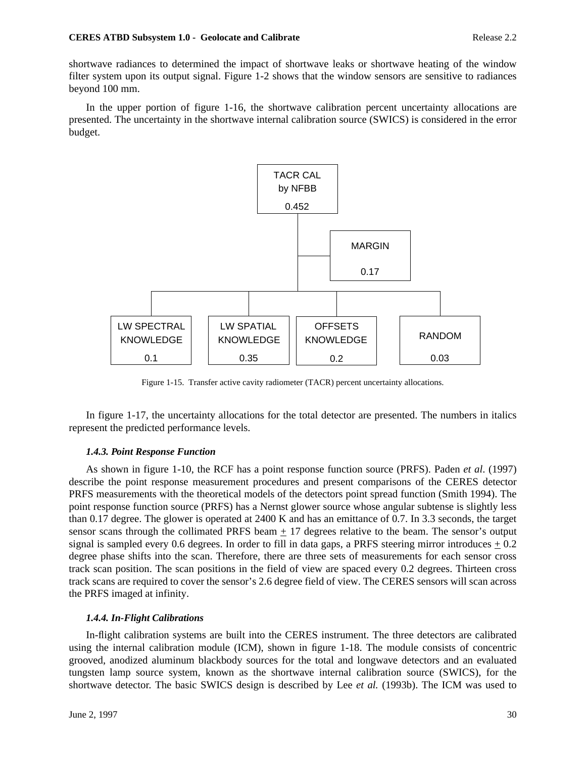shortwave radiances to determined the impact of shortwave leaks or shortwave heating of the window filter system upon its output signal. Figure 1-2 shows that the window sensors are sensitive to radiances beyond 100 mm.

In the upper portion of figure 1-16, the shortwave calibration percent uncertainty allocations are presented. The uncertainty in the shortwave internal calibration source (SWICS) is considered in the error budget.



Figure 1-15. Transfer active cavity radiometer (TACR) percent uncertainty allocations.

In figure 1-17, the uncertainty allocations for the total detector are presented. The numbers in italics represent the predicted performance levels.

# *1.4.3. Point Response Function*

As shown in figure 1-10, the RCF has a point response function source (PRFS). Paden *et al*. (1997) describe the point response measurement procedures and present comparisons of the CERES detector PRFS measurements with the theoretical models of the detectors point spread function (Smith 1994). The point response function source (PRFS) has a Nernst glower source whose angular subtense is slightly less than 0.17 degree. The glower is operated at 2400 K and has an emittance of 0.7. In 3.3 seconds, the target sensor scans through the collimated PRFS beam  $\pm$  17 degrees relative to the beam. The sensor's output signal is sampled every 0.6 degrees. In order to fill in data gaps, a PRFS steering mirror introduces  $\pm$  0.2 degree phase shifts into the scan. Therefore, there are three sets of measurements for each sensor cross track scan position. The scan positions in the field of view are spaced every 0.2 degrees. Thirteen cross track scans are required to cover the sensor's 2.6 degree field of view. The CERES sensors will scan across the PRFS imaged at infinity.

# *1.4.4. In-Flight Calibrations*

In-flight calibration systems are built into the CERES instrument. The three detectors are calibrated using the internal calibration module (ICM), shown in figure 1-18. The module consists of concentric grooved, anodized aluminum blackbody sources for the total and longwave detectors and an evaluated tungsten lamp source system, known as the shortwave internal calibration source (SWICS), for the shortwave detector. The basic SWICS design is described by Lee *et al.* (1993b). The ICM was used to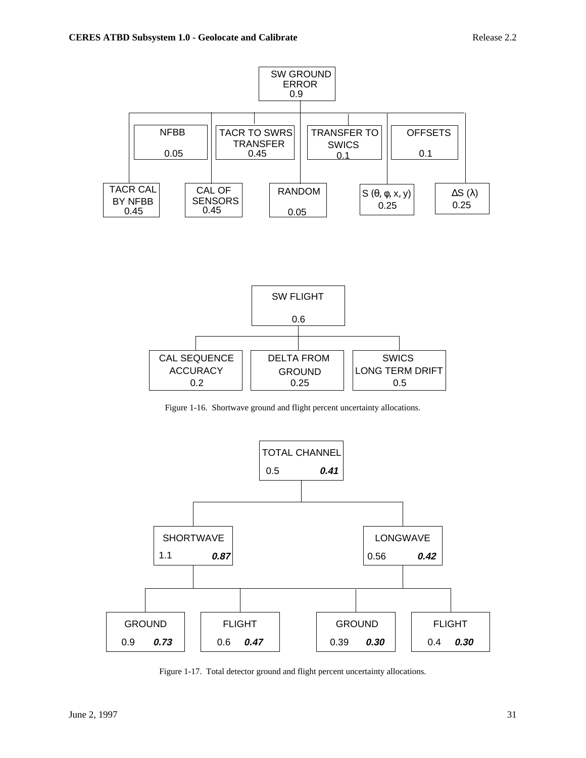



Figure 1-16. Shortwave ground and flight percent uncertainty allocations.



Figure 1-17. Total detector ground and flight percent uncertainty allocations.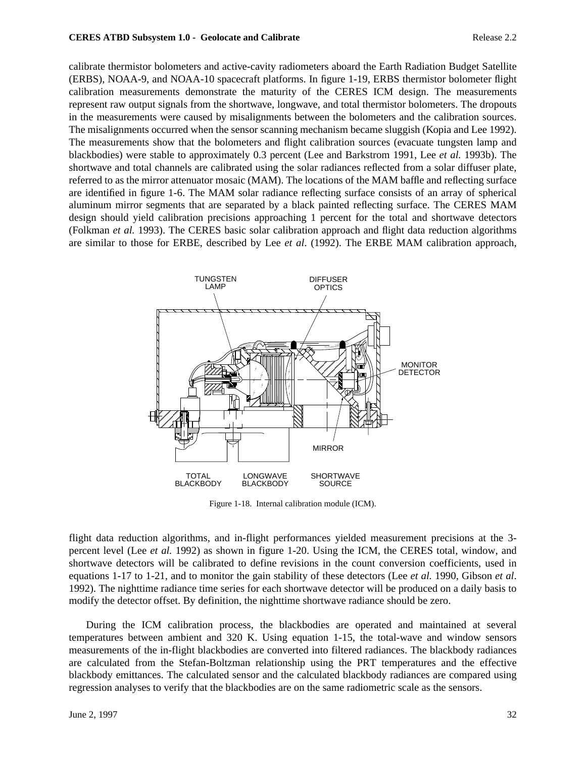calibrate thermistor bolometers and active-cavity radiometers aboard the Earth Radiation Budget Satellite (ERBS), NOAA-9, and NOAA-10 spacecraft platforms. In figure 1-19, ERBS thermistor bolometer flight calibration measurements demonstrate the maturity of the CERES ICM design. The measurements represent raw output signals from the shortwave, longwave, and total thermistor bolometers. The dropouts in the measurements were caused by misalignments between the bolometers and the calibration sources. The misalignments occurred when the sensor scanning mechanism became sluggish (Kopia and Lee 1992). The measurements show that the bolometers and flight calibration sources (evacuate tungsten lamp and blackbodies) were stable to approximately 0.3 percent (Lee and Barkstrom 1991, Lee *et al.* 1993b). The shortwave and total channels are calibrated using the solar radiances reflected from a solar diffuser plate, referred to as the mirror attenuator mosaic (MAM). The locations of the MAM baffle and reflecting surface are identified in figure 1-6. The MAM solar radiance reflecting surface consists of an array of spherical aluminum mirror segments that are separated by a black painted reflecting surface. The CERES MAM design should yield calibration precisions approaching 1 percent for the total and shortwave detectors (Folkman *et al.* 1993). The CERES basic solar calibration approach and flight data reduction algorithms are similar to those for ERBE, described by Lee *et al*. (1992). The ERBE MAM calibration approach,



Figure 1-18. Internal calibration module (ICM).

flight data reduction algorithms, and in-flight performances yielded measurement precisions at the 3 percent level (Lee *et al.* 1992) as shown in figure 1-20. Using the ICM, the CERES total, window, and shortwave detectors will be calibrated to define revisions in the count conversion coefficients, used in equations 1-17 to 1-21, and to monitor the gain stability of these detectors (Lee *et al.* 1990, Gibson *et al*. 1992). The nighttime radiance time series for each shortwave detector will be produced on a daily basis to modify the detector offset. By definition, the nighttime shortwave radiance should be zero.

During the ICM calibration process, the blackbodies are operated and maintained at several temperatures between ambient and 320 K. Using equation 1-15, the total-wave and window sensors measurements of the in-flight blackbodies are converted into filtered radiances. The blackbody radiances are calculated from the Stefan-Boltzman relationship using the PRT temperatures and the effective blackbody emittances. The calculated sensor and the calculated blackbody radiances are compared using regression analyses to verify that the blackbodies are on the same radiometric scale as the sensors.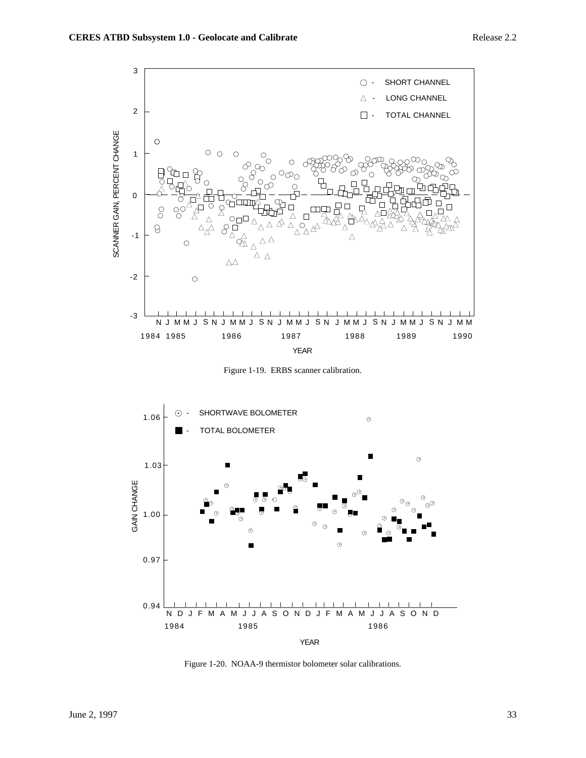

Figure 1-19. ERBS scanner calibration.



Figure 1-20. NOAA-9 thermistor bolometer solar calibrations.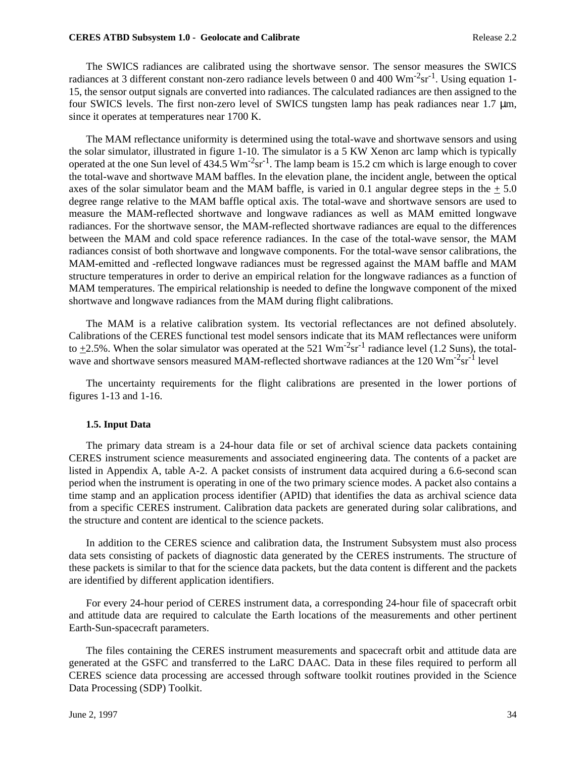#### **CERES ATBD Subsystem 1.0 - Geolocate and Calibrate Release 2.2 Release 2.2**

The SWICS radiances are calibrated using the shortwave sensor. The sensor measures the SWICS radiances at 3 different constant non-zero radiance levels between 0 and 400  $\text{Wm}^{-2}\text{sr}^{-1}$ . Using equation 1-15, the sensor output signals are converted into radiances. The calculated radiances are then assigned to the four SWICS levels. The first non-zero level of SWICS tungsten lamp has peak radiances near 1.7  $\mu$ m, since it operates at temperatures near 1700 K.

The MAM reflectance uniformity is determined using the total-wave and shortwave sensors and using the solar simulator, illustrated in figure 1-10. The simulator is a 5 KW Xenon arc lamp which is typically operated at the one Sun level of  $434.5 \text{ Wm}^2 \text{sr}^1$ . The lamp beam is 15.2 cm which is large enough to cover the total-wave and shortwave MAM baffles. In the elevation plane, the incident angle, between the optical axes of the solar simulator beam and the MAM baffle, is varied in 0.1 angular degree steps in the  $+ 5.0$ degree range relative to the MAM baffle optical axis. The total-wave and shortwave sensors are used to measure the MAM-reflected shortwave and longwave radiances as well as MAM emitted longwave radiances. For the shortwave sensor, the MAM-reflected shortwave radiances are equal to the differences between the MAM and cold space reference radiances. In the case of the total-wave sensor, the MAM radiances consist of both shortwave and longwave components. For the total-wave sensor calibrations, the MAM-emitted and -reflected longwave radiances must be regressed against the MAM baffle and MAM structure temperatures in order to derive an empirical relation for the longwave radiances as a function of MAM temperatures. The empirical relationship is needed to define the longwave component of the mixed shortwave and longwave radiances from the MAM during flight calibrations.

The MAM is a relative calibration system. Its vectorial reflectances are not defined absolutely. Calibrations of the CERES functional test model sensors indicate that its MAM reflectances were uniform to +2.5%. When the solar simulator was operated at the 521  $\text{Wm}^2\text{sr}^1$  radiance level (1.2 Suns), the totalwave and shortwave sensors measured MAM-reflected shortwave radiances at the 120 Wm<sup>-2</sup>sr<sup>-1</sup> level

The uncertainty requirements for the flight calibrations are presented in the lower portions of figures 1-13 and 1-16.

#### **1.5. Input Data**

The primary data stream is a 24-hour data file or set of archival science data packets containing CERES instrument science measurements and associated engineering data. The contents of a packet are listed in Appendix A, table A-2. A packet consists of instrument data acquired during a 6.6-second scan period when the instrument is operating in one of the two primary science modes. A packet also contains a time stamp and an application process identifier (APID) that identifies the data as archival science data from a specific CERES instrument. Calibration data packets are generated during solar calibrations, and the structure and content are identical to the science packets.

In addition to the CERES science and calibration data, the Instrument Subsystem must also process data sets consisting of packets of diagnostic data generated by the CERES instruments. The structure of these packets is similar to that for the science data packets, but the data content is different and the packets are identified by different application identifiers.

For every 24-hour period of CERES instrument data, a corresponding 24-hour file of spacecraft orbit and attitude data are required to calculate the Earth locations of the measurements and other pertinent Earth-Sun-spacecraft parameters.

The files containing the CERES instrument measurements and spacecraft orbit and attitude data are generated at the GSFC and transferred to the LaRC DAAC. Data in these files required to perform all CERES science data processing are accessed through software toolkit routines provided in the Science Data Processing (SDP) Toolkit.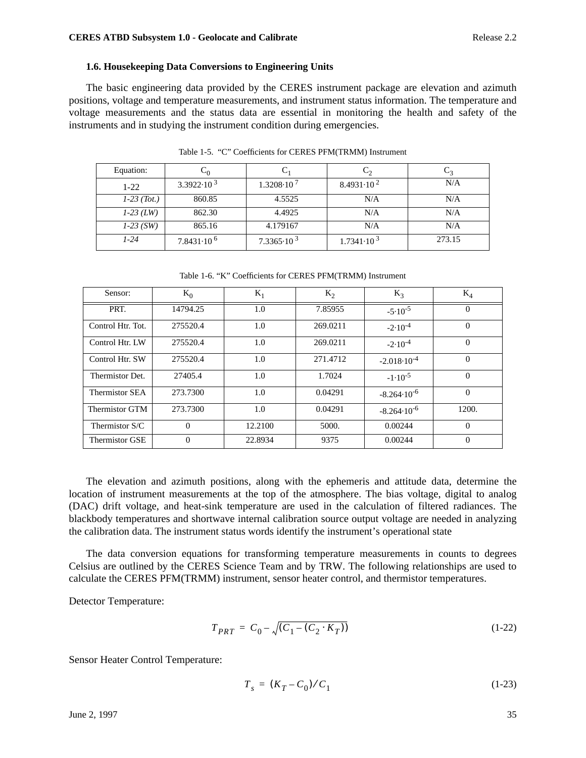## **1.6. Housekeeping Data Conversions to Engineering Units**

The basic engineering data provided by the CERES instrument package are elevation and azimuth positions, voltage and temperature measurements, and instrument status information. The temperature and voltage measurements and the status data are essential in monitoring the health and safety of the instruments and in studying the instrument condition during emergencies.

| Equation:     |                       |                       |                       |        |
|---------------|-----------------------|-----------------------|-----------------------|--------|
| $1-22$        | $3.3922 \cdot 10^{3}$ | $1.3208 \cdot 10^{7}$ | $8.4931 \cdot 10^{2}$ | N/A    |
| $1-23$ (Tot.) | 860.85                | 4.5525                | N/A                   | N/A    |
| $1-23$ (LW)   | 862.30                | 4.4925                | N/A                   | N/A    |
| $1-23$ (SW)   | 865.16                | 4.179167              | N/A                   | N/A    |
| $1 - 24$      | $7.8431 \cdot 10^{6}$ | $7.3365 \cdot 10^{3}$ | $1.7341 \cdot 10^{3}$ | 273.15 |

Table 1-5. "C" Coefficients for CERES PFM(TRMM) Instrument

Table 1-6. "K" Coefficients for CERES PFM(TRMM) Instrument

| Sensor:               | $K_0$    | $K_1$   | $K_2$    | $K_3$                  | $K_4$    |
|-----------------------|----------|---------|----------|------------------------|----------|
| PRT.                  | 14794.25 | 1.0     | 7.85955  | $-5.10^{-5}$           | $\Omega$ |
| Control Htr. Tot.     | 275520.4 | 1.0     | 269.0211 | $-2.10^{-4}$           | $\Omega$ |
| Control Htr. LW       | 275520.4 | 1.0     | 269.0211 | $-2.10^{-4}$           | $\Omega$ |
| Control Htr. SW       | 275520.4 | 1.0     | 271.4712 | $-2.018 \cdot 10^{-4}$ | $\Omega$ |
| Thermistor Det.       | 27405.4  | 1.0     | 1.7024   | $-1.10^{-5}$           | $\Omega$ |
| <b>Thermistor SEA</b> | 273.7300 | 1.0     | 0.04291  | $-8.264 \cdot 10^{-6}$ | $\Omega$ |
| Thermistor GTM        | 273.7300 | 1.0     | 0.04291  | $-8.264 \cdot 10^{-6}$ | 1200.    |
| Thermistor S/C        | $\Omega$ | 12.2100 | 5000.    | 0.00244                | $\Omega$ |
| <b>Thermistor GSE</b> | $\theta$ | 22.8934 | 9375     | 0.00244                | $\theta$ |

The elevation and azimuth positions, along with the ephemeris and attitude data, determine the location of instrument measurements at the top of the atmosphere. The bias voltage, digital to analog (DAC) drift voltage, and heat-sink temperature are used in the calculation of filtered radiances. The blackbody temperatures and shortwave internal calibration source output voltage are needed in analyzing the calibration data. The instrument status words identify the instrument's operational state

The data conversion equations for transforming temperature measurements in counts to degrees Celsius are outlined by the CERES Science Team and by TRW. The following relationships are used to calculate the CERES PFM(TRMM) instrument, sensor heater control, and thermistor temperatures.

Detector Temperature:

$$
T_{PRT} = C_0 - \sqrt{(C_1 - (C_2 \cdot K_T))}
$$
\n(1-22)

Sensor Heater Control Temperature:

$$
T_s = (K_T - C_0) / C_1 \tag{1-23}
$$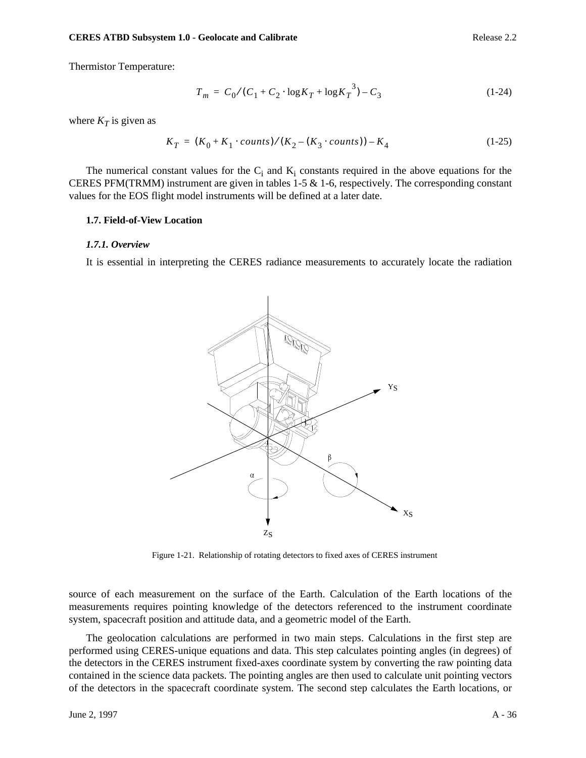Thermistor Temperature:

$$
T_m = C_0 / (C_1 + C_2 \cdot \log K_T + \log K_T^3) - C_3 \tag{1-24}
$$

where  $K_T$  is given as

$$
K_T = (K_0 + K_1 \cdot counts) / (K_2 - (K_3 \cdot counts)) - K_4 \tag{1-25}
$$

The numerical constant values for the  $C_i$  and  $K_i$  constants required in the above equations for the CERES PFM(TRMM) instrument are given in tables  $1-5 \& 1-6$ , respectively. The corresponding constant values for the EOS flight model instruments will be defined at a later date.

#### **1.7. Field-of-View Location**

#### *1.7.1. Overview*

It is essential in interpreting the CERES radiance measurements to accurately locate the radiation



Figure 1-21. Relationship of rotating detectors to fixed axes of CERES instrument

source of each measurement on the surface of the Earth. Calculation of the Earth locations of the measurements requires pointing knowledge of the detectors referenced to the instrument coordinate system, spacecraft position and attitude data, and a geometric model of the Earth.

The geolocation calculations are performed in two main steps. Calculations in the first step are performed using CERES-unique equations and data. This step calculates pointing angles (in degrees) of the detectors in the CERES instrument fixed-axes coordinate system by converting the raw pointing data contained in the science data packets. The pointing angles are then used to calculate unit pointing vectors of the detectors in the spacecraft coordinate system. The second step calculates the Earth locations, or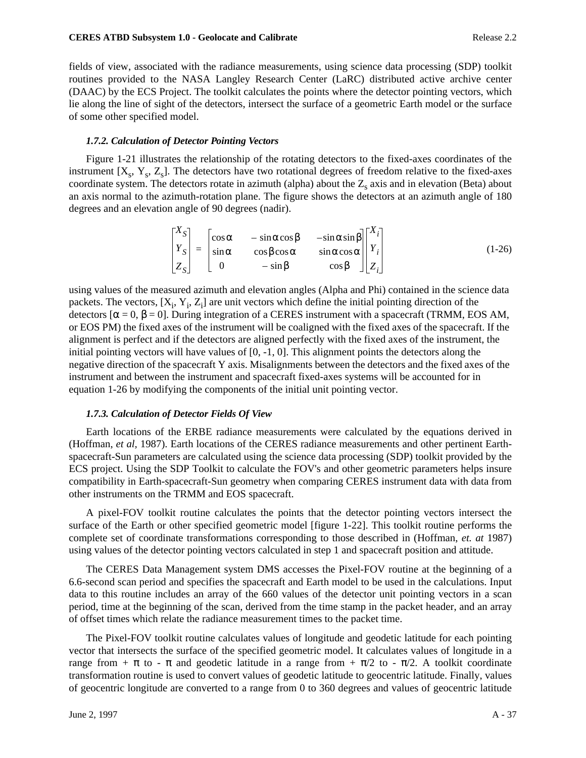#### **CERES ATBD Subsystem 1.0 - Geolocate and Calibrate Release 2.2 Release 2.2**

fields of view, associated with the radiance measurements, using science data processing (SDP) toolkit routines provided to the NASA Langley Research Center (LaRC) distributed active archive center (DAAC) by the ECS Project. The toolkit calculates the points where the detector pointing vectors, which lie along the line of sight of the detectors, intersect the surface of a geometric Earth model or the surface of some other specified model.

### *1.7.2. Calculation of Detector Pointing Vectors*

Figure 1-21 illustrates the relationship of the rotating detectors to the fixed-axes coordinates of the instrument  $[X_s, Y_s, Z_s]$ . The detectors have two rotational degrees of freedom relative to the fixed-axes coordinate system. The detectors rotate in azimuth (alpha) about the  $Z_s$  axis and in elevation (Beta) about an axis normal to the azimuth-rotation plane. The figure shows the detectors at an azimuth angle of 180 degrees and an elevation angle of 90 degrees (nadir).

$$
\begin{bmatrix} X_S \\ Y_S \\ Z_S \end{bmatrix} = \begin{bmatrix} \cos \alpha & -\sin \alpha \cos \beta & -\sin \alpha \sin \beta \\ \sin \alpha & \cos \beta \cos \alpha & \sin \alpha \cos \alpha \\ 0 & -\sin \beta & \cos \beta \end{bmatrix} \begin{bmatrix} X_i \\ Y_i \\ Z_i \end{bmatrix}
$$
(1-26)

using values of the measured azimuth and elevation angles (Alpha and Phi) contained in the science data packets. The vectors,  $[X_i, Y_i, Z_i]$  are unit vectors which define the initial pointing direction of the detectors [ $α = 0$ ,  $β = 0$ ]. During integration of a CERES instrument with a spacecraft (TRMM, EOS AM, or EOS PM) the fixed axes of the instrument will be coaligned with the fixed axes of the spacecraft. If the alignment is perfect and if the detectors are aligned perfectly with the fixed axes of the instrument, the initial pointing vectors will have values of  $[0, -1, 0]$ . This alignment points the detectors along the negative direction of the spacecraft Y axis. Misalignments between the detectors and the fixed axes of the instrument and between the instrument and spacecraft fixed-axes systems will be accounted for in equation 1-26 by modifying the components of the initial unit pointing vector.

#### *1.7.3. Calculation of Detector Fields Of View*

Earth locations of the ERBE radiance measurements were calculated by the equations derived in (Hoffman, *et al,* 1987). Earth locations of the CERES radiance measurements and other pertinent Earthspacecraft-Sun parameters are calculated using the science data processing (SDP) toolkit provided by the ECS project. Using the SDP Toolkit to calculate the FOV's and other geometric parameters helps insure compatibility in Earth-spacecraft-Sun geometry when comparing CERES instrument data with data from other instruments on the TRMM and EOS spacecraft.

A pixel-FOV toolkit routine calculates the points that the detector pointing vectors intersect the surface of the Earth or other specified geometric model [figure 1-22]. This toolkit routine performs the complete set of coordinate transformations corresponding to those described in (Hoffman, *et. at* 1987) using values of the detector pointing vectors calculated in step 1 and spacecraft position and attitude.

The CERES Data Management system DMS accesses the Pixel-FOV routine at the beginning of a 6.6-second scan period and specifies the spacecraft and Earth model to be used in the calculations. Input data to this routine includes an array of the 660 values of the detector unit pointing vectors in a scan period, time at the beginning of the scan, derived from the time stamp in the packet header, and an array of offset times which relate the radiance measurement times to the packet time.

The Pixel-FOV toolkit routine calculates values of longitude and geodetic latitude for each pointing vector that intersects the surface of the specified geometric model. It calculates values of longitude in a range from  $+\pi$  to -  $\pi$  and geodetic latitude in a range from  $+\pi/2$  to -  $\pi/2$ . A toolkit coordinate transformation routine is used to convert values of geodetic latitude to geocentric latitude. Finally, values of geocentric longitude are converted to a range from 0 to 360 degrees and values of geocentric latitude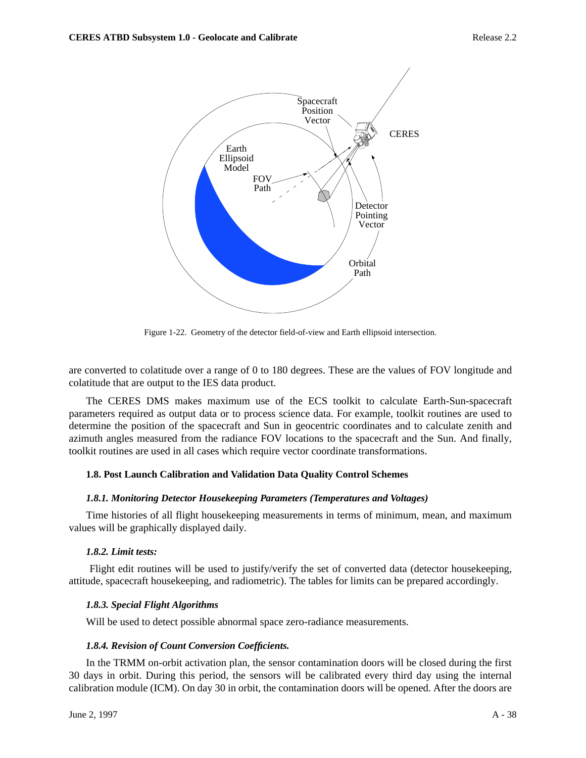

Figure 1-22. Geometry of the detector field-of-view and Earth ellipsoid intersection.

are converted to colatitude over a range of 0 to 180 degrees. These are the values of FOV longitude and colatitude that are output to the IES data product.

The CERES DMS makes maximum use of the ECS toolkit to calculate Earth-Sun-spacecraft parameters required as output data or to process science data. For example, toolkit routines are used to determine the position of the spacecraft and Sun in geocentric coordinates and to calculate zenith and azimuth angles measured from the radiance FOV locations to the spacecraft and the Sun. And finally, toolkit routines are used in all cases which require vector coordinate transformations.

## **1.8. Post Launch Calibration and Validation Data Quality Control Schemes**

## *1.8.1. Monitoring Detector Housekeeping Parameters (Temperatures and Voltages)*

Time histories of all flight housekeeping measurements in terms of minimum, mean, and maximum values will be graphically displayed daily.

## *1.8.2. Limit tests:*

 Flight edit routines will be used to justify/verify the set of converted data (detector housekeeping, attitude, spacecraft housekeeping, and radiometric). The tables for limits can be prepared accordingly.

## *1.8.3. Special Flight Algorithms*

Will be used to detect possible abnormal space zero-radiance measurements.

## *1.8.4. Revision of Count Conversion Coefficients.*

In the TRMM on-orbit activation plan, the sensor contamination doors will be closed during the first 30 days in orbit. During this period, the sensors will be calibrated every third day using the internal calibration module (ICM). On day 30 in orbit, the contamination doors will be opened. After the doors are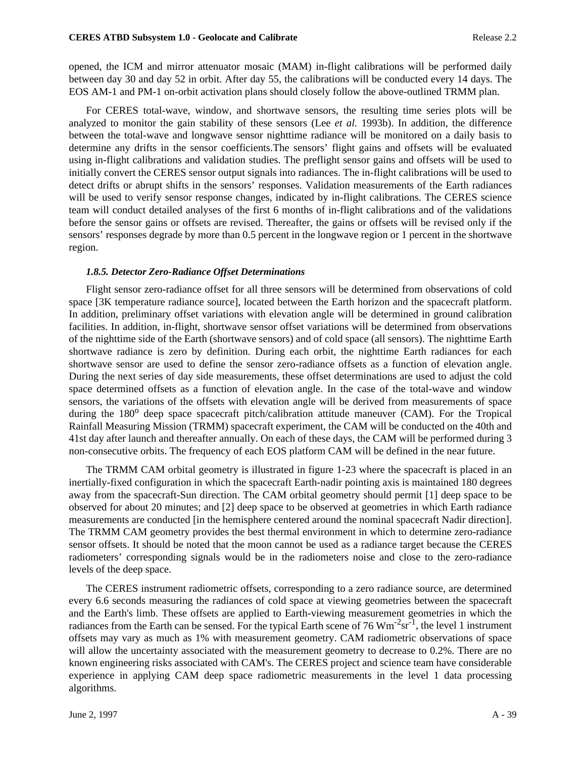opened, the ICM and mirror attenuator mosaic (MAM) in-flight calibrations will be performed daily between day 30 and day 52 in orbit. After day 55, the calibrations will be conducted every 14 days. The EOS AM-1 and PM-1 on-orbit activation plans should closely follow the above-outlined TRMM plan.

For CERES total-wave, window, and shortwave sensors, the resulting time series plots will be analyzed to monitor the gain stability of these sensors (Lee *et al.* 1993b). In addition, the difference between the total-wave and longwave sensor nighttime radiance will be monitored on a daily basis to determine any drifts in the sensor coefficients.The sensors' flight gains and offsets will be evaluated using in-flight calibrations and validation studies. The preflight sensor gains and offsets will be used to initially convert the CERES sensor output signals into radiances. The in-flight calibrations will be used to detect drifts or abrupt shifts in the sensors' responses. Validation measurements of the Earth radiances will be used to verify sensor response changes, indicated by in-flight calibrations. The CERES science team will conduct detailed analyses of the first 6 months of in-flight calibrations and of the validations before the sensor gains or offsets are revised. Thereafter, the gains or offsets will be revised only if the sensors' responses degrade by more than 0.5 percent in the longwave region or 1 percent in the shortwave region.

### *1.8.5. Detector Zero-Radiance Offset Determinations*

Flight sensor zero-radiance offset for all three sensors will be determined from observations of cold space [3K temperature radiance source], located between the Earth horizon and the spacecraft platform. In addition, preliminary offset variations with elevation angle will be determined in ground calibration facilities. In addition, in-flight, shortwave sensor offset variations will be determined from observations of the nighttime side of the Earth (shortwave sensors) and of cold space (all sensors). The nighttime Earth shortwave radiance is zero by definition. During each orbit, the nighttime Earth radiances for each shortwave sensor are used to define the sensor zero-radiance offsets as a function of elevation angle. During the next series of day side measurements, these offset determinations are used to adjust the cold space determined offsets as a function of elevation angle. In the case of the total-wave and window sensors, the variations of the offsets with elevation angle will be derived from measurements of space during the 180<sup>o</sup> deep space spacecraft pitch/calibration attitude maneuver (CAM). For the Tropical Rainfall Measuring Mission (TRMM) spacecraft experiment, the CAM will be conducted on the 40th and 41st day after launch and thereafter annually. On each of these days, the CAM will be performed during 3 non-consecutive orbits. The frequency of each EOS platform CAM will be defined in the near future.

The TRMM CAM orbital geometry is illustrated in figure 1-23 where the spacecraft is placed in an inertially-fixed configuration in which the spacecraft Earth-nadir pointing axis is maintained 180 degrees away from the spacecraft-Sun direction. The CAM orbital geometry should permit [1] deep space to be observed for about 20 minutes; and [2] deep space to be observed at geometries in which Earth radiance measurements are conducted [in the hemisphere centered around the nominal spacecraft Nadir direction]. The TRMM CAM geometry provides the best thermal environment in which to determine zero-radiance sensor offsets. It should be noted that the moon cannot be used as a radiance target because the CERES radiometers' corresponding signals would be in the radiometers noise and close to the zero-radiance levels of the deep space.

The CERES instrument radiometric offsets, corresponding to a zero radiance source, are determined every 6.6 seconds measuring the radiances of cold space at viewing geometries between the spacecraft and the Earth's limb. These offsets are applied to Earth-viewing measurement geometries in which the radiances from the Earth can be sensed. For the typical Earth scene of 76  $\text{Wm}^{-2}\text{sr}^{-1}$ , the level 1 instrument offsets may vary as much as 1% with measurement geometry. CAM radiometric observations of space will allow the uncertainty associated with the measurement geometry to decrease to 0.2%. There are no known engineering risks associated with CAM's. The CERES project and science team have considerable experience in applying CAM deep space radiometric measurements in the level 1 data processing algorithms.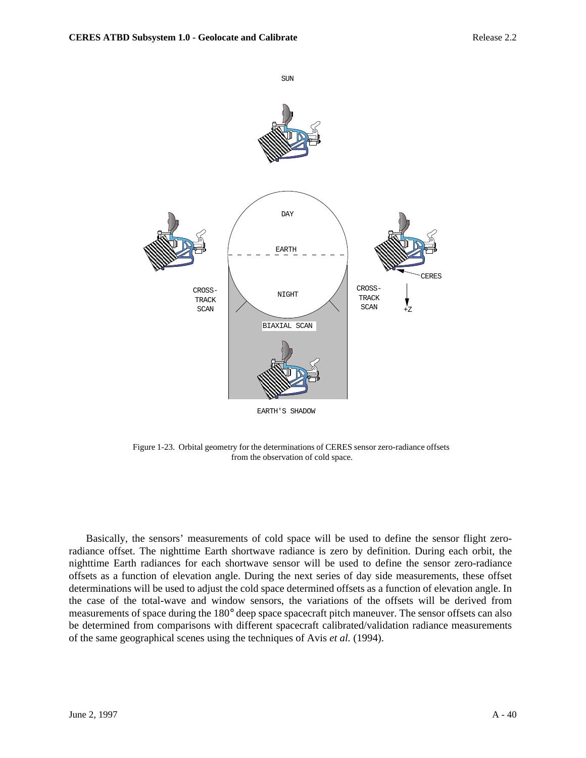

Figure 1-23. Orbital geometry for the determinations of CERES sensor zero-radiance offsets from the observation of cold space.

Basically, the sensors' measurements of cold space will be used to define the sensor flight zeroradiance offset. The nighttime Earth shortwave radiance is zero by definition. During each orbit, the nighttime Earth radiances for each shortwave sensor will be used to define the sensor zero-radiance offsets as a function of elevation angle. During the next series of day side measurements, these offset determinations will be used to adjust the cold space determined offsets as a function of elevation angle. In the case of the total-wave and window sensors, the variations of the offsets will be derived from measurements of space during the 180° deep space spacecraft pitch maneuver. The sensor offsets can also be determined from comparisons with different spacecraft calibrated/validation radiance measurements of the same geographical scenes using the techniques of Avis *et al.* (1994).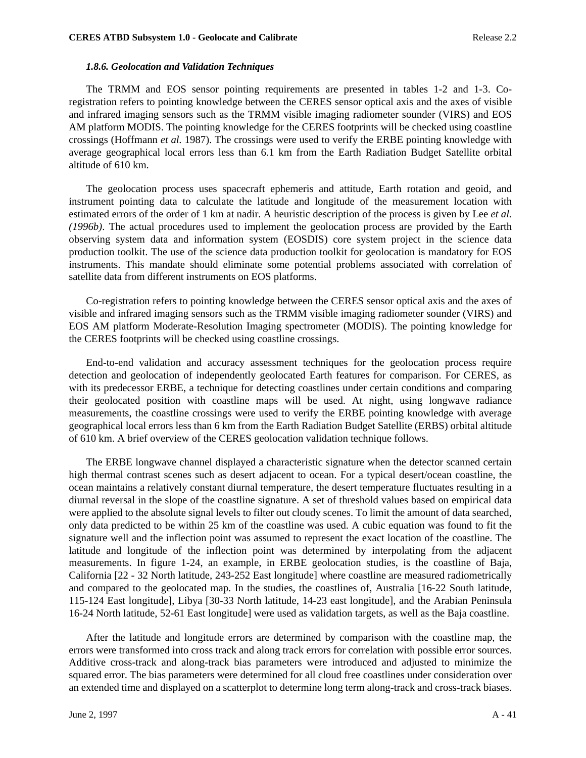## *1.8.6. Geolocation and Validation Techniques*

The TRMM and EOS sensor pointing requirements are presented in tables 1-2 and 1-3. Coregistration refers to pointing knowledge between the CERES sensor optical axis and the axes of visible and infrared imaging sensors such as the TRMM visible imaging radiometer sounder (VIRS) and EOS AM platform MODIS. The pointing knowledge for the CERES footprints will be checked using coastline crossings (Hoffmann *et al.* 1987). The crossings were used to verify the ERBE pointing knowledge with average geographical local errors less than 6.1 km from the Earth Radiation Budget Satellite orbital altitude of 610 km.

The geolocation process uses spacecraft ephemeris and attitude, Earth rotation and geoid, and instrument pointing data to calculate the latitude and longitude of the measurement location with estimated errors of the order of 1 km at nadir. A heuristic description of the process is given by Lee *et al. (1996b)*. The actual procedures used to implement the geolocation process are provided by the Earth observing system data and information system (EOSDIS) core system project in the science data production toolkit. The use of the science data production toolkit for geolocation is mandatory for EOS instruments. This mandate should eliminate some potential problems associated with correlation of satellite data from different instruments on EOS platforms.

Co-registration refers to pointing knowledge between the CERES sensor optical axis and the axes of visible and infrared imaging sensors such as the TRMM visible imaging radiometer sounder (VIRS) and EOS AM platform Moderate-Resolution Imaging spectrometer (MODIS). The pointing knowledge for the CERES footprints will be checked using coastline crossings.

End-to-end validation and accuracy assessment techniques for the geolocation process require detection and geolocation of independently geolocated Earth features for comparison. For CERES, as with its predecessor ERBE, a technique for detecting coastlines under certain conditions and comparing their geolocated position with coastline maps will be used. At night, using longwave radiance measurements, the coastline crossings were used to verify the ERBE pointing knowledge with average geographical local errors less than 6 km from the Earth Radiation Budget Satellite (ERBS) orbital altitude of 610 km. A brief overview of the CERES geolocation validation technique follows.

The ERBE longwave channel displayed a characteristic signature when the detector scanned certain high thermal contrast scenes such as desert adjacent to ocean. For a typical desert/ocean coastline, the ocean maintains a relatively constant diurnal temperature, the desert temperature fluctuates resulting in a diurnal reversal in the slope of the coastline signature. A set of threshold values based on empirical data were applied to the absolute signal levels to filter out cloudy scenes. To limit the amount of data searched, only data predicted to be within 25 km of the coastline was used. A cubic equation was found to fit the signature well and the inflection point was assumed to represent the exact location of the coastline. The latitude and longitude of the inflection point was determined by interpolating from the adjacent measurements. In figure 1-24, an example, in ERBE geolocation studies, is the coastline of Baja, California [22 - 32 North latitude, 243-252 East longitude] where coastline are measured radiometrically and compared to the geolocated map. In the studies, the coastlines of, Australia [16-22 South latitude, 115-124 East longitude], Libya [30-33 North latitude, 14-23 east longitude], and the Arabian Peninsula 16-24 North latitude, 52-61 East longitude] were used as validation targets, as well as the Baja coastline.

After the latitude and longitude errors are determined by comparison with the coastline map, the errors were transformed into cross track and along track errors for correlation with possible error sources. Additive cross-track and along-track bias parameters were introduced and adjusted to minimize the squared error. The bias parameters were determined for all cloud free coastlines under consideration over an extended time and displayed on a scatterplot to determine long term along-track and cross-track biases.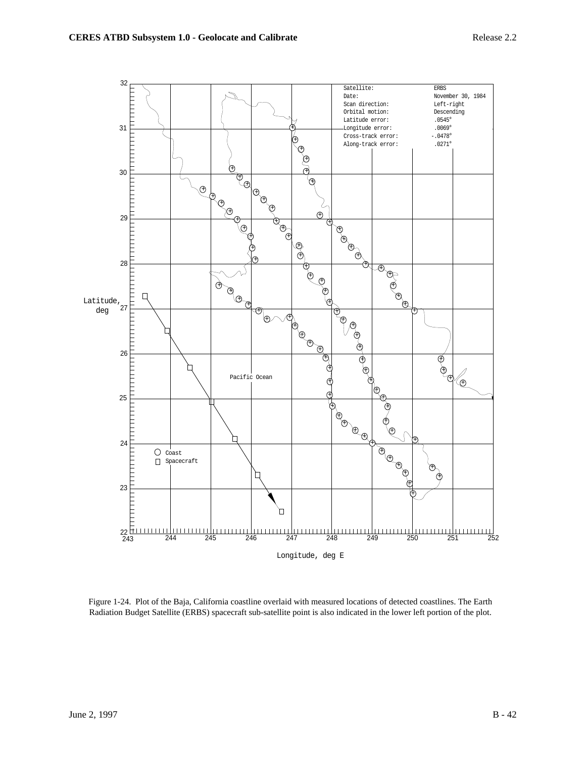

Figure 1-24. Plot of the Baja, California coastline overlaid with measured locations of detected coastlines. The Earth Radiation Budget Satellite (ERBS) spacecraft sub-satellite point is also indicated in the lower left portion of the plot.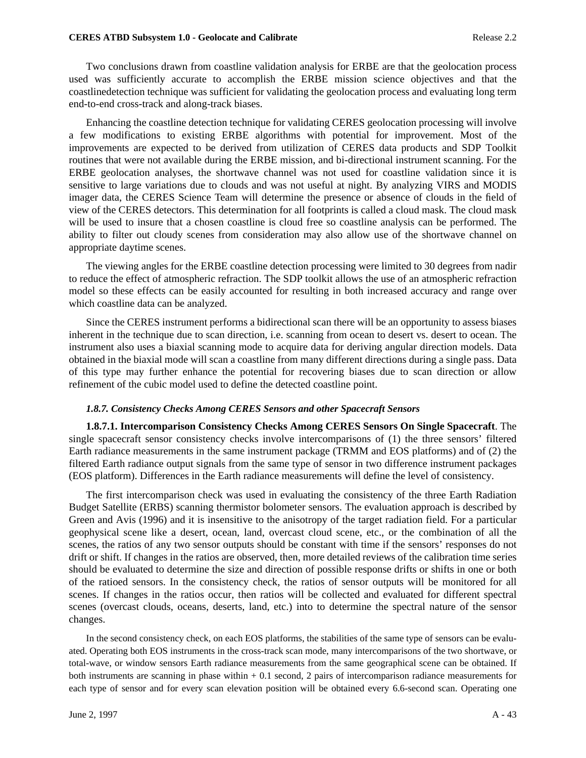Two conclusions drawn from coastline validation analysis for ERBE are that the geolocation process used was sufficiently accurate to accomplish the ERBE mission science objectives and that the coastlinedetection technique was sufficient for validating the geolocation process and evaluating long term end-to-end cross-track and along-track biases.

Enhancing the coastline detection technique for validating CERES geolocation processing will involve a few modifications to existing ERBE algorithms with potential for improvement. Most of the improvements are expected to be derived from utilization of CERES data products and SDP Toolkit routines that were not available during the ERBE mission, and bi-directional instrument scanning. For the ERBE geolocation analyses, the shortwave channel was not used for coastline validation since it is sensitive to large variations due to clouds and was not useful at night. By analyzing VIRS and MODIS imager data, the CERES Science Team will determine the presence or absence of clouds in the field of view of the CERES detectors. This determination for all footprints is called a cloud mask. The cloud mask will be used to insure that a chosen coastline is cloud free so coastline analysis can be performed. The ability to filter out cloudy scenes from consideration may also allow use of the shortwave channel on appropriate daytime scenes.

The viewing angles for the ERBE coastline detection processing were limited to 30 degrees from nadir to reduce the effect of atmospheric refraction. The SDP toolkit allows the use of an atmospheric refraction model so these effects can be easily accounted for resulting in both increased accuracy and range over which coastline data can be analyzed.

Since the CERES instrument performs a bidirectional scan there will be an opportunity to assess biases inherent in the technique due to scan direction, i.e. scanning from ocean to desert vs. desert to ocean. The instrument also uses a biaxial scanning mode to acquire data for deriving angular direction models. Data obtained in the biaxial mode will scan a coastline from many different directions during a single pass. Data of this type may further enhance the potential for recovering biases due to scan direction or allow refinement of the cubic model used to define the detected coastline point.

## *1.8.7. Consistency Checks Among CERES Sensors and other Spacecraft Sensors*

**1.8.7.1. Intercomparison Consistency Checks Among CERES Sensors On Single Spacecraft**. The single spacecraft sensor consistency checks involve intercomparisons of (1) the three sensors' filtered Earth radiance measurements in the same instrument package (TRMM and EOS platforms) and of (2) the filtered Earth radiance output signals from the same type of sensor in two difference instrument packages (EOS platform). Differences in the Earth radiance measurements will define the level of consistency.

The first intercomparison check was used in evaluating the consistency of the three Earth Radiation Budget Satellite (ERBS) scanning thermistor bolometer sensors. The evaluation approach is described by Green and Avis (1996) and it is insensitive to the anisotropy of the target radiation field. For a particular geophysical scene like a desert, ocean, land, overcast cloud scene, etc., or the combination of all the scenes, the ratios of any two sensor outputs should be constant with time if the sensors' responses do not drift or shift. If changes in the ratios are observed, then, more detailed reviews of the calibration time series should be evaluated to determine the size and direction of possible response drifts or shifts in one or both of the ratioed sensors. In the consistency check, the ratios of sensor outputs will be monitored for all scenes. If changes in the ratios occur, then ratios will be collected and evaluated for different spectral scenes (overcast clouds, oceans, deserts, land, etc.) into to determine the spectral nature of the sensor changes.

In the second consistency check, on each EOS platforms, the stabilities of the same type of sensors can be evaluated. Operating both EOS instruments in the cross-track scan mode, many intercomparisons of the two shortwave, or total-wave, or window sensors Earth radiance measurements from the same geographical scene can be obtained. If both instruments are scanning in phase within  $+0.1$  second, 2 pairs of intercomparison radiance measurements for each type of sensor and for every scan elevation position will be obtained every 6.6-second scan. Operating one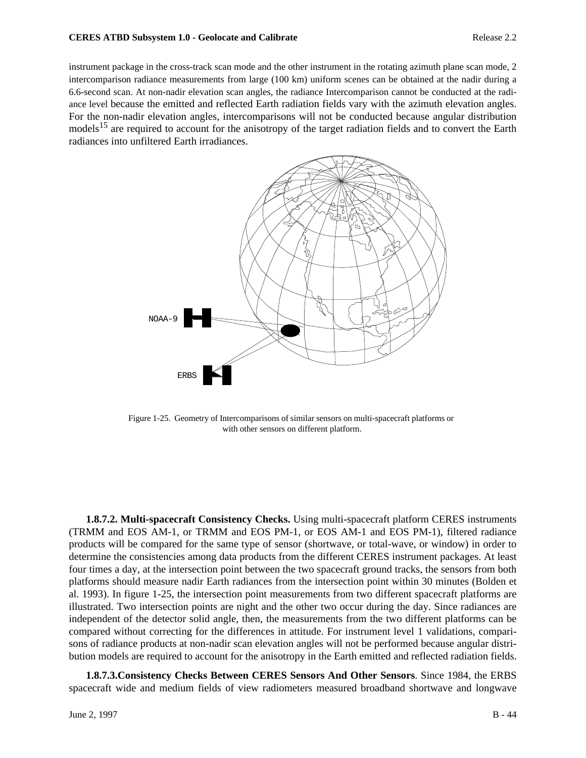instrument package in the cross-track scan mode and the other instrument in the rotating azimuth plane scan mode, 2 intercomparison radiance measurements from large (100 km) uniform scenes can be obtained at the nadir during a 6.6-second scan. At non-nadir elevation scan angles, the radiance Intercomparison cannot be conducted at the radiance level because the emitted and reflected Earth radiation fields vary with the azimuth elevation angles. For the non-nadir elevation angles, intercomparisons will not be conducted because angular distribution models<sup>15</sup> are required to account for the anisotropy of the target radiation fields and to convert the Earth radiances into unfiltered Earth irradiances.



Figure 1-25. Geometry of Intercomparisons of similar sensors on multi-spacecraft platforms or with other sensors on different platform.

**1.8.7.2. Multi-spacecraft Consistency Checks.** Using multi-spacecraft platform CERES instruments (TRMM and EOS AM-1, or TRMM and EOS PM-1, or EOS AM-1 and EOS PM-1), filtered radiance products will be compared for the same type of sensor (shortwave, or total-wave, or window) in order to determine the consistencies among data products from the different CERES instrument packages. At least four times a day, at the intersection point between the two spacecraft ground tracks, the sensors from both platforms should measure nadir Earth radiances from the intersection point within 30 minutes (Bolden et al. 1993). In figure 1-25, the intersection point measurements from two different spacecraft platforms are illustrated. Two intersection points are night and the other two occur during the day. Since radiances are independent of the detector solid angle, then, the measurements from the two different platforms can be compared without correcting for the differences in attitude. For instrument level 1 validations, comparisons of radiance products at non-nadir scan elevation angles will not be performed because angular distribution models are required to account for the anisotropy in the Earth emitted and reflected radiation fields.

**1.8.7.3.Consistency Checks Between CERES Sensors And Other Sensors**. Since 1984, the ERBS spacecraft wide and medium fields of view radiometers measured broadband shortwave and longwave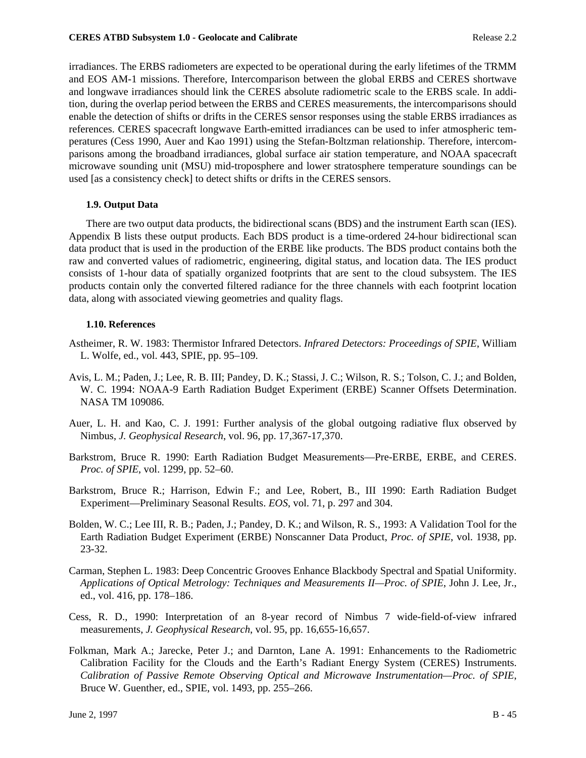#### **CERES ATBD Subsystem 1.0 - Geolocate and Calibrate Release 2.2 Release 2.2**

irradiances. The ERBS radiometers are expected to be operational during the early lifetimes of the TRMM and EOS AM-1 missions. Therefore, Intercomparison between the global ERBS and CERES shortwave and longwave irradiances should link the CERES absolute radiometric scale to the ERBS scale. In addition, during the overlap period between the ERBS and CERES measurements, the intercomparisons should enable the detection of shifts or drifts in the CERES sensor responses using the stable ERBS irradiances as references. CERES spacecraft longwave Earth-emitted irradiances can be used to infer atmospheric temperatures (Cess 1990, Auer and Kao 1991) using the Stefan-Boltzman relationship. Therefore, intercomparisons among the broadband irradiances, global surface air station temperature, and NOAA spacecraft microwave sounding unit (MSU) mid-troposphere and lower stratosphere temperature soundings can be used [as a consistency check] to detect shifts or drifts in the CERES sensors.

## **1.9. Output Data**

There are two output data products, the bidirectional scans (BDS) and the instrument Earth scan (IES). Appendix B lists these output products. Each BDS product is a time-ordered 24-hour bidirectional scan data product that is used in the production of the ERBE like products. The BDS product contains both the raw and converted values of radiometric, engineering, digital status, and location data. The IES product consists of 1-hour data of spatially organized footprints that are sent to the cloud subsystem. The IES products contain only the converted filtered radiance for the three channels with each footprint location data, along with associated viewing geometries and quality flags.

# **1.10. References**

- Astheimer, R. W. 1983: Thermistor Infrared Detectors. *Infrared Detectors: Proceedings of SPIE*, William L. Wolfe, ed., vol. 443, SPIE, pp. 95–109.
- Avis, L. M.; Paden, J.; Lee, R. B. III; Pandey, D. K.; Stassi, J. C.; Wilson, R. S.; Tolson, C. J.; and Bolden, W. C. 1994: NOAA-9 Earth Radiation Budget Experiment (ERBE) Scanner Offsets Determination. NASA TM 109086.
- Auer, L. H. and Kao, C. J. 1991: Further analysis of the global outgoing radiative flux observed by Nimbus, *J. Geophysical Research*, vol. 96, pp. 17,367-17,370.
- Barkstrom, Bruce R. 1990: Earth Radiation Budget Measurements—Pre-ERBE, ERBE, and CERES. *Proc. of SPIE*, vol. 1299, pp. 52–60.
- Barkstrom, Bruce R.; Harrison, Edwin F.; and Lee, Robert, B., III 1990: Earth Radiation Budget Experiment—Preliminary Seasonal Results. *EOS*, vol. 71, p. 297 and 304.
- Bolden, W. C.; Lee III, R. B.; Paden, J.; Pandey, D. K.; and Wilson, R. S., 1993: A Validation Tool for the Earth Radiation Budget Experiment (ERBE) Nonscanner Data Product, *Proc. of SPIE*, vol. 1938, pp. 23-32.
- Carman, Stephen L. 1983: Deep Concentric Grooves Enhance Blackbody Spectral and Spatial Uniformity. *Applications of Optical Metrology: Techniques and Measurements II—Proc. of SPIE*, John J. Lee, Jr., ed., vol. 416, pp. 178–186.
- Cess, R. D., 1990: Interpretation of an 8-year record of Nimbus 7 wide-field-of-view infrared measurements, *J. Geophysical Research*, vol. 95, pp. 16,655-16,657.
- Folkman, Mark A.; Jarecke, Peter J.; and Darnton, Lane A. 1991: Enhancements to the Radiometric Calibration Facility for the Clouds and the Earth's Radiant Energy System (CERES) Instruments. *Calibration of Passive Remote Observing Optical and Microwave Instrumentation—Proc. of SPIE*, Bruce W. Guenther, ed., SPIE, vol. 1493, pp. 255–266.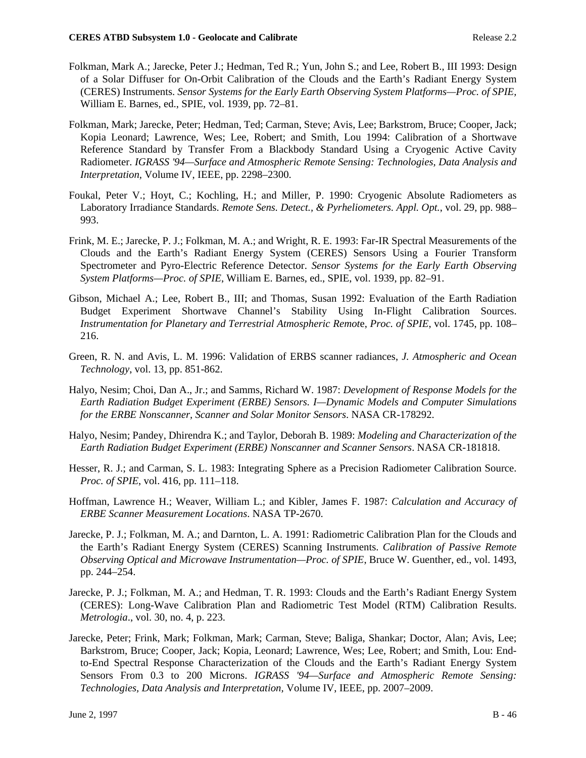- Folkman, Mark A.; Jarecke, Peter J.; Hedman, Ted R.; Yun, John S.; and Lee, Robert B., III 1993: Design of a Solar Diffuser for On-Orbit Calibration of the Clouds and the Earth's Radiant Energy System (CERES) Instruments. *Sensor Systems for the Early Earth Observing System Platforms—Proc. of SPIE,* William E. Barnes, ed., SPIE, vol. 1939, pp. 72–81.
- Folkman, Mark; Jarecke, Peter; Hedman, Ted; Carman, Steve; Avis, Lee; Barkstrom, Bruce; Cooper, Jack; Kopia Leonard; Lawrence, Wes; Lee, Robert; and Smith, Lou 1994: Calibration of a Shortwave Reference Standard by Transfer From a Blackbody Standard Using a Cryogenic Active Cavity Radiometer. *IGRASS '94—Surface and Atmospheric Remote Sensing: Technologies, Data Analysis and Interpretation,* Volume IV, IEEE, pp. 2298–2300.
- Foukal, Peter V.; Hoyt, C.; Kochling, H.; and Miller, P. 1990: Cryogenic Absolute Radiometers as Laboratory Irradiance Standards. *Remote Sens. Detect., & Pyrheliometers. Appl. Opt.*, vol. 29, pp. 988– 993.
- Frink, M. E.; Jarecke, P. J.; Folkman, M. A.; and Wright, R. E. 1993: Far-IR Spectral Measurements of the Clouds and the Earth's Radiant Energy System (CERES) Sensors Using a Fourier Transform Spectrometer and Pyro-Electric Reference Detector. *Sensor Systems for the Early Earth Observing System Platforms—Proc. of SPIE*, William E. Barnes, ed., SPIE, vol. 1939, pp. 82–91.
- Gibson, Michael A.; Lee, Robert B., III; and Thomas, Susan 1992: Evaluation of the Earth Radiation Budget Experiment Shortwave Channel's Stability Using In-Flight Calibration Sources. *Instrumentation for Planetary and Terrestrial Atmospheric Remot*e, *Proc. of SPIE*, vol. 1745, pp. 108– 216.
- Green, R. N. and Avis, L. M. 1996: Validation of ERBS scanner radiances, *J. Atmospheric and Ocean Technology*, vol. 13, pp. 851-862.
- Halyo, Nesim; Choi, Dan A., Jr.; and Samms, Richard W. 1987: *Development of Response Models for the Earth Radiation Budget Experiment (ERBE) Sensors. I—Dynamic Models and Computer Simulations for the ERBE Nonscanner, Scanner and Solar Monitor Sensors*. NASA CR-178292.
- Halyo, Nesim; Pandey, Dhirendra K.; and Taylor, Deborah B. 1989: *Modeling and Characterization of the Earth Radiation Budget Experiment (ERBE) Nonscanner and Scanner Sensors*. NASA CR-181818.
- Hesser, R. J.; and Carman, S. L. 1983: Integrating Sphere as a Precision Radiometer Calibration Source. *Proc. of SPIE*, vol. 416, pp. 111–118.
- Hoffman, Lawrence H.; Weaver, William L.; and Kibler, James F. 1987: *Calculation and Accuracy of ERBE Scanner Measurement Locations*. NASA TP-2670.
- Jarecke, P. J.; Folkman, M. A.; and Darnton, L. A. 1991: Radiometric Calibration Plan for the Clouds and the Earth's Radiant Energy System (CERES) Scanning Instruments. *Calibration of Passive Remote Observing Optical and Microwave Instrumentation—Proc. of SPIE*, Bruce W. Guenther, ed., vol. 1493, pp. 244–254.
- Jarecke, P. J.; Folkman, M. A.; and Hedman, T. R. 1993: Clouds and the Earth's Radiant Energy System (CERES): Long-Wave Calibration Plan and Radiometric Test Model (RTM) Calibration Results. *Metrologia*., vol. 30, no. 4, p. 223.
- Jarecke, Peter; Frink, Mark; Folkman, Mark; Carman, Steve; Baliga, Shankar; Doctor, Alan; Avis, Lee; Barkstrom, Bruce; Cooper, Jack; Kopia, Leonard; Lawrence, Wes; Lee, Robert; and Smith, Lou: Endto-End Spectral Response Characterization of the Clouds and the Earth's Radiant Energy System Sensors From 0.3 to 200 Microns. *IGRASS '94—Surface and Atmospheric Remote Sensing: Technologies, Data Analysis and Interpretation,* Volume IV, IEEE, pp. 2007–2009.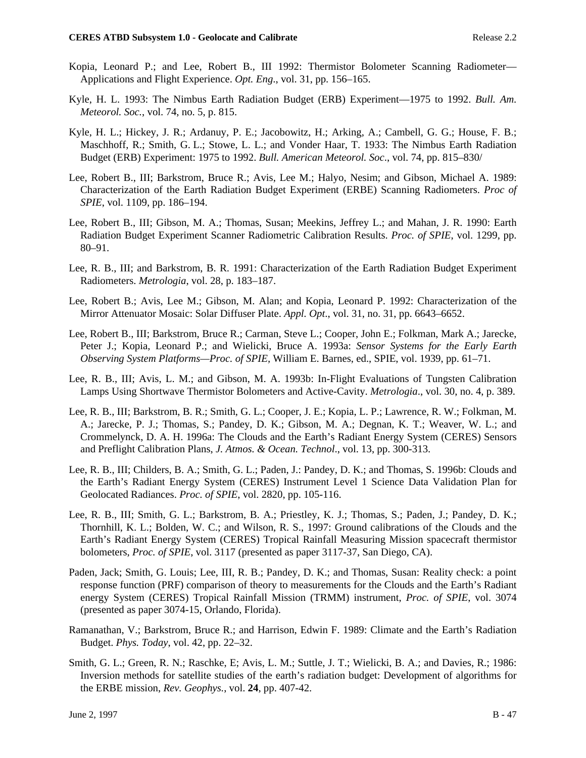- Kopia, Leonard P.; and Lee, Robert B., III 1992: Thermistor Bolometer Scanning Radiometer— Applications and Flight Experience. *Opt. Eng*., vol. 31, pp. 156–165.
- Kyle, H. L. 1993: The Nimbus Earth Radiation Budget (ERB) Experiment—1975 to 1992. *Bull. Am. Meteorol. Soc.*, vol. 74, no. 5, p. 815.
- Kyle, H. L.; Hickey, J. R.; Ardanuy, P. E.; Jacobowitz, H.; Arking, A.; Cambell, G. G.; House, F. B.; Maschhoff, R.; Smith, G. L.; Stowe, L. L.; and Vonder Haar, T. 1933: The Nimbus Earth Radiation Budget (ERB) Experiment: 1975 to 1992. *Bull. American Meteorol. Soc*., vol. 74, pp. 815–830/
- Lee, Robert B., III; Barkstrom, Bruce R.; Avis, Lee M.; Halyo, Nesim; and Gibson, Michael A. 1989: Characterization of the Earth Radiation Budget Experiment (ERBE) Scanning Radiometers. *Proc of SPIE*, vol. 1109, pp. 186–194.
- Lee, Robert B., III; Gibson, M. A.; Thomas, Susan; Meekins, Jeffrey L.; and Mahan, J. R. 1990: Earth Radiation Budget Experiment Scanner Radiometric Calibration Results. *Proc. of SPIE*, vol. 1299, pp. 80–91.
- Lee, R. B., III; and Barkstrom, B. R. 1991: Characterization of the Earth Radiation Budget Experiment Radiometers. *Metrologia*, vol. 28, p. 183–187.
- Lee, Robert B.; Avis, Lee M.; Gibson, M. Alan; and Kopia, Leonard P. 1992: Characterization of the Mirror Attenuator Mosaic: Solar Diffuser Plate. *Appl. Opt*., vol. 31, no. 31, pp. 6643–6652.
- Lee, Robert B., III; Barkstrom, Bruce R.; Carman, Steve L.; Cooper, John E.; Folkman, Mark A.; Jarecke, Peter J.; Kopia, Leonard P.; and Wielicki, Bruce A. 1993a: *Sensor Systems for the Early Earth Observing System Platforms—Proc. of SPIE,* William E. Barnes, ed., SPIE, vol. 1939, pp. 61–71.
- Lee, R. B., III; Avis, L. M.; and Gibson, M. A. 1993b: In-Flight Evaluations of Tungsten Calibration Lamps Using Shortwave Thermistor Bolometers and Active-Cavity. *Metrologia*., vol. 30, no. 4, p. 389.
- Lee, R. B., III; Barkstrom, B. R.; Smith, G. L.; Cooper, J. E.; Kopia, L. P.; Lawrence, R. W.; Folkman, M. A.; Jarecke, P. J.; Thomas, S.; Pandey, D. K.; Gibson, M. A.; Degnan, K. T.; Weaver, W. L.; and Crommelynck, D. A. H. 1996a: The Clouds and the Earth's Radiant Energy System (CERES) Sensors and Preflight Calibration Plans, *J. Atmos. & Ocean. Technol*., vol. 13, pp. 300-313.
- Lee, R. B., III; Childers, B. A.; Smith, G. L.; Paden, J.: Pandey, D. K.; and Thomas, S. 1996b: Clouds and the Earth's Radiant Energy System (CERES) Instrument Level 1 Science Data Validation Plan for Geolocated Radiances. *Proc. of SPIE*, vol. 2820, pp. 105-116.
- Lee, R. B., III; Smith, G. L.; Barkstrom, B. A.; Priestley, K. J.; Thomas, S.; Paden, J.; Pandey, D. K.; Thornhill, K. L.; Bolden, W. C.; and Wilson, R. S., 1997: Ground calibrations of the Clouds and the Earth's Radiant Energy System (CERES) Tropical Rainfall Measuring Mission spacecraft thermistor bolometers, *Proc. of SPIE*, vol. 3117 (presented as paper 3117-37, San Diego, CA).
- Paden, Jack; Smith, G. Louis; Lee, III, R. B.; Pandey, D. K.; and Thomas, Susan: Reality check: a point response function (PRF) comparison of theory to measurements for the Clouds and the Earth's Radiant energy System (CERES) Tropical Rainfall Mission (TRMM) instrument, *Proc. of SPIE*, vol. 3074 (presented as paper 3074-15, Orlando, Florida).
- Ramanathan, V.; Barkstrom, Bruce R.; and Harrison, Edwin F. 1989: Climate and the Earth's Radiation Budget. *Phys. Today*, vol. 42, pp. 22–32.
- Smith, G. L.; Green, R. N.; Raschke, E; Avis, L. M.; Suttle, J. T.; Wielicki, B. A.; and Davies, R.; 1986: Inversion methods for satellite studies of the earth's radiation budget: Development of algorithms for the ERBE mission, *Rev. Geophys.*, vol. **24**, pp. 407-42.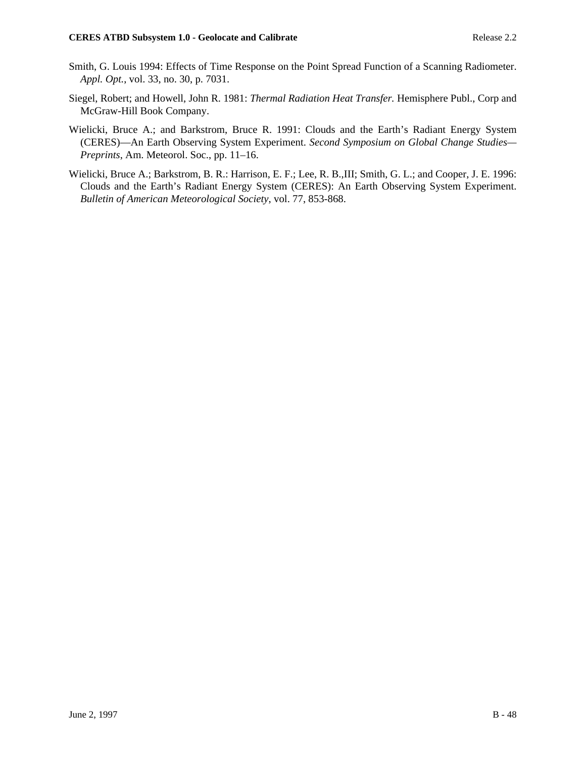- Smith, G. Louis 1994: Effects of Time Response on the Point Spread Function of a Scanning Radiometer. *Appl. Opt.*, vol. 33, no. 30, p. 7031.
- Siegel, Robert; and Howell, John R. 1981: *Thermal Radiation Heat Transfer.* Hemisphere Publ., Corp and McGraw-Hill Book Company.
- Wielicki, Bruce A.; and Barkstrom, Bruce R. 1991: Clouds and the Earth's Radiant Energy System (CERES)—An Earth Observing System Experiment. *Second Symposium on Global Change Studies×— Preprints*, Am. Meteorol. Soc., pp. 11–16.
- Wielicki, Bruce A.; Barkstrom, B. R.: Harrison, E. F.; Lee, R. B.,III; Smith, G. L.; and Cooper, J. E. 1996: Clouds and the Earth's Radiant Energy System (CERES): An Earth Observing System Experiment. *Bulletin of American Meteorological Society*, vol. 77, 853-868.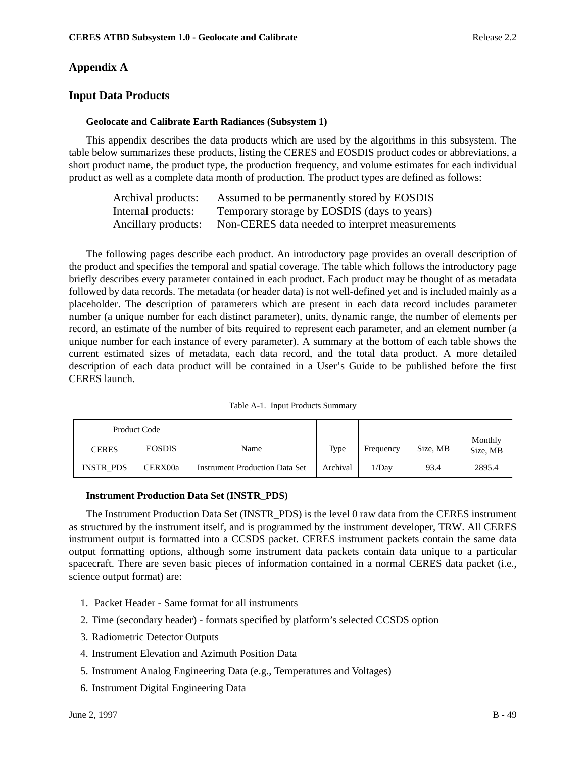# **Appendix A**

# **Input Data Products**

## **Geolocate and Calibrate Earth Radiances (Subsystem 1)**

This appendix describes the data products which are used by the algorithms in this subsystem. The table below summarizes these products, listing the CERES and EOSDIS product codes or abbreviations, a short product name, the product type, the production frequency, and volume estimates for each individual product as well as a complete data month of production. The product types are defined as follows:

| Archival products:  | Assumed to be permanently stored by EOSDIS      |
|---------------------|-------------------------------------------------|
| Internal products:  | Temporary storage by EOSDIS (days to years)     |
| Ancillary products: | Non-CERES data needed to interpret measurements |

The following pages describe each product. An introductory page provides an overall description of the product and specifies the temporal and spatial coverage. The table which follows the introductory page briefly describes every parameter contained in each product. Each product may be thought of as metadata followed by data records. The metadata (or header data) is not well-defined yet and is included mainly as a placeholder. The description of parameters which are present in each data record includes parameter number (a unique number for each distinct parameter), units, dynamic range, the number of elements per record, an estimate of the number of bits required to represent each parameter, and an element number (a unique number for each instance of every parameter). A summary at the bottom of each table shows the current estimated sizes of metadata, each data record, and the total data product. A more detailed description of each data product will be contained in a User's Guide to be published before the first CERES launch.

|                  | Product Code  |                                       |          |           |          |                     |
|------------------|---------------|---------------------------------------|----------|-----------|----------|---------------------|
| <b>CERES</b>     | <b>EOSDIS</b> | Name                                  | Type     | Frequency | Size, MB | Monthly<br>Size, MB |
| <b>INSTR PDS</b> | CERX00a       | <b>Instrument Production Data Set</b> | Archival | 1/Day     | 93.4     | 2895.4              |

## **Instrument Production Data Set (INSTR\_PDS)**

The Instrument Production Data Set (INSTR\_PDS) is the level 0 raw data from the CERES instrument as structured by the instrument itself, and is programmed by the instrument developer, TRW. All CERES instrument output is formatted into a CCSDS packet. CERES instrument packets contain the same data output formatting options, although some instrument data packets contain data unique to a particular spacecraft. There are seven basic pieces of information contained in a normal CERES data packet (i.e., science output format) are:

- 1. Packet Header Same format for all instruments
- 2. Time (secondary header) formats specified by platform's selected CCSDS option
- 3. Radiometric Detector Outputs
- 4. Instrument Elevation and Azimuth Position Data
- 5. Instrument Analog Engineering Data (e.g., Temperatures and Voltages)
- 6. Instrument Digital Engineering Data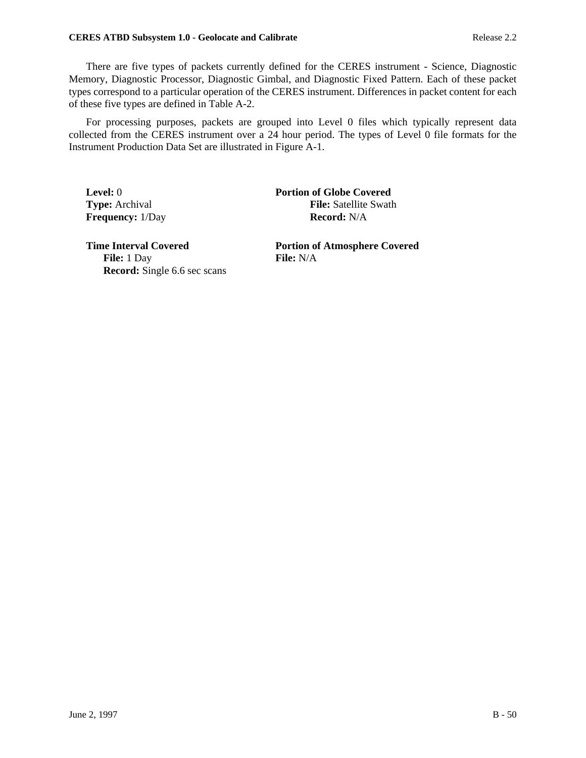### **CERES ATBD Subsystem 1.0 - Geolocate and Calibrate Release 2.2 Release 2.2**

There are five types of packets currently defined for the CERES instrument - Science, Diagnostic Memory, Diagnostic Processor, Diagnostic Gimbal, and Diagnostic Fixed Pattern. Each of these packet types correspond to a particular operation of the CERES instrument. Differences in packet content for each of these five types are defined in Table A-2.

For processing purposes, packets are grouped into Level 0 files which typically represent data collected from the CERES instrument over a 24 hour period. The types of Level 0 file formats for the Instrument Production Data Set are illustrated in Figure A-1.

**Level:** 0 **Portion of Globe Covered Type:** Archival **File:** Satellite Swath **Frequency:** 1/Day **Record:** N/A

**File:** 1 Day **File:** N/A **Record:** Single 6.6 sec scans

**Time Interval Covered Portion of Atmosphere Covered**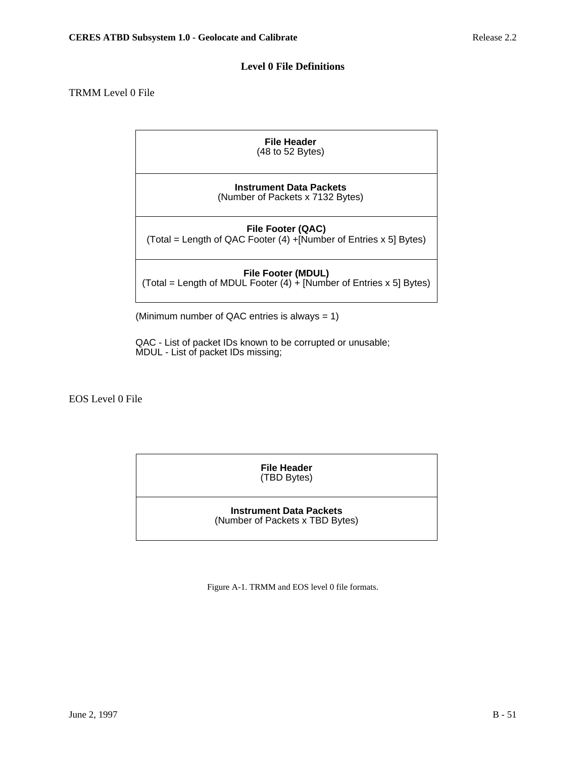# **Level 0 File Definitions**

# TRMM Level 0 File

| File Header<br>$(48 \text{ to } 52 \text{ Bytes})$                                     |
|----------------------------------------------------------------------------------------|
| <b>Instrument Data Packets</b><br>(Number of Packets x 7132 Bytes)                     |
| File Footer (QAC)<br>(Total = Length of QAC Footer (4) +[Number of Entries x 5] Bytes) |
|                                                                                        |

**File Footer (MDUL)** (Total = Length of MDUL Footer (4) + [Number of Entries x 5] Bytes)

(Minimum number of QAC entries is always = 1)

QAC - List of packet IDs known to be corrupted or unusable; MDUL - List of packet IDs missing;

EOS Level 0 File

**File Header** (TBD Bytes)

**Instrument Data Packets** (Number of Packets x TBD Bytes)

Figure A-1. TRMM and EOS level 0 file formats.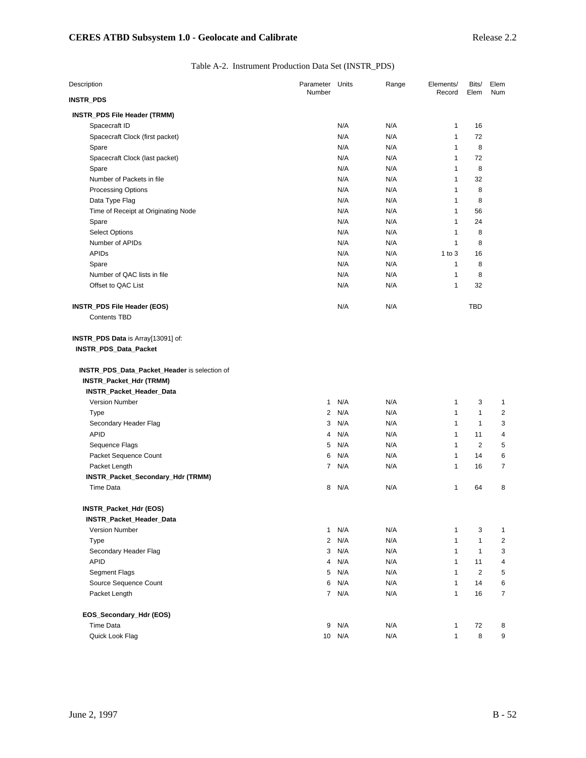# Table A-2. Instrument Production Data Set (INSTR\_PDS)

| Description                                                 | Parameter      | Units      | Range      | Elements/    | Bits/                | Elem           |
|-------------------------------------------------------------|----------------|------------|------------|--------------|----------------------|----------------|
| INSTR_PDS                                                   | Number         |            |            | Record       | Elem                 | Num            |
| INSTR_PDS File Header (TRMM)                                |                |            |            |              |                      |                |
| Spacecraft ID                                               |                | N/A        | N/A        | 1            | 16                   |                |
| Spacecraft Clock (first packet)                             |                | N/A        | N/A        | 1            | 72                   |                |
| Spare                                                       |                | N/A        | N/A        | 1            | 8                    |                |
| Spacecraft Clock (last packet)                              |                | N/A        | N/A        | 1            | 72                   |                |
| Spare                                                       |                | N/A        | N/A        | 1            | 8                    |                |
| Number of Packets in file                                   |                | N/A        | N/A        | 1            | 32                   |                |
| <b>Processing Options</b>                                   |                | N/A        | N/A        | 1            | 8                    |                |
| Data Type Flag                                              |                | N/A        | N/A        | 1            | 8                    |                |
| Time of Receipt at Originating Node                         |                | N/A        | N/A        | 1            | 56                   |                |
| Spare                                                       |                | N/A        | N/A        | 1            | 24                   |                |
| <b>Select Options</b>                                       |                | N/A        | N/A        | 1            | 8                    |                |
| Number of APIDs                                             |                | N/A        | N/A        | 1            | 8                    |                |
| <b>APIDs</b>                                                |                | N/A        | N/A        | $1$ to $3$   | 16                   |                |
| Spare                                                       |                | N/A        | N/A        | 1            | 8                    |                |
| Number of QAC lists in file                                 |                | N/A        | N/A        | 1            | 8                    |                |
| Offset to QAC List                                          |                | N/A        | N/A        | 1            | 32                   |                |
| INSTR_PDS File Header (EOS)<br><b>Contents TBD</b>          |                | N/A        | N/A        |              | <b>TBD</b>           |                |
| INSTR_PDS Data is Array[13091] of:<br>INSTR_PDS_Data_Packet |                |            |            |              |                      |                |
| INSTR_PDS_Data_Packet_Header is selection of                |                |            |            |              |                      |                |
| INSTR_Packet_Hdr (TRMM)                                     |                |            |            |              |                      |                |
| INSTR_Packet_Header_Data                                    | $\mathbf{1}$   | N/A        |            |              |                      |                |
| <b>Version Number</b>                                       |                |            | N/A        | 1<br>1       | 3                    | 1              |
| Type                                                        | 2              | N/A        | N/A        | 1            | 1<br>$\mathbf{1}$    | 2<br>3         |
| Secondary Header Flag                                       | 3              | N/A        | N/A        |              |                      |                |
| <b>APID</b>                                                 | 4<br>5         | N/A<br>N/A | N/A<br>N/A | 1<br>1       | 11<br>$\overline{2}$ | 4<br>5         |
| Sequence Flags<br>Packet Sequence Count                     |                | N/A        |            | 1            | 14                   |                |
|                                                             | 6              | 7 N/A      | N/A<br>N/A | 1            | 16                   | 6<br>7         |
| Packet Length                                               |                |            |            |              |                      |                |
| INSTR_Packet_Secondary_Hdr (TRMM)<br><b>Time Data</b>       |                | 8 N/A      | N/A        | 1            | 64                   | 8              |
| INSTR_Packet_Hdr (EOS)                                      |                |            |            |              |                      |                |
| INSTR_Packet_Header_Data                                    |                |            |            |              |                      |                |
| <b>Version Number</b>                                       | $\mathbf{1}$   | N/A        | N/A        | 1            | 3                    | 1              |
| Type                                                        | $\overline{2}$ | N/A        | N/A        | 1            | $\mathbf{1}$         | $\overline{c}$ |
| Secondary Header Flag                                       | 3              | N/A        | N/A        | 1            | $\mathbf{1}$         | 3              |
| <b>APID</b>                                                 | 4              | N/A        | N/A        | 1            | 11                   | 4              |
| Segment Flags                                               | 5              | N/A        | N/A        | 1            | $\overline{c}$       | 5              |
| Source Sequence Count                                       | 6              | N/A        | N/A        | $\mathbf{1}$ | 14                   | 6              |
| Packet Length                                               |                | 7 N/A      | N/A        | 1            | 16                   | $\overline{7}$ |
| EOS_Secondary_Hdr (EOS)                                     |                |            |            |              |                      |                |
| <b>Time Data</b>                                            | 9              | N/A        | N/A        | 1            | 72                   | 8              |
| Quick Look Flag                                             |                | 10 N/A     | N/A        | $\mathbf{1}$ | 8                    | 9              |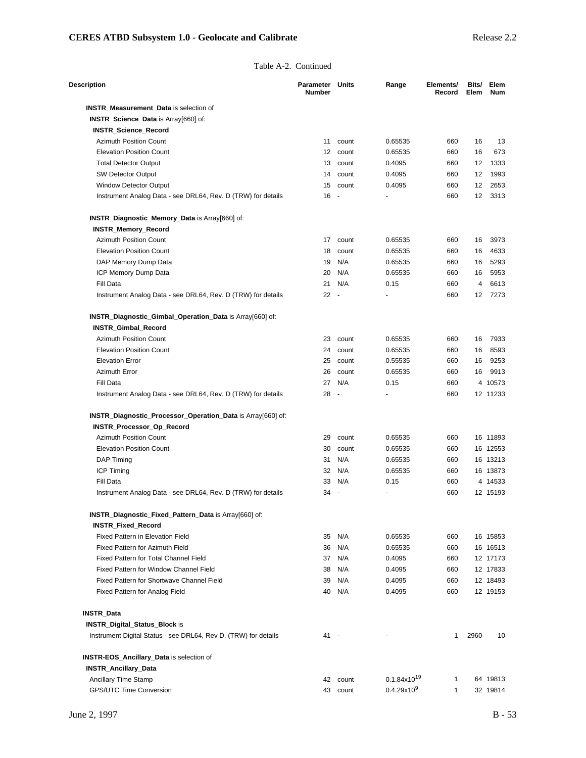#### Table A-2. Continued

| Description                                                     | Parameter<br><b>Number</b> | Units    | Range                   | Elements/<br>Record | Bits/<br>Elem | Elem<br><b>Num</b> |
|-----------------------------------------------------------------|----------------------------|----------|-------------------------|---------------------|---------------|--------------------|
| <b>INSTR_Measurement_Data</b> is selection of                   |                            |          |                         |                     |               |                    |
| INSTR_Science_Data is Array[660] of:                            |                            |          |                         |                     |               |                    |
| <b>INSTR Science Record</b>                                     |                            |          |                         |                     |               |                    |
| <b>Azimuth Position Count</b>                                   | 11                         | count    | 0.65535                 | 660                 | 16            | 13                 |
| <b>Elevation Position Count</b>                                 | 12 <sup>12</sup>           | count    | 0.65535                 | 660                 | 16            | 673                |
| <b>Total Detector Output</b>                                    | 13                         | count    | 0.4095                  | 660                 | 12            | 1333               |
| SW Detector Output                                              | 14                         | count    | 0.4095                  | 660                 | 12            | 1993               |
| <b>Window Detector Output</b>                                   | 15                         | count    | 0.4095                  | 660                 | 12            | 2653               |
| Instrument Analog Data - see DRL64, Rev. D (TRW) for details    | 16                         | $\sim$   |                         | 660                 | 12            | 3313               |
| INSTR_Diagnostic_Memory_Data is Array[660] of:                  |                            |          |                         |                     |               |                    |
| <b>INSTR_Memory_Record</b>                                      |                            |          |                         |                     |               |                    |
| <b>Azimuth Position Count</b>                                   | 17                         | count    | 0.65535                 | 660                 | 16            | 3973               |
| <b>Elevation Position Count</b>                                 | 18                         | count    | 0.65535                 | 660                 | 16            | 4633               |
| DAP Memory Dump Data                                            | 19                         | N/A      | 0.65535                 | 660                 | 16            | 5293               |
| ICP Memory Dump Data                                            | 20                         | N/A      | 0.65535                 | 660                 | 16            | 5953               |
| Fill Data                                                       | 21                         | N/A      | 0.15                    | 660                 | 4             | 6613               |
| Instrument Analog Data - see DRL64, Rev. D (TRW) for details    | $22 -$                     |          |                         | 660                 | 12            | 7273               |
| INSTR_Diagnostic_Gimbal_Operation_Data is Array[660] of:        |                            |          |                         |                     |               |                    |
| INSTR_Gimbal_Record                                             |                            |          |                         |                     |               |                    |
| <b>Azimuth Position Count</b>                                   |                            | 23 count | 0.65535                 | 660                 | 16            | 7933               |
| <b>Elevation Position Count</b>                                 | 24                         | count    | 0.65535                 | 660                 | 16            | 8593               |
| <b>Elevation Error</b>                                          | 25                         | count    | 0.55535                 | 660                 | 16            | 9253               |
| <b>Azimuth Error</b>                                            | 26                         | count    | 0.65535                 | 660                 |               | 9913               |
| Fill Data                                                       | 27                         | N/A      | 0.15                    | 660                 | 16            | 4 10573            |
| Instrument Analog Data - see DRL64, Rev. D (TRW) for details    | 28                         | $\sim$   |                         | 660                 |               | 12 11233           |
|                                                                 |                            |          |                         |                     |               |                    |
| INSTR_Diagnostic_Processor_Operation_Data is Array[660] of:     |                            |          |                         |                     |               |                    |
| INSTR_Processor_Op_Record                                       | 29                         |          |                         |                     |               |                    |
| <b>Azimuth Position Count</b>                                   |                            | count    | 0.65535                 | 660                 |               | 16 11893           |
| <b>Elevation Position Count</b>                                 | 30                         | count    | 0.65535                 | 660                 |               | 16 12553           |
| DAP Timing                                                      | 31                         | N/A      | 0.65535                 | 660                 |               | 16 13213           |
| <b>ICP Timing</b>                                               | 32                         | N/A      | 0.65535                 | 660                 |               | 16 13873           |
| Fill Data                                                       | 33                         | N/A      | 0.15                    | 660                 |               | 4 14533            |
| Instrument Analog Data - see DRL64, Rev. D (TRW) for details    | 34                         |          |                         | 660                 |               | 12 15193           |
| INSTR_Diagnostic_Fixed_Pattern_Data is Array[660] of:           |                            |          |                         |                     |               |                    |
| <b>INSTR_Fixed_Record</b>                                       |                            |          |                         |                     |               |                    |
| Fixed Pattern in Elevation Field                                | 35                         | N/A      | 0.65535                 | 660                 |               | 16 15853           |
| Fixed Pattern for Azimuth Field                                 | 36                         | N/A      | 0.65535                 | 660                 |               | 16 16513           |
| Fixed Pattern for Total Channel Field                           | 37                         | N/A      | 0.4095                  | 660                 |               | 12 17173           |
| Fixed Pattern for Window Channel Field                          | 38                         | N/A      | 0.4095                  | 660                 |               | 12 17833           |
| Fixed Pattern for Shortwave Channel Field                       | 39                         | N/A      | 0.4095                  | 660                 |               | 12 18493           |
| Fixed Pattern for Analog Field                                  | 40                         | N/A      | 0.4095                  | 660                 |               | 12 19153           |
| INSTR_Data                                                      |                            |          |                         |                     |               |                    |
| <b>INSTR_Digital_Status_Block is</b>                            |                            |          |                         |                     |               |                    |
| Instrument Digital Status - see DRL64, Rev D. (TRW) for details | 41 -                       |          |                         | 1                   | 2960          | 10                 |
| <b>INSTR-EOS_Ancillary_Data is selection of</b>                 |                            |          |                         |                     |               |                    |
| <b>INSTR_Ancillary_Data</b>                                     |                            |          |                         |                     |               |                    |
| Ancillary Time Stamp                                            |                            | 42 count | $0.1.84 \times 10^{19}$ | 1                   |               | 64 19813           |
| <b>GPS/UTC Time Conversion</b>                                  |                            | 43 count | 0.4.29x10 <sup>9</sup>  | $\mathbf{1}$        |               | 32 19814           |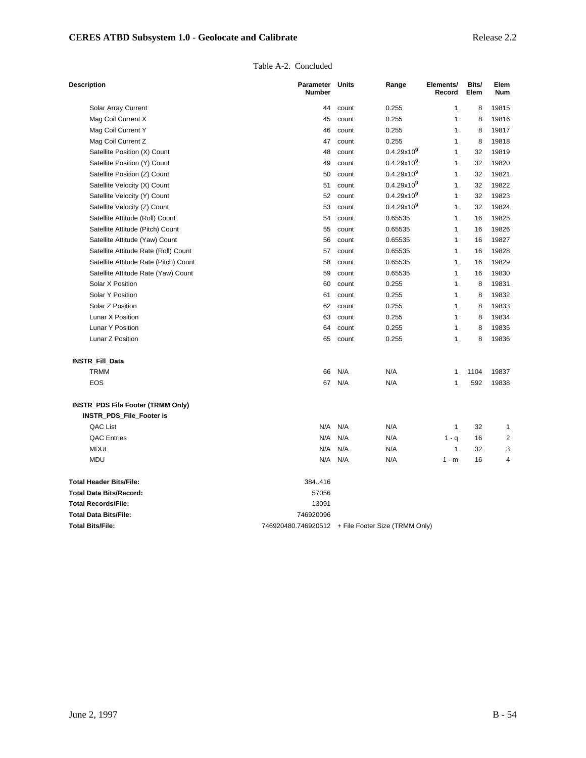| Table A-2. Concluded |
|----------------------|
|                      |

| <b>Description</b>                       | Parameter<br>Number                                | <b>Units</b> | Range                  | Elements/<br>Record | Bits/<br>Elem | Elem<br><b>Num</b> |
|------------------------------------------|----------------------------------------------------|--------------|------------------------|---------------------|---------------|--------------------|
| Solar Array Current                      | 44                                                 | count        | 0.255                  | 1                   | 8             | 19815              |
| Mag Coil Current X                       | 45                                                 | count        | 0.255                  | 1                   | 8             | 19816              |
| Mag Coil Current Y                       | 46                                                 | count        | 0.255                  | 1                   | 8             | 19817              |
| Mag Coil Current Z                       | 47                                                 | count        | 0.255                  | 1                   | 8             | 19818              |
| Satellite Position (X) Count             | 48                                                 | count        | $0.4.29x10^{9}$        | 1                   | 32            | 19819              |
| Satellite Position (Y) Count             | 49                                                 | count        | 0.4.29x10 <sup>9</sup> | $\mathbf{1}$        | 32            | 19820              |
| Satellite Position (Z) Count             | 50                                                 | count        | 0.4.29x10 <sup>9</sup> | 1                   | 32            | 19821              |
| Satellite Velocity (X) Count             | 51                                                 | count        | 0.4.29x10 <sup>9</sup> | 1                   | 32            | 19822              |
| Satellite Velocity (Y) Count             | 52                                                 | count        | 0.4.29x10 <sup>9</sup> | 1                   | 32            | 19823              |
| Satellite Velocity (Z) Count             | 53                                                 | count        | 0.4.29x10 <sup>9</sup> | 1                   | 32            | 19824              |
| Satellite Attitude (Roll) Count          | 54                                                 | count        | 0.65535                | 1                   | 16            | 19825              |
| Satellite Attitude (Pitch) Count         | 55                                                 | count        | 0.65535                | 1                   | 16            | 19826              |
| Satellite Attitude (Yaw) Count           | 56                                                 | count        | 0.65535                | 1                   | 16            | 19827              |
| Satellite Attitude Rate (Roll) Count     | 57                                                 | count        | 0.65535                | 1                   | 16            | 19828              |
| Satellite Attitude Rate (Pitch) Count    | 58                                                 | count        | 0.65535                | 1                   | 16            | 19829              |
| Satellite Attitude Rate (Yaw) Count      | 59                                                 | count        | 0.65535                | 1                   | 16            | 19830              |
| Solar X Position                         | 60                                                 | count        | 0.255                  | 1                   | 8             | 19831              |
| Solar Y Position                         | 61                                                 | count        | 0.255                  | 1                   | 8             | 19832              |
| Solar Z Position                         | 62                                                 | count        | 0.255                  | 1                   | 8             | 19833              |
| Lunar X Position                         | 63                                                 | count        | 0.255                  | 1                   | 8             | 19834              |
| Lunar Y Position                         | 64                                                 | count        | 0.255                  | 1                   | 8             | 19835              |
| Lunar Z Position                         | 65                                                 | count        | 0.255                  | 1                   | 8             | 19836              |
| INSTR_Fill_Data                          |                                                    |              |                        |                     |               |                    |
| <b>TRMM</b>                              | 66                                                 | N/A          | N/A                    | 1                   | 1104          | 19837              |
| EOS                                      | 67                                                 | N/A          | N/A                    | 1                   | 592           | 19838              |
| <b>INSTR_PDS File Footer (TRMM Only)</b> |                                                    |              |                        |                     |               |                    |
| INSTR_PDS_File_Footer is                 |                                                    |              |                        |                     |               |                    |
| QAC List                                 |                                                    | N/A N/A      | N/A                    | 1                   | 32            | 1                  |
| <b>QAC Entries</b>                       | N/A                                                | N/A          | N/A                    | $1 - q$             | 16            | 2                  |
| <b>MDUL</b>                              | N/A                                                | N/A          | N/A                    | $\mathbf{1}$        | 32            | 3                  |
| <b>MDU</b>                               | N/A                                                | N/A          | N/A                    | $1 - m$             | 16            | 4                  |
| <b>Total Header Bits/File:</b>           | 384.416                                            |              |                        |                     |               |                    |
| <b>Total Data Bits/Record:</b>           | 57056                                              |              |                        |                     |               |                    |
| <b>Total Records/File:</b>               | 13091                                              |              |                        |                     |               |                    |
| <b>Total Data Bits/File:</b>             | 746920096                                          |              |                        |                     |               |                    |
| <b>Total Bits/File:</b>                  | 746920480.746920512 + File Footer Size (TRMM Only) |              |                        |                     |               |                    |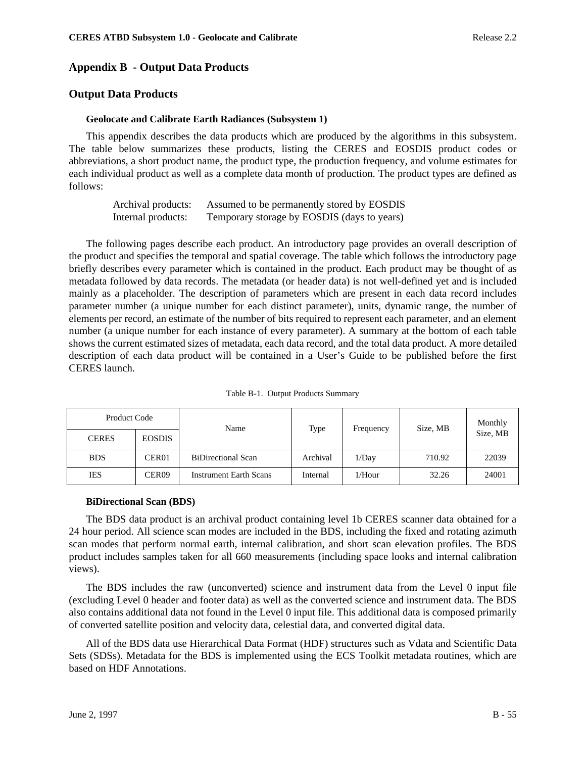# **Appendix B - Output Data Products**

# **Output Data Products**

### **Geolocate and Calibrate Earth Radiances (Subsystem 1)**

This appendix describes the data products which are produced by the algorithms in this subsystem. The table below summarizes these products, listing the CERES and EOSDIS product codes or abbreviations, a short product name, the product type, the production frequency, and volume estimates for each individual product as well as a complete data month of production. The product types are defined as follows:

| Archival products: | Assumed to be permanently stored by EOSDIS  |
|--------------------|---------------------------------------------|
| Internal products: | Temporary storage by EOSDIS (days to years) |

The following pages describe each product. An introductory page provides an overall description of the product and specifies the temporal and spatial coverage. The table which follows the introductory page briefly describes every parameter which is contained in the product. Each product may be thought of as metadata followed by data records. The metadata (or header data) is not well-defined yet and is included mainly as a placeholder. The description of parameters which are present in each data record includes parameter number (a unique number for each distinct parameter), units, dynamic range, the number of elements per record, an estimate of the number of bits required to represent each parameter, and an element number (a unique number for each instance of every parameter). A summary at the bottom of each table shows the current estimated sizes of metadata, each data record, and the total data product. A more detailed description of each data product will be contained in a User's Guide to be published before the first CERES launch.

| Product Code |                   | Name                          | Type<br>Frequency |           | Size, MB | Monthly  |  |
|--------------|-------------------|-------------------------------|-------------------|-----------|----------|----------|--|
| <b>CERES</b> | <b>EOSDIS</b>     |                               |                   |           |          | Size, MB |  |
| <b>BDS</b>   | CER <sub>01</sub> | <b>BiDirectional Scan</b>     | Archival          | 1/Day     | 710.92   | 22039    |  |
| <b>IES</b>   | CER <sub>09</sub> | <b>Instrument Earth Scans</b> | Internal          | $1/H$ our | 32.26    | 24001    |  |

Table B-1. Output Products Summary

#### **BiDirectional Scan (BDS)**

The BDS data product is an archival product containing level 1b CERES scanner data obtained for a 24 hour period. All science scan modes are included in the BDS, including the fixed and rotating azimuth scan modes that perform normal earth, internal calibration, and short scan elevation profiles. The BDS product includes samples taken for all 660 measurements (including space looks and internal calibration views).

The BDS includes the raw (unconverted) science and instrument data from the Level 0 input file (excluding Level 0 header and footer data) as well as the converted science and instrument data. The BDS also contains additional data not found in the Level 0 input file. This additional data is composed primarily of converted satellite position and velocity data, celestial data, and converted digital data.

All of the BDS data use Hierarchical Data Format (HDF) structures such as Vdata and Scientific Data Sets (SDSs). Metadata for the BDS is implemented using the ECS Toolkit metadata routines, which are based on HDF Annotations.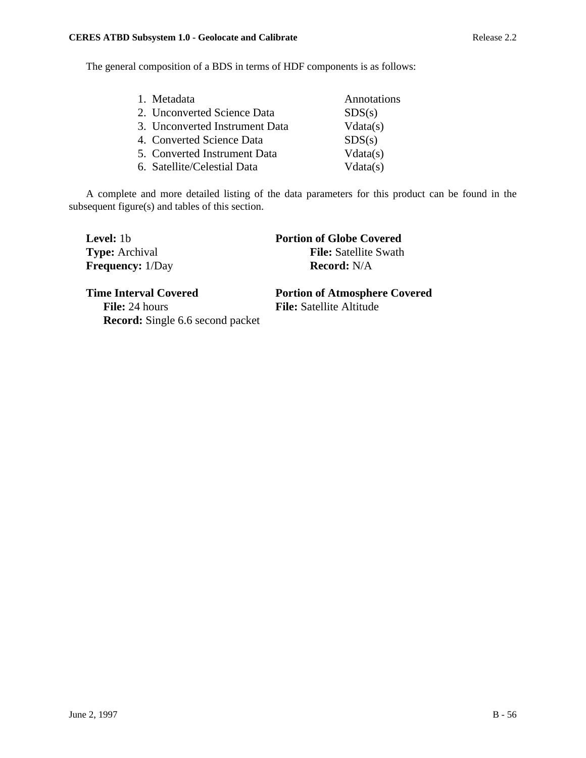The general composition of a BDS in terms of HDF components is as follows:

| 1. Metadata                    | Annotations |
|--------------------------------|-------------|
| 2. Unconverted Science Data    | SDS(s)      |
| 3. Unconverted Instrument Data | Vdata(s)    |
| 4. Converted Science Data      | SDS(s)      |
| 5. Converted Instrument Data   | Vdata(s)    |
| 6. Satellite/Celestial Data    | Vdata(s)    |

A complete and more detailed listing of the data parameters for this product can be found in the subsequent figure(s) and tables of this section.

| <b>Level:</b> 1b        | <b>Portion of Globe Covered</b> |
|-------------------------|---------------------------------|
| <b>Type:</b> Archival   | <b>File:</b> Satellite Swath    |
| <b>Frequency:</b> 1/Day | <b>Record:</b> N/A              |
|                         |                                 |

**File:** 24 hours **File:** Satellite Altitude **Record:** Single 6.6 second packet

**Time Interval Covered Portion of Atmosphere Covered**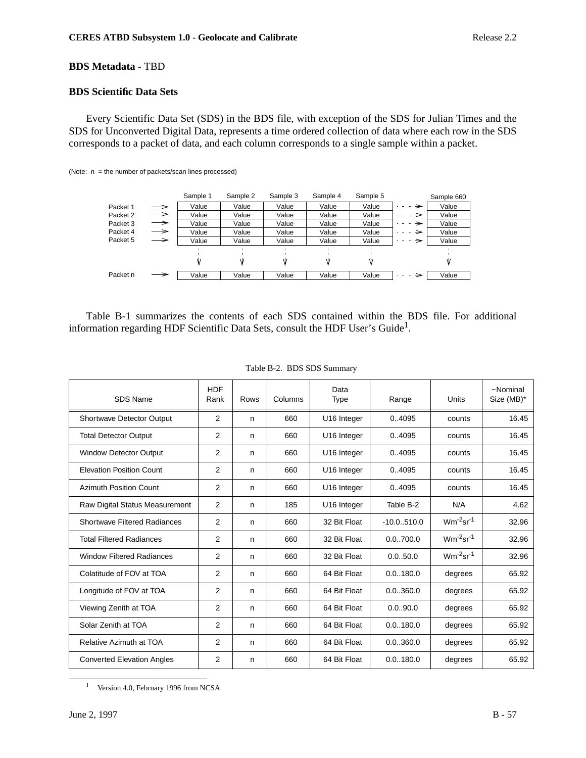# **BDS Metadata** - TBD

# **BDS Scientific Data Sets**

Every Scientific Data Set (SDS) in the BDS file, with exception of the SDS for Julian Times and the SDS for Unconverted Digital Data, represents a time ordered collection of data where each row in the SDS corresponds to a packet of data, and each column corresponds to a single sample within a packet.

|          |               | Sample 1 | Sample 2 | Sample 3 | Sample 4 | Sample 5 |     | Sample 660 |
|----------|---------------|----------|----------|----------|----------|----------|-----|------------|
| Packet 1 | $\rightarrow$ | Value    | Value    | Value    | Value    | Value    | →   | Value      |
| Packet 2 | $\rightarrow$ | Value    | Value    | Value    | Value    | Value    | →   | Value      |
| Packet 3 | $\rightarrow$ | Value    | Value    | Value    | Value    | Value    | →   | Value      |
| Packet 4 | $\rightarrow$ | Value    | Value    | Value    | Value    | Value    | →   | Value      |
| Packet 5 | $\rightarrow$ | Value    | Value    | Value    | Value    | Value    | →   | Value      |
|          |               |          |          |          |          |          |     |            |
|          |               | W        |          | Ŵ        | W        |          |     |            |
|          |               |          |          |          |          |          |     |            |
| Packet n | $\rightarrow$ | Value    | Value    | Value    | Value    | Value    | - → | Value      |

(Note: n = the number of packets/scan lines processed)

Table B-1 summarizes the contents of each SDS contained within the BDS file. For additional information regarding HDF Scientific Data Sets, consult the HDF User's Guide<sup>1</sup>.

| SDS Name                            | <b>HDF</b><br>Rank | <b>Rows</b> | Columns | Data<br><b>Type</b>     | Range         | Units                      | ~Nominal<br>Size (MB)* |
|-------------------------------------|--------------------|-------------|---------|-------------------------|---------------|----------------------------|------------------------|
| <b>Shortwave Detector Output</b>    | 2                  | n           | 660     | U16 Integer             | 04095         | counts                     | 16.45                  |
| <b>Total Detector Output</b>        | 2                  | n           | 660     | U16 Integer             | 04095         | counts                     | 16.45                  |
| Window Detector Output              | 2                  | n           | 660     | U <sub>16</sub> Integer | 04095         | counts                     | 16.45                  |
| <b>Elevation Position Count</b>     | 2                  | n           | 660     | U16 Integer             | 04095         | counts                     | 16.45                  |
| <b>Azimuth Position Count</b>       | 2                  | n           | 660     | U16 Integer             | 04095         | counts                     | 16.45                  |
| Raw Digital Status Measurement      | 2                  | n           | 185     | U <sub>16</sub> Integer | Table B-2     | N/A                        | 4.62                   |
| <b>Shortwave Filtered Radiances</b> | 2                  | n           | 660     | 32 Bit Float            | $-10.0.510.0$ | $Wm^{-2}$ sr <sup>-1</sup> | 32.96                  |
| <b>Total Filtered Radiances</b>     | 2                  | n           | 660     | 32 Bit Float            | 0.0.700.0     | $Wm^{-2}$ sr <sup>-1</sup> | 32.96                  |
| <b>Window Filtered Radiances</b>    | 2                  | n           | 660     | 32 Bit Float            | 0.0.50.0      | $Wm^{-2}$ sr <sup>-1</sup> | 32.96                  |
| Colatitude of FOV at TOA            | 2                  | n           | 660     | 64 Bit Float            | 0.0.180.0     | degrees                    | 65.92                  |
| Longitude of FOV at TOA             | 2                  | n           | 660     | 64 Bit Float            | 0.0.360.0     | degrees                    | 65.92                  |
| Viewing Zenith at TOA               | 2                  | n           | 660     | 64 Bit Float            | 0.0.90.0      | degrees                    | 65.92                  |
| Solar Zenith at TOA                 | 2                  | n           | 660     | 64 Bit Float            | 0.0.180.0     | degrees                    | 65.92                  |
| Relative Azimuth at TOA             | $\overline{2}$     | n           | 660     | 64 Bit Float            | 0.0.360.0     | degrees                    | 65.92                  |
| <b>Converted Elevation Angles</b>   | 2                  | n           | 660     | 64 Bit Float            | 0.0.180.0     | degrees                    | 65.92                  |

#### Table B-2. BDS SDS Summary

<sup>1</sup> Version 4.0, February 1996 from NCSA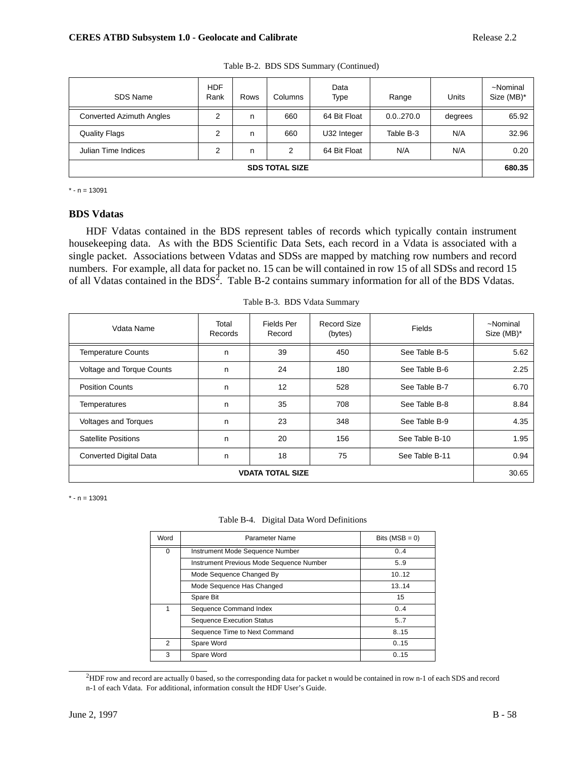| SDS Name                        | <b>HDF</b><br>Rank | <b>Rows</b> | Columns | Data<br>Type | Range     | Units   | ~Nominal<br>Size (MB)* |
|---------------------------------|--------------------|-------------|---------|--------------|-----------|---------|------------------------|
| <b>Converted Azimuth Angles</b> | 2                  | n           | 660     | 64 Bit Float | 0.0270.0  | degrees | 65.92                  |
| <b>Quality Flags</b>            | 2                  | n           | 660     | U32 Integer  | Table B-3 | N/A     | 32.96                  |
| Julian Time Indices             | 2                  | n           | 2       | 64 Bit Float | N/A       | N/A     | 0.20                   |
| <b>SDS TOTAL SIZE</b>           |                    |             |         |              |           | 680.35  |                        |

Table B-2. BDS SDS Summary (Continued)

 $* - n = 13091$ 

# **BDS Vdatas**

HDF Vdatas contained in the BDS represent tables of records which typically contain instrument housekeeping data. As with the BDS Scientific Data Sets, each record in a Vdata is associated with a single packet. Associations between Vdatas and SDSs are mapped by matching row numbers and record numbers. For example, all data for packet no. 15 can be will contained in row 15 of all SDSs and record 15 of all Vdatas contained in the BDS<sup>2</sup>. Table B-2 contains summary information for all of the BDS Vdatas.

| Vdata Name                    | Total<br><b>Records</b> | Fields Per<br>Record | Record Size<br>(bytes) | Fields         | ~Nominal<br>Size (MB)* |
|-------------------------------|-------------------------|----------------------|------------------------|----------------|------------------------|
| <b>Temperature Counts</b>     | n                       | 39                   | 450                    | See Table B-5  | 5.62                   |
| Voltage and Torque Counts     | n                       | 24                   | 180                    | See Table B-6  | 2.25                   |
| <b>Position Counts</b>        | n                       | 12                   | 528                    | See Table B-7  | 6.70                   |
| <b>Temperatures</b>           | n                       | 35                   | 708                    | See Table B-8  | 8.84                   |
| <b>Voltages and Torques</b>   | n                       | 23                   | 348                    | See Table B-9  | 4.35                   |
| <b>Satellite Positions</b>    | n                       | 20                   | 156                    | See Table B-10 | 1.95                   |
| <b>Converted Digital Data</b> | n                       | 18                   | 75                     | See Table B-11 | 0.94                   |
| <b>VDATA TOTAL SIZE</b>       |                         |                      |                        |                |                        |

Table B-3. BDS Vdata Summary

 $* - n = 13091$ 

|  | Table B-4. Digital Data Word Definitions |
|--|------------------------------------------|
|--|------------------------------------------|

| Word | Parameter Name                           | Bits $(MSB = 0)$ |
|------|------------------------------------------|------------------|
| 0    | Instrument Mode Sequence Number          | 0.4              |
|      | Instrument Previous Mode Sequence Number | 5.9              |
|      | Mode Sequence Changed By                 | 10.12            |
|      | Mode Sequence Has Changed                | 13.14            |
|      | Spare Bit                                | 15               |
| 1    | Sequence Command Index                   | 0.4              |
|      | <b>Sequence Execution Status</b>         | 5.7              |
|      | Sequence Time to Next Command            | 8.15             |
| 2    | Spare Word                               | 0.15             |
| 3    | Spare Word                               | 0.15             |

2 HDF row and record are actually 0 based, so the corresponding data for packet n would be contained in row n-1 of each SDS and record n-1 of each Vdata. For additional, information consult the HDF User's Guide.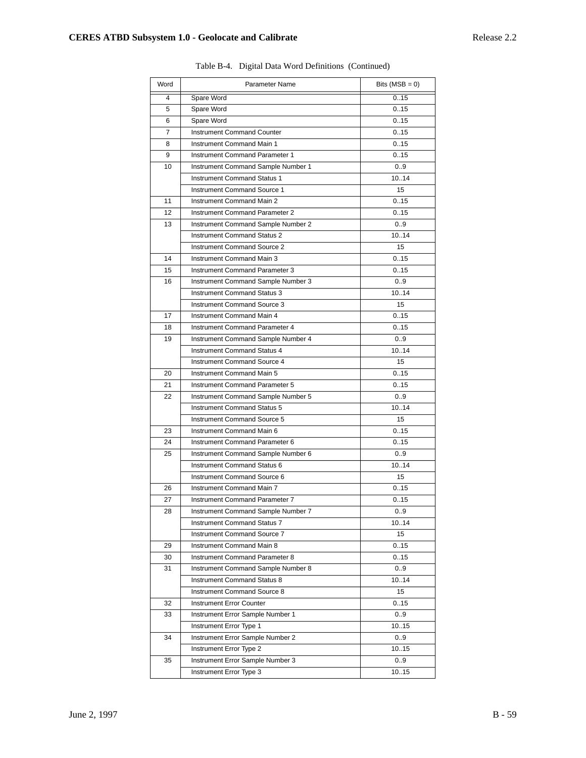| Word | Parameter Name                        | Bits $(MSB = 0)$ |
|------|---------------------------------------|------------------|
| 4    | Spare Word                            | 0.15             |
| 5    | Spare Word                            | 0.15             |
| 6    | Spare Word                            | 0.15             |
| 7    | <b>Instrument Command Counter</b>     | 0.15             |
| 8    | Instrument Command Main 1             | 0.15             |
| 9    | Instrument Command Parameter 1        | 0.15             |
| 10   | Instrument Command Sample Number 1    | 0.9              |
|      | <b>Instrument Command Status 1</b>    | 10.14            |
|      | <b>Instrument Command Source 1</b>    | 15               |
| 11   | <b>Instrument Command Main 2</b>      | 0.15             |
| 12   | <b>Instrument Command Parameter 2</b> | 0.15             |
| 13   | Instrument Command Sample Number 2    | 0.9              |
|      | <b>Instrument Command Status 2</b>    | 10.14            |
|      | <b>Instrument Command Source 2</b>    | 15               |
| 14   | Instrument Command Main 3             | 0.15             |
| 15   | Instrument Command Parameter 3        | 0.15             |
| 16   | Instrument Command Sample Number 3    | 0.9              |
|      | Instrument Command Status 3           | 10.14            |
|      | Instrument Command Source 3           | 15               |
| 17   | Instrument Command Main 4             | 0.15             |
| 18   | Instrument Command Parameter 4        | 0.15             |
| 19   | Instrument Command Sample Number 4    | 0.9              |
|      | <b>Instrument Command Status 4</b>    | 10.14            |
|      | <b>Instrument Command Source 4</b>    | 15               |
| 20   | Instrument Command Main 5             | 0.15             |
| 21   | Instrument Command Parameter 5        | 0.15             |
| 22   | Instrument Command Sample Number 5    | 0.9              |
|      | <b>Instrument Command Status 5</b>    | 10.14            |
|      | <b>Instrument Command Source 5</b>    | 15               |
| 23   | Instrument Command Main 6             | 0.15             |
| 24   | Instrument Command Parameter 6        | 0.15             |
| 25   | Instrument Command Sample Number 6    | 0.9              |
|      | <b>Instrument Command Status 6</b>    | 10.14            |
|      | Instrument Command Source 6           | 15               |
| 26   | Instrument Command Main 7             | 0.15             |
| 27   | Instrument Command Parameter 7        | 0.15             |
| 28   | Instrument Command Sample Number 7    | 0.9              |
|      | <b>Instrument Command Status 7</b>    | 1014             |
|      | <b>Instrument Command Source 7</b>    | 15               |
| 29   | <b>Instrument Command Main 8</b>      | 0.15             |
| 30   | Instrument Command Parameter 8        | 0.15             |
| 31   | Instrument Command Sample Number 8    | 0.9              |
|      | <b>Instrument Command Status 8</b>    | 1014             |
|      | Instrument Command Source 8           | 15               |
| 32   | <b>Instrument Error Counter</b>       | 0.15             |
| 33   | Instrument Error Sample Number 1      | 0.9              |
|      | Instrument Error Type 1               | 1015             |
| 34   | Instrument Error Sample Number 2      | 0.9              |
|      | Instrument Error Type 2               | 1015             |
| 35   | Instrument Error Sample Number 3      | 0.9              |
|      | Instrument Error Type 3               | 1015             |

|  | Table B-4. Digital Data Word Definitions (Continued) |  |
|--|------------------------------------------------------|--|
|  |                                                      |  |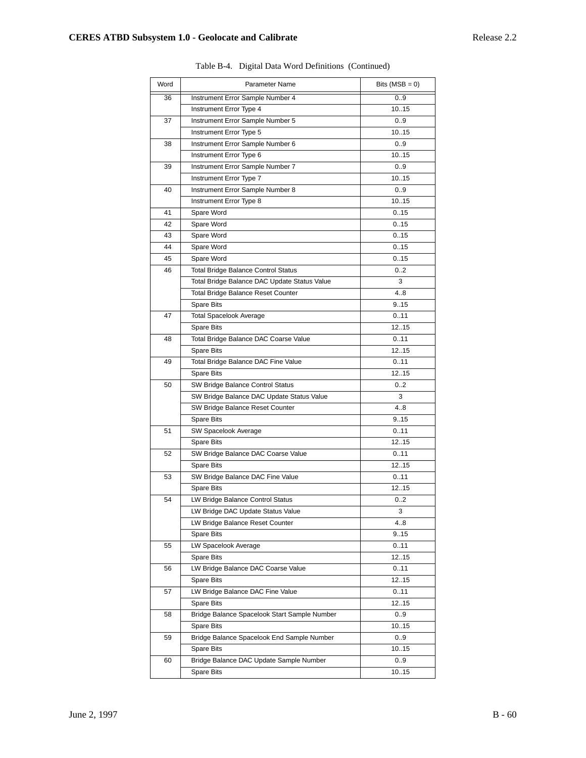| Word | Parameter Name                               | Bits $(MSB = 0)$ |
|------|----------------------------------------------|------------------|
| 36   | Instrument Error Sample Number 4             | 0.9              |
|      | Instrument Error Type 4                      | 10.15            |
| 37   | Instrument Error Sample Number 5             | 09               |
|      | Instrument Error Type 5                      | 10.15            |
| 38   | Instrument Error Sample Number 6             | 09               |
|      | Instrument Error Type 6                      | 10.15            |
| 39   | Instrument Error Sample Number 7             | 09               |
|      | Instrument Error Type 7                      | 10.15            |
| 40   | Instrument Error Sample Number 8             | 09               |
|      | Instrument Error Type 8                      | 1015             |
| 41   | Spare Word                                   | 0.15             |
| 42   | Spare Word                                   | 0.15             |
| 43   | Spare Word                                   | 0.15             |
| 44   | Spare Word                                   | 0.15             |
| 45   | Spare Word                                   | 0.15             |
| 46   | Total Bridge Balance Control Status          | 02               |
|      | Total Bridge Balance DAC Update Status Value | 3                |
|      | Total Bridge Balance Reset Counter           | 4.8              |
|      | Spare Bits                                   | 915              |
| 47   | Total Spacelook Average                      | 0.11             |
|      | Spare Bits                                   | 1215             |
| 48   | Total Bridge Balance DAC Coarse Value        | 0.11             |
|      | Spare Bits                                   | 1215             |
| 49   | Total Bridge Balance DAC Fine Value          | 0.11             |
|      | Spare Bits                                   | 1215             |
| 50   | SW Bridge Balance Control Status             | 0.2              |
|      | SW Bridge Balance DAC Update Status Value    | 3                |
|      | SW Bridge Balance Reset Counter              | 4.8              |
|      | Spare Bits                                   | 915              |
| 51   | SW Spacelook Average                         | 0.11             |
|      | Spare Bits                                   | 1215             |
| 52   | SW Bridge Balance DAC Coarse Value           | 0.11             |
|      | <b>Spare Bits</b>                            | 1215             |
| 53   | SW Bridge Balance DAC Fine Value             | 0.11             |
|      | Spare Bits                                   | 1215             |
| 54   | LW Bridge Balance Control Status             | 0.2              |
|      | LW Bridge DAC Update Status Value            | 3                |
|      | LW Bridge Balance Reset Counter              | 48               |
|      | Spare Bits                                   | 915              |
| 55   | LW Spacelook Average                         | 0.11             |
|      | Spare Bits                                   | 1215             |
| 56   | LW Bridge Balance DAC Coarse Value           | 0.11             |
|      | Spare Bits                                   | 1215             |
| 57   | LW Bridge Balance DAC Fine Value             | 0.11             |
|      | Spare Bits                                   | 1215             |
| 58   | Bridge Balance Spacelook Start Sample Number | 0.9              |
|      | Spare Bits                                   | 1015             |
| 59   | Bridge Balance Spacelook End Sample Number   | 0.9              |
|      | Spare Bits                                   | 1015             |
| 60   | Bridge Balance DAC Update Sample Number      | 0.9              |
|      | Spare Bits                                   | 10.15            |
|      |                                              |                  |

Table B-4. Digital Data Word Definitions (Continued)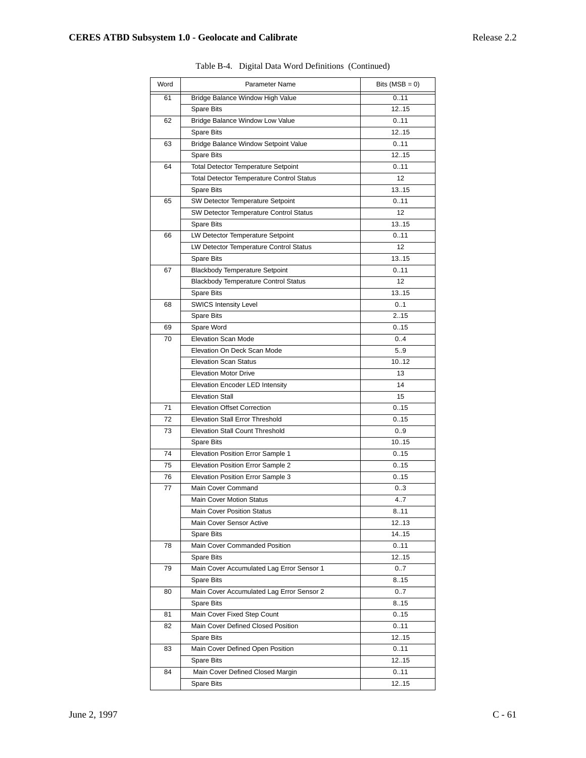| Word | Parameter Name                                   | Bits $(MSB = 0)$ |
|------|--------------------------------------------------|------------------|
| 61   | Bridge Balance Window High Value                 | 0.11             |
|      | <b>Spare Bits</b>                                | 1215             |
| 62   | Bridge Balance Window Low Value                  | 0.11             |
|      | Spare Bits                                       | 1215             |
| 63   | Bridge Balance Window Setpoint Value             | 0.11             |
|      | <b>Spare Bits</b>                                | 1215             |
| 64   | <b>Total Detector Temperature Setpoint</b>       | 0.11             |
|      | <b>Total Detector Temperature Control Status</b> | 12               |
|      | <b>Spare Bits</b>                                | 13.15            |
| 65   | SW Detector Temperature Setpoint                 | 0.11             |
|      | SW Detector Temperature Control Status           | 12               |
|      | <b>Spare Bits</b>                                | 13.15            |
| 66   | LW Detector Temperature Setpoint                 | 0.11             |
|      | LW Detector Temperature Control Status           | 12               |
|      | <b>Spare Bits</b>                                | 13.15            |
| 67   | <b>Blackbody Temperature Setpoint</b>            | 0.11             |
|      | <b>Blackbody Temperature Control Status</b>      | 12               |
|      | <b>Spare Bits</b>                                | 13.15            |
| 68   | <b>SWICS Intensity Level</b>                     | 0.1              |
|      | <b>Spare Bits</b>                                | 2.15             |
| 69   | Spare Word                                       | 0.15             |
| 70   | <b>Elevation Scan Mode</b>                       | 0.4              |
|      | Elevation On Deck Scan Mode                      | 5.9              |
|      | <b>Elevation Scan Status</b>                     | 1012             |
|      | <b>Elevation Motor Drive</b>                     | 13               |
|      | Elevation Encoder LED Intensity                  | 14               |
|      | <b>Elevation Stall</b>                           | 15               |
| 71   | <b>Elevation Offset Correction</b>               | 0.15             |
| 72   | <b>Elevation Stall Error Threshold</b>           | 0.15             |
| 73   | <b>Elevation Stall Count Threshold</b>           | 0.9              |
|      | <b>Spare Bits</b>                                | 1015             |
| 74   | Elevation Position Error Sample 1                | 0.15             |
| 75   | Elevation Position Error Sample 2                | 0.15             |
| 76   | Elevation Position Error Sample 3                | 0.15             |
| 77   | Main Cover Command                               | 0.3              |
|      | Main Cover Motion Status                         | 4.7              |
|      | Main Cover Position Status                       | 8.11             |
|      | Main Cover Sensor Active                         | 12.13            |
|      | Spare Bits                                       | 14.15            |
| 78   | Main Cover Commanded Position                    | 0.11             |
|      | Spare Bits                                       | 1215             |
| 79   | Main Cover Accumulated Lag Error Sensor 1        | 0.7              |
|      | Spare Bits                                       | 8.15             |
| 80   | Main Cover Accumulated Lag Error Sensor 2        | 0.7              |
|      | Spare Bits                                       | 8.15             |
| 81   | Main Cover Fixed Step Count                      | 0.15             |
| 82   | Main Cover Defined Closed Position               | 0.11             |
|      | Spare Bits                                       | 1215             |
| 83   | Main Cover Defined Open Position                 | 0.11             |
|      | Spare Bits                                       | 1215             |
| 84   | Main Cover Defined Closed Margin                 | 0.11             |
|      | Spare Bits                                       | 12.15            |

Table B-4. Digital Data Word Definitions (Continued)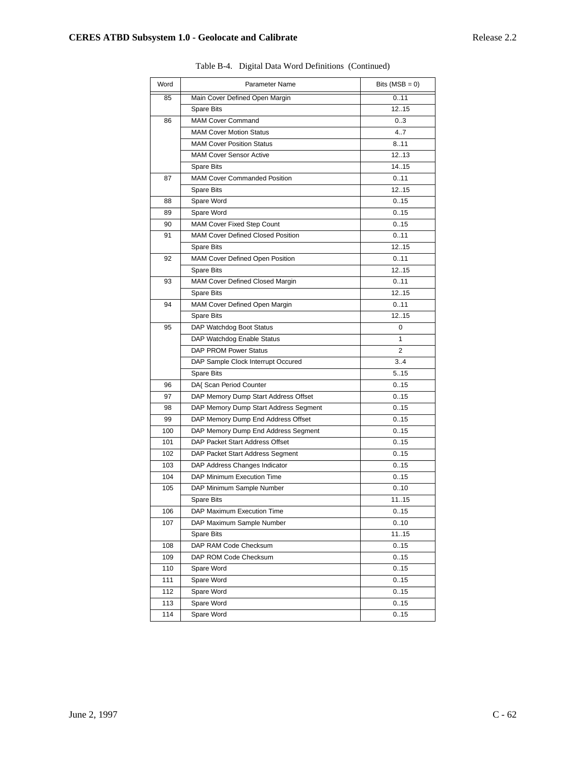| Word | Parameter Name                           | Bits $(MSB = 0)$ |
|------|------------------------------------------|------------------|
| 85   | Main Cover Defined Open Margin           | 0.11             |
|      | Spare Bits                               | 12.15            |
| 86   | <b>MAM Cover Command</b>                 | 03               |
|      | <b>MAM Cover Motion Status</b>           | 4.7              |
|      | <b>MAM Cover Position Status</b>         | 8.11             |
|      | <b>MAM Cover Sensor Active</b>           | 1213             |
|      | Spare Bits                               | 14.15            |
| 87   | <b>MAM Cover Commanded Position</b>      | 0.11             |
|      | <b>Spare Bits</b>                        | 1215             |
| 88   | Spare Word                               | 0.15             |
| 89   | Spare Word                               | 0.15             |
| 90   | <b>MAM Cover Fixed Step Count</b>        | 0.15             |
| 91   | <b>MAM Cover Defined Closed Position</b> | 0.11             |
|      | Spare Bits                               | 1215             |
| 92   | MAM Cover Defined Open Position          | 0.11             |
|      | Spare Bits                               | 1215             |
| 93   | MAM Cover Defined Closed Margin          | 0.11             |
|      | <b>Spare Bits</b>                        | 1215             |
| 94   | MAM Cover Defined Open Margin            | 0.11             |
|      | Spare Bits                               | 1215             |
| 95   | DAP Watchdog Boot Status                 | 0                |
|      | DAP Watchdog Enable Status               | 1                |
|      | DAP PROM Power Status                    | 2                |
|      | DAP Sample Clock Interrupt Occured       | 3.4              |
|      | <b>Spare Bits</b>                        | 5.15             |
| 96   | DA{ Scan Period Counter                  | 0.15             |
| 97   | DAP Memory Dump Start Address Offset     | 0.15             |
| 98   | DAP Memory Dump Start Address Segment    | 0.15             |
| 99   | DAP Memory Dump End Address Offset       | 0.15             |
| 100  | DAP Memory Dump End Address Segment      | 0.15             |
| 101  | DAP Packet Start Address Offset          | 0.15             |
| 102  | DAP Packet Start Address Segment         | 0.15             |
| 103  | DAP Address Changes Indicator            | 0.15             |
| 104  | DAP Minimum Execution Time               | 0.15             |
| 105  | DAP Minimum Sample Number                | 0.10             |
|      | <b>Spare Bits</b>                        | 1115             |
| 106  | DAP Maximum Execution Time               | 0.15             |
| 107  | DAP Maximum Sample Number                | 0.10             |
|      | Spare Bits                               | 1115             |
| 108  | DAP RAM Code Checksum                    | 0.15             |
| 109  | DAP ROM Code Checksum                    | 0.15             |
| 110  | Spare Word                               | 0.15             |
| 111  | Spare Word                               | 0.15             |
| 112  | Spare Word                               | 0.15             |
| 113  | Spare Word                               | 0.15             |
| 114  | Spare Word                               | 0.15             |

Table B-4. Digital Data Word Definitions (Continued)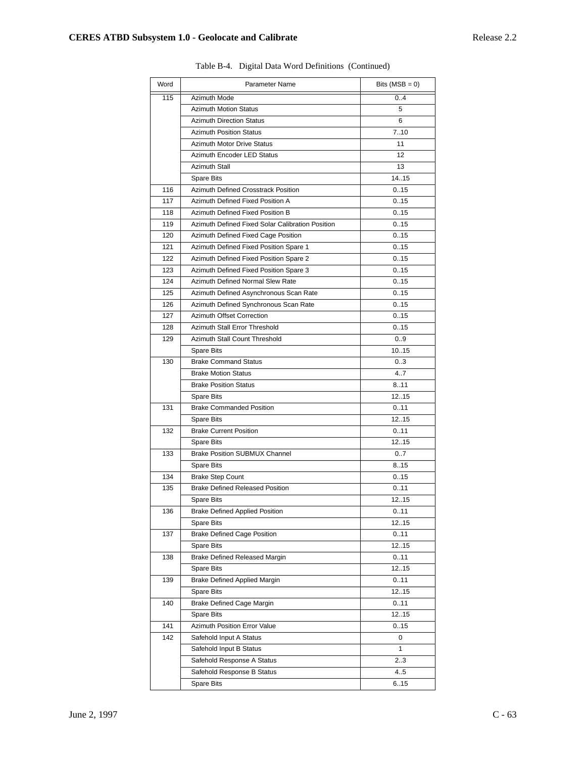| Word | Parameter Name                                   | Bits ( $MSB = 0$ ) |
|------|--------------------------------------------------|--------------------|
| 115  | Azimuth Mode                                     | 0.4                |
|      | <b>Azimuth Motion Status</b>                     | 5                  |
|      | <b>Azimuth Direction Status</b>                  | 6                  |
|      | <b>Azimuth Position Status</b>                   | 710                |
|      | <b>Azimuth Motor Drive Status</b>                | 11                 |
|      | Azimuth Encoder LED Status                       | 12                 |
|      | <b>Azimuth Stall</b>                             | 13                 |
|      | <b>Spare Bits</b>                                | 14.15              |
| 116  | Azimuth Defined Crosstrack Position              | 0.15               |
| 117  | Azimuth Defined Fixed Position A                 | 0.15               |
| 118  | Azimuth Defined Fixed Position B                 | 0.15               |
| 119  | Azimuth Defined Fixed Solar Calibration Position | 0.15               |
| 120  | Azimuth Defined Fixed Cage Position              | 0.15               |
| 121  | Azimuth Defined Fixed Position Spare 1           | 0.15               |
| 122  | Azimuth Defined Fixed Position Spare 2           | 0.15               |
| 123  | Azimuth Defined Fixed Position Spare 3           | 0.15               |
| 124  | Azimuth Defined Normal Slew Rate                 | 0.15               |
| 125  | Azimuth Defined Asynchronous Scan Rate           | 0.15               |
| 126  | Azimuth Defined Synchronous Scan Rate            | 0.15               |
| 127  | <b>Azimuth Offset Correction</b>                 | 0.15               |
| 128  | Azimuth Stall Error Threshold                    | 0.15               |
| 129  | Azimuth Stall Count Threshold                    | 0.9                |
|      | <b>Spare Bits</b>                                | 10.15              |
| 130  | <b>Brake Command Status</b>                      | 03                 |
|      | <b>Brake Motion Status</b>                       | 4.7                |
|      | <b>Brake Position Status</b>                     | 8.11               |
|      | <b>Spare Bits</b>                                | 1215               |
| 131  | <b>Brake Commanded Position</b>                  | 0.11               |
|      | <b>Spare Bits</b>                                | 1215               |
| 132  | <b>Brake Current Position</b>                    | 0.11               |
|      | <b>Spare Bits</b>                                | 1215               |
| 133  | <b>Brake Position SUBMUX Channel</b>             | 0.7                |
|      | <b>Spare Bits</b>                                | 8.15               |
| 134  | <b>Brake Step Count</b>                          | 0.15               |
| 135  | <b>Brake Defined Released Position</b>           | 0.11               |
|      | <b>Spare Bits</b>                                | 12.15              |
| 136  | <b>Brake Defined Applied Position</b>            | 0.11               |
|      | Spare Bits                                       | 12.15              |
| 137  | <b>Brake Defined Cage Position</b>               | 0.11               |
|      | Spare Bits                                       | 1215               |
| 138  | <b>Brake Defined Released Margin</b>             | 0.11               |
|      | Spare Bits                                       | 1215               |
| 139  | <b>Brake Defined Applied Margin</b>              | 0.11               |
|      | Spare Bits                                       | 1215               |
| 140  | <b>Brake Defined Cage Margin</b>                 | 0.11               |
|      | Spare Bits                                       | 1215               |
| 141  | Azimuth Position Error Value                     | 0.15               |
| 142  | Safehold Input A Status                          | 0                  |
|      | Safehold Input B Status                          | 1                  |
|      | Safehold Response A Status                       | 23                 |
|      | Safehold Response B Status                       | 4.5                |
|      | Spare Bits                                       | 6.15               |

Table B-4. Digital Data Word Definitions (Continued)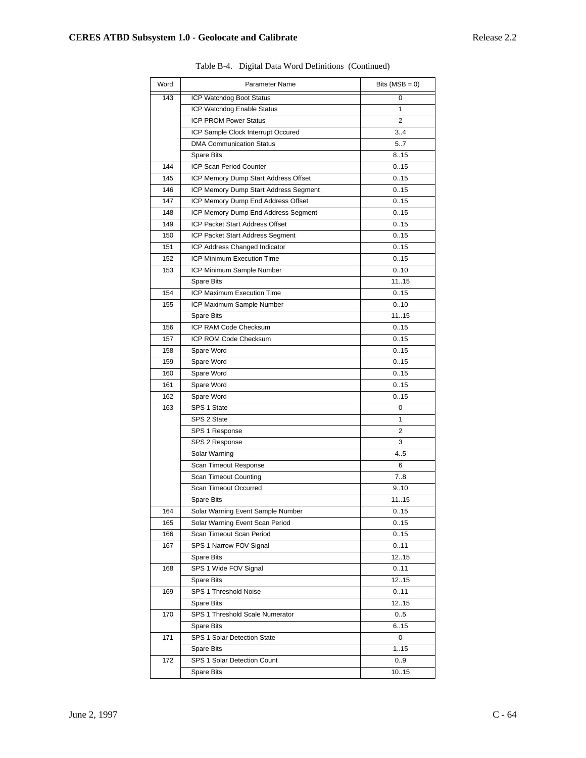| Word | Parameter Name                        | Bits $(MSB = 0)$ |
|------|---------------------------------------|------------------|
| 143  | ICP Watchdog Boot Status              | 0                |
|      | ICP Watchdog Enable Status            | 1                |
|      | <b>ICP PROM Power Status</b>          | 2                |
|      | ICP Sample Clock Interrupt Occured    | 34               |
|      | <b>DMA Communication Status</b>       | 5.7              |
|      | <b>Spare Bits</b>                     | 8.15             |
| 144  | ICP Scan Period Counter               | 0.15             |
| 145  | ICP Memory Dump Start Address Offset  | 0.15             |
| 146  | ICP Memory Dump Start Address Segment | 0.15             |
| 147  | ICP Memory Dump End Address Offset    | 0.15             |
| 148  | ICP Memory Dump End Address Segment   | 0.15             |
| 149  | ICP Packet Start Address Offset       | 0.15             |
| 150  | ICP Packet Start Address Segment      | 0.15             |
| 151  | ICP Address Changed Indicator         | 0.15             |
| 152  | ICP Minimum Execution Time            | 0.15             |
| 153  | ICP Minimum Sample Number             | 0.10             |
|      | <b>Spare Bits</b>                     | 1115             |
| 154  | <b>ICP Maximum Execution Time</b>     | 0.15             |
| 155  | ICP Maximum Sample Number             | 0.10             |
|      | <b>Spare Bits</b>                     | 1115             |
| 156  | ICP RAM Code Checksum                 | 0.15             |
| 157  | ICP ROM Code Checksum                 | 0.15             |
| 158  | Spare Word                            | 0.15             |
| 159  | Spare Word                            | 0.15             |
| 160  | Spare Word                            | 0.15             |
| 161  | Spare Word                            | 0.15             |
| 162  | Spare Word                            | 0.15             |
| 163  | SPS 1 State                           | 0                |
|      | SPS 2 State                           | 1                |
|      | SPS 1 Response                        | 2                |
|      | SPS 2 Response                        | 3                |
|      | Solar Warning                         | 4.5              |
|      | Scan Timeout Response                 | 6                |
|      | Scan Timeout Counting                 | 7.8              |
|      | Scan Timeout Occurred                 | 9.10             |
|      | <b>Spare Bits</b>                     | 1115             |
| 164  | Solar Warning Event Sample Number     | 0.15             |
| 165  | Solar Warning Event Scan Period       | 0.15             |
| 166  | Scan Timeout Scan Period              | 0.15             |
| 167  | SPS 1 Narrow FOV Signal               | 0.11             |
|      | Spare Bits                            | 1215             |
| 168  | SPS 1 Wide FOV Signal                 | 0.11             |
|      | Spare Bits                            | 1215             |
| 169  | SPS 1 Threshold Noise                 | 0.11             |
|      | Spare Bits                            | 1215             |
| 170  | SPS 1 Threshold Scale Numerator       | 0.5              |
|      | Spare Bits                            | 6.15             |
| 171  | SPS 1 Solar Detection State           | 0                |
|      | Spare Bits                            | 1.15             |
| 172  | SPS 1 Solar Detection Count           | 0.9              |
|      | Spare Bits                            | 10.15            |

Table B-4. Digital Data Word Definitions (Continued)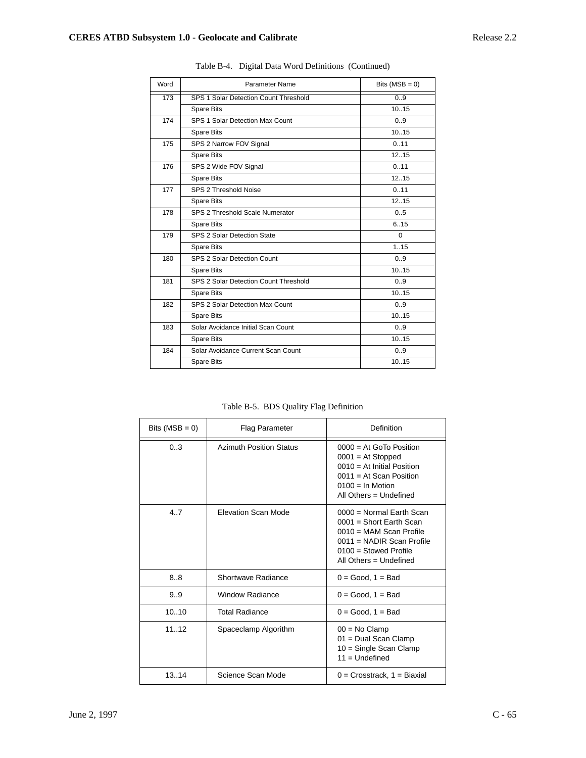| Word | Parameter Name                        | Bits $(MSB = 0)$ |
|------|---------------------------------------|------------------|
| 173  | SPS 1 Solar Detection Count Threshold | 0.9              |
|      | <b>Spare Bits</b>                     | 10.15            |
| 174  | SPS 1 Solar Detection Max Count       | 0.9              |
|      | <b>Spare Bits</b>                     | 10.15            |
| 175  | SPS 2 Narrow FOV Signal               | 0.11             |
|      | <b>Spare Bits</b>                     | 12.15            |
| 176  | SPS 2 Wide FOV Signal                 | 0.11             |
|      | <b>Spare Bits</b>                     | 12.15            |
| 177  | SPS 2 Threshold Noise                 | 0.11             |
|      | <b>Spare Bits</b>                     | 12.15            |
| 178  | SPS 2 Threshold Scale Numerator       | 0.5              |
|      | <b>Spare Bits</b>                     | 6.15             |
| 179  | SPS 2 Solar Detection State           | $\Omega$         |
|      | <b>Spare Bits</b>                     | 1.15             |
| 180  | SPS 2 Solar Detection Count           | 0.9              |
|      | <b>Spare Bits</b>                     | 10.15            |
| 181  | SPS 2 Solar Detection Count Threshold | 0.9              |
|      | <b>Spare Bits</b>                     | 10.15            |
| 182  | SPS 2 Solar Detection Max Count       | 0.9              |
|      | Spare Bits                            | 10.15            |
| 183  | Solar Avoidance Initial Scan Count    | 0.9              |
|      | Spare Bits                            | 1015             |
| 184  | Solar Avoidance Current Scan Count    | 0.9              |
|      | <b>Spare Bits</b>                     | 10.15            |

Table B-4. Digital Data Word Definitions (Continued)

Table B-5. BDS Quality Flag Definition

| Bits ( $MSB = 0$ ) | <b>Flag Parameter</b>          | Definition                                                                                                                                                               |
|--------------------|--------------------------------|--------------------------------------------------------------------------------------------------------------------------------------------------------------------------|
| 0.3                | <b>Azimuth Position Status</b> | $0000 = At GoTo Position$<br>$0001 = At$ Stopped<br>$0010 = At$ Initial Position<br>$0011 = At Scan Position$<br>$0100 =$ In Motion<br>All Others $=$ Undefined          |
| 4.7                | <b>Elevation Scan Mode</b>     | $0000 = Normal Earth Scan$<br>$0001$ = Short Earth Scan<br>$0010$ = MAM Scan Profile<br>$0011$ = NADIR Scan Profile<br>$0100 =$ Stowed Profile<br>All Others = Undefined |
| 8.8                | Shortwave Radiance             | $0 = Good$ , $1 = Bad$                                                                                                                                                   |
| 9.9                | <b>Window Radiance</b>         | $0 = Good$ , $1 = Bad$                                                                                                                                                   |
| 10.10              | <b>Total Radiance</b>          | $0 = Good$ , $1 = Bad$                                                                                                                                                   |
| 11.12              | Spaceclamp Algorithm           | $00 = No Clamp$<br>01 = Dual Scan Clamp<br>$10 =$ Single Scan Clamp<br>$11 =$ Undefined                                                                                  |
| 13.14              | Science Scan Mode              | $0 =$ Crosstrack, $1 =$ Biaxial                                                                                                                                          |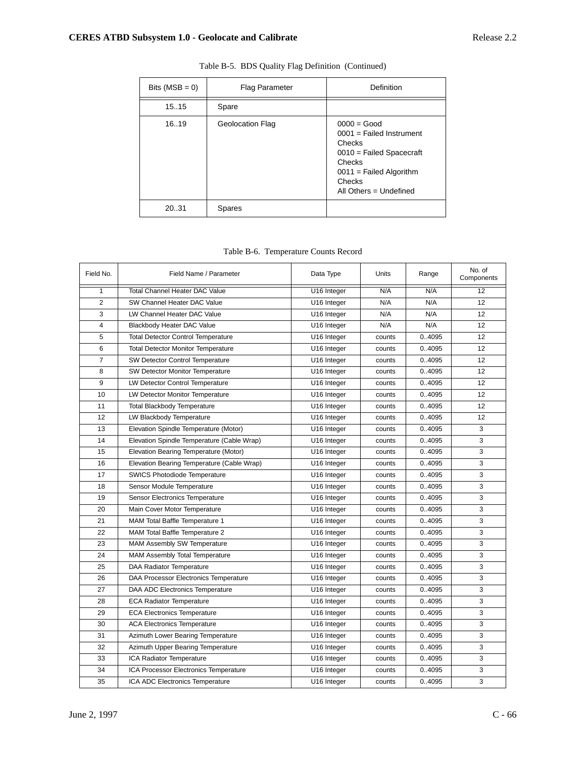| Bits $(MSB = 0)$ | <b>Flag Parameter</b>   | Definition                                                                                                                                                     |
|------------------|-------------------------|----------------------------------------------------------------------------------------------------------------------------------------------------------------|
| 15.15            | Spare                   |                                                                                                                                                                |
| 16.19            | <b>Geolocation Flag</b> | $0000 = Good$<br>$0001$ = Failed Instrument<br>Checks<br>$0010$ = Failed Spacecraft<br>Checks<br>$0011$ = Failed Algorithm<br>Checks<br>All Others = Undefined |
| 20.31            | <b>Spares</b>           |                                                                                                                                                                |

|  |  | Table B-5. BDS Quality Flag Definition (Continued) |
|--|--|----------------------------------------------------|
|  |  |                                                    |

|  | Table B-6. Temperature Counts Record |  |  |
|--|--------------------------------------|--|--|
|--|--------------------------------------|--|--|

| Field No.      | Field Name / Parameter                     | Data Type   | Units  | Range  | No. of<br>Components |
|----------------|--------------------------------------------|-------------|--------|--------|----------------------|
| $\mathbf{1}$   | <b>Total Channel Heater DAC Value</b>      | U16 Integer | N/A    | N/A    | 12                   |
| $\overline{2}$ | SW Channel Heater DAC Value                | U16 Integer | N/A    | N/A    | 12                   |
| 3              | LW Channel Heater DAC Value                | U16 Integer | N/A    | N/A    | 12                   |
| 4              | Blackbody Heater DAC Value                 | U16 Integer | N/A    | N/A    | 12                   |
| 5              | <b>Total Detector Control Temperature</b>  | U16 Integer | counts | 0.4095 | 12                   |
| 6              | <b>Total Detector Monitor Temperature</b>  | U16 Integer | counts | 0.4095 | 12                   |
| 7              | <b>SW Detector Control Temperature</b>     | U16 Integer | counts | 0.4095 | 12                   |
| 8              | SW Detector Monitor Temperature            | U16 Integer | counts | 0.4095 | 12                   |
| 9              | <b>LW Detector Control Temperature</b>     | U16 Integer | counts | 0.4095 | 12                   |
| 10             | LW Detector Monitor Temperature            | U16 Integer | counts | 0.4095 | 12                   |
| 11             | <b>Total Blackbody Temperature</b>         | U16 Integer | counts | 0.4095 | 12                   |
| 12             | LW Blackbody Temperature                   | U16 Integer | counts | 0.4095 | 12                   |
| 13             | Elevation Spindle Temperature (Motor)      | U16 Integer | counts | 0.4095 | 3                    |
| 14             | Elevation Spindle Temperature (Cable Wrap) | U16 Integer | counts | 0.4095 | 3                    |
| 15             | Elevation Bearing Temperature (Motor)      | U16 Integer | counts | 0.4095 | 3                    |
| 16             | Elevation Bearing Temperature (Cable Wrap) | U16 Integer | counts | 0.4095 | 3                    |
| 17             | <b>SWICS Photodiode Temperature</b>        | U16 Integer | counts | 0.4095 | 3                    |
| 18             | Sensor Module Temperature                  | U16 Integer | counts | 0.4095 | 3                    |
| 19             | <b>Sensor Electronics Temperature</b>      | U16 Integer | counts | 0.4095 | 3                    |
| 20             | Main Cover Motor Temperature               | U16 Integer | counts | 0.4095 | 3                    |
| 21             | MAM Total Baffle Temperature 1             | U16 Integer | counts | 0.4095 | 3                    |
| 22             | MAM Total Baffle Temperature 2             | U16 Integer | counts | 0.4095 | 3                    |
| 23             | MAM Assembly SW Temperature                | U16 Integer | counts | 0.4095 | 3                    |
| 24             | MAM Assembly Total Temperature             | U16 Integer | counts | 0.4095 | 3                    |
| 25             | DAA Radiator Temperature                   | U16 Integer | counts | 0.4095 | 3                    |
| 26             | DAA Processor Electronics Temperature      | U16 Integer | counts | 0.4095 | 3                    |
| 27             | DAA ADC Electronics Temperature            | U16 Integer | counts | 04095  | 3                    |
| 28             | <b>ECA Radiator Temperature</b>            | U16 Integer | counts | 04095  | 3                    |
| 29             | <b>ECA Electronics Temperature</b>         | U16 Integer | counts | 04095  | 3                    |
| 30             | <b>ACA Electronics Temperature</b>         | U16 Integer | counts | 04095  | 3                    |
| 31             | Azimuth Lower Bearing Temperature          | U16 Integer | counts | 0.4095 | 3                    |
| 32             | Azimuth Upper Bearing Temperature          | U16 Integer | counts | 0.4095 | 3                    |
| 33             | ICA Radiator Temperature                   | U16 Integer | counts | 0.4095 | 3                    |
| 34             | ICA Processor Electronics Temperature      | U16 Integer | counts | 0.4095 | 3                    |
| 35             | ICA ADC Electronics Temperature            | U16 Integer | counts | 0.4095 | 3                    |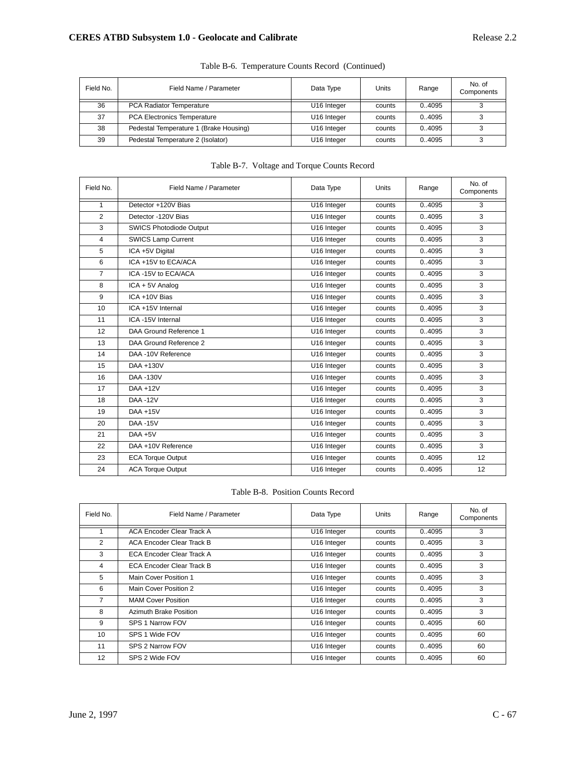| Field No. | Field Name / Parameter                 | Data Type               | Units  | Range  | No. of<br>Components |
|-----------|----------------------------------------|-------------------------|--------|--------|----------------------|
| 36        | PCA Radiator Temperature               | U16 Integer             | counts | 0.4095 |                      |
| 37        | <b>PCA Electronics Temperature</b>     | U16 Integer             | counts | 0.4095 |                      |
| 38        | Pedestal Temperature 1 (Brake Housing) | U16 Integer             | counts | 0.4095 |                      |
| 39        | Pedestal Temperature 2 (Isolator)      | U <sub>16</sub> Integer | counts | 0.4095 |                      |

Table B-6. Temperature Counts Record (Continued)

### Table B-7. Voltage and Torque Counts Record

| Field No.      | Field Name / Parameter         | Data Type   | <b>Units</b> | Range  | No. of<br>Components |
|----------------|--------------------------------|-------------|--------------|--------|----------------------|
| $\mathbf{1}$   | Detector +120V Bias            | U16 Integer | counts       | 0.4095 | 3                    |
| 2              | Detector -120V Bias            | U16 Integer | counts       | 04095  | 3                    |
| 3              | <b>SWICS Photodiode Output</b> | U16 Integer | counts       | 04095  | 3                    |
| $\overline{4}$ | <b>SWICS Lamp Current</b>      | U16 Integer | counts       | 04095  | 3                    |
| 5              | ICA +5V Digital                | U16 Integer | counts       | 04095  | 3                    |
| 6              | ICA +15V to ECA/ACA            | U16 Integer | counts       | 04095  | 3                    |
| $\overline{7}$ | ICA-15V to ECA/ACA             | U16 Integer | counts       | 04095  | 3                    |
| 8              | ICA + 5V Analog                | U16 Integer | counts       | 04095  | 3                    |
| 9              | ICA +10V Bias                  | U16 Integer | counts       | 04095  | 3                    |
| 10             | ICA +15V Internal              | U16 Integer | counts       | 04095  | 3                    |
| 11             | ICA-15V Internal               | U16 Integer | counts       | 04095  | 3                    |
| 12             | DAA Ground Reference 1         | U16 Integer | counts       | 04095  | 3                    |
| 13             | DAA Ground Reference 2         | U16 Integer | counts       | 0.4095 | 3                    |
| 14             | DAA -10V Reference             | U16 Integer | counts       | 04095  | 3                    |
| 15             | DAA +130V                      | U16 Integer | counts       | 0.4095 | 3                    |
| 16             | DAA -130V                      | U16 Integer | counts       | 0.4095 | 3                    |
| 17             | DAA +12V                       | U16 Integer | counts       | 04095  | 3                    |
| 18             | <b>DAA -12V</b>                | U16 Integer | counts       | 04095  | 3                    |
| 19             | $DAA + 15V$                    | U16 Integer | counts       | 04095  | 3                    |
| 20             | <b>DAA -15V</b>                | U16 Integer | counts       | 04095  | 3                    |
| 21             | $DAA + 5V$                     | U16 Integer | counts       | 04095  | 3                    |
| 22             | DAA +10V Reference             | U16 Integer | counts       | 04095  | 3                    |
| 23             | <b>ECA Torque Output</b>       | U16 Integer | counts       | 04095  | 12                   |
| 24             | <b>ACA Torque Output</b>       | U16 Integer | counts       | 0.4095 | 12                   |

# Table B-8. Position Counts Record

| Field No.       | Field Name / Parameter           | Data Type               | Units  | Range  | No. of<br>Components |
|-----------------|----------------------------------|-------------------------|--------|--------|----------------------|
|                 | <b>ACA Encoder Clear Track A</b> | U16 Integer             | counts | 04095  | 3                    |
| 2               | ACA Encoder Clear Track B        | U <sub>16</sub> Integer | counts | 0.4095 | 3                    |
| 3               | ECA Encoder Clear Track A        | U <sub>16</sub> Integer | counts | 0.4095 | 3                    |
| 4               | <b>ECA Encoder Clear Track B</b> | U <sub>16</sub> Integer | counts | 0.4095 | 3                    |
| 5               | Main Cover Position 1            | U16 Integer             | counts | 0.4095 | 3                    |
| 6               | Main Cover Position 2            | U <sub>16</sub> Integer | counts | 0.4095 | 3                    |
| $\overline{7}$  | <b>MAM Cover Position</b>        | U <sub>16</sub> Integer | counts | 0.4095 | 3                    |
| 8               | Azimuth Brake Position           | U16 Integer             | counts | 0.4095 | 3                    |
| 9               | SPS 1 Narrow FOV                 | U <sub>16</sub> Integer | counts | 0.4095 | 60                   |
| 10 <sup>1</sup> | SPS 1 Wide FOV                   | U16 Integer             | counts | 0.4095 | 60                   |
| 11              | SPS 2 Narrow FOV                 | U <sub>16</sub> Integer | counts | 0.4095 | 60                   |
| 12              | SPS 2 Wide FOV                   | U16 Integer             | counts | 0.4095 | 60                   |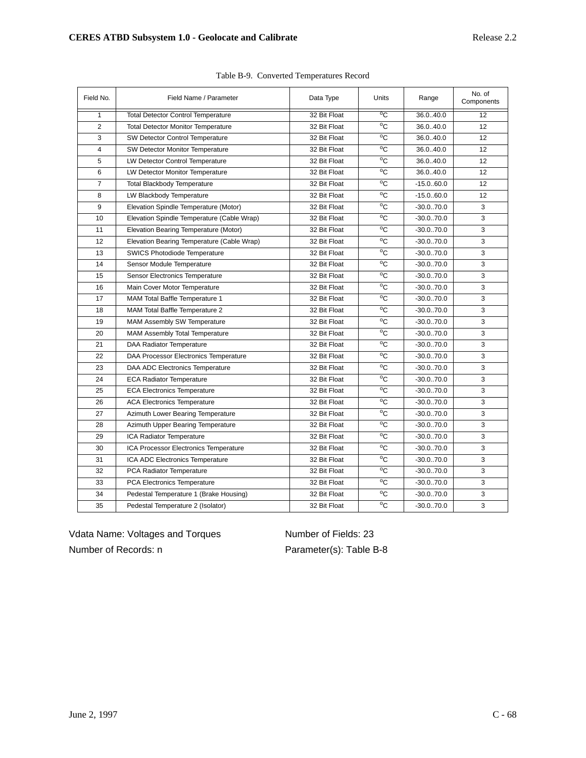| Field No.      | Field Name / Parameter                     | Data Type    | Units          | Range        | No. of<br>Components |
|----------------|--------------------------------------------|--------------|----------------|--------------|----------------------|
| 1              | <b>Total Detector Control Temperature</b>  | 32 Bit Float | $\overline{C}$ | 36.040.0     | 12                   |
| $\overline{2}$ | <b>Total Detector Monitor Temperature</b>  | 32 Bit Float | °C             | 36.040.0     | 12                   |
| 3              | <b>SW Detector Control Temperature</b>     | 32 Bit Float | °C             | 36.040.0     | 12                   |
| 4              | <b>SW Detector Monitor Temperature</b>     | 32 Bit Float | °C             | 36.040.0     | 12                   |
| 5              | <b>LW Detector Control Temperature</b>     | 32 Bit Float | °C             | 36.040.0     | 12                   |
| 6              | LW Detector Monitor Temperature            | 32 Bit Float | °C             | 36.040.0     | 12                   |
| $\overline{7}$ | <b>Total Blackbody Temperature</b>         | 32 Bit Float | °C             | $-15.0.60.0$ | 12                   |
| 8              | LW Blackbody Temperature                   | 32 Bit Float | °C             | $-15.0.60.0$ | 12                   |
| 9              | Elevation Spindle Temperature (Motor)      | 32 Bit Float | °C             | $-30.0.70.0$ | 3                    |
| 10             | Elevation Spindle Temperature (Cable Wrap) | 32 Bit Float | $\overline{C}$ | $-30.0.70.0$ | 3                    |
| 11             | Elevation Bearing Temperature (Motor)      | 32 Bit Float | °C             | $-30.0.70.0$ | 3                    |
| 12             | Elevation Bearing Temperature (Cable Wrap) | 32 Bit Float | $\overline{C}$ | $-30.0.70.0$ | 3                    |
| 13             | <b>SWICS Photodiode Temperature</b>        | 32 Bit Float | °C             | $-30.0.70.0$ | 3                    |
| 14             | Sensor Module Temperature                  | 32 Bit Float | °C             | $-30.0.70.0$ | 3                    |
| 15             | <b>Sensor Electronics Temperature</b>      | 32 Bit Float | $\overline{C}$ | $-30.0.70.0$ | 3                    |
| 16             | Main Cover Motor Temperature               | 32 Bit Float | $\overline{C}$ | $-30.0.70.0$ | 3                    |
| 17             | MAM Total Baffle Temperature 1             | 32 Bit Float | °C             | $-30.0.70.0$ | 3                    |
| 18             | MAM Total Baffle Temperature 2             | 32 Bit Float | °C             | $-30.0.70.0$ | 3                    |
| 19             | MAM Assembly SW Temperature                | 32 Bit Float | °C             | $-30.0.70.0$ | 3                    |
| 20             | MAM Assembly Total Temperature             | 32 Bit Float | °C             | $-30.0.70.0$ | 3                    |
| 21             | DAA Radiator Temperature                   | 32 Bit Float | °C             | $-30.0.70.0$ | 3                    |
| 22             | DAA Processor Electronics Temperature      | 32 Bit Float | °C             | $-30.0.70.0$ | 3                    |
| 23             | DAA ADC Electronics Temperature            | 32 Bit Float | °C             | $-30.0.70.0$ | 3                    |
| 24             | <b>ECA Radiator Temperature</b>            | 32 Bit Float | °C             | $-30.0.70.0$ | 3                    |
| 25             | <b>ECA Electronics Temperature</b>         | 32 Bit Float | °C             | $-30.0.70.0$ | 3                    |
| 26             | <b>ACA Electronics Temperature</b>         | 32 Bit Float | °C             | $-30.0.70.0$ | 3                    |
| 27             | Azimuth Lower Bearing Temperature          | 32 Bit Float | °C             | $-30.0.70.0$ | 3                    |
| 28             | Azimuth Upper Bearing Temperature          | 32 Bit Float | °C             | $-30.0.70.0$ | 3                    |
| 29             | ICA Radiator Temperature                   | 32 Bit Float | °C             | $-30.0.70.0$ | 3                    |
| 30             | ICA Processor Electronics Temperature      | 32 Bit Float | °C             | $-30.0.70.0$ | 3                    |
| 31             | ICA ADC Electronics Temperature            | 32 Bit Float | °C             | $-30.0.70.0$ | 3                    |
| 32             | PCA Radiator Temperature                   | 32 Bit Float | °C             | $-30.0.70.0$ | 3                    |
| 33             | PCA Electronics Temperature                | 32 Bit Float | °C             | $-30.0.70.0$ | 3                    |
| 34             | Pedestal Temperature 1 (Brake Housing)     | 32 Bit Float | °C             | $-30.0.70.0$ | 3                    |
| 35             | Pedestal Temperature 2 (Isolator)          | 32 Bit Float | $\overline{C}$ | $-30.0.70.0$ | 3                    |

|  | Table B-9. Converted Temperatures Record |  |
|--|------------------------------------------|--|
|  |                                          |  |
|  |                                          |  |

Vdata Name: Voltages and Torques Number of Fields: 23 Number of Records: n Parameter(s): Table B-8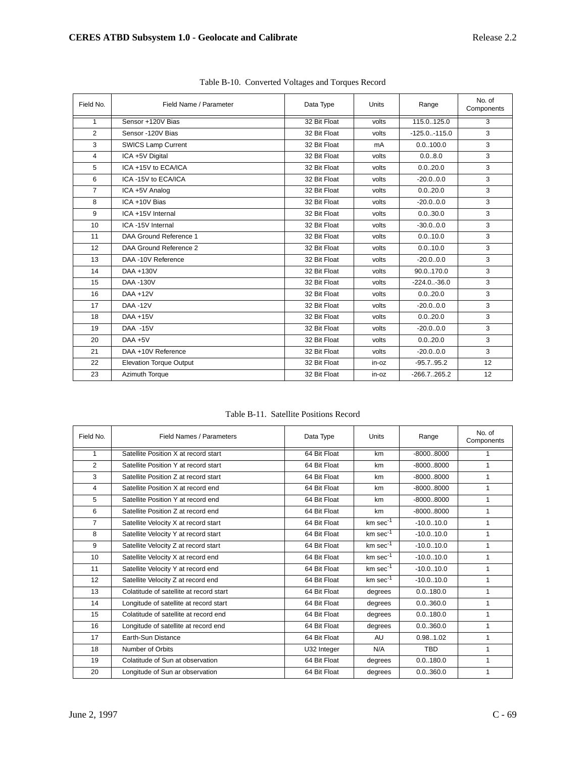| Field No.      | Field Name / Parameter         | Data Type    | <b>Units</b> | Range            | No. of<br>Components |
|----------------|--------------------------------|--------------|--------------|------------------|----------------------|
| $\mathbf{1}$   | Sensor +120V Bias              | 32 Bit Float | volts        | 115.0125.0       | 3                    |
| 2              | Sensor -120V Bias              | 32 Bit Float | volts        | $-125.0 - 115.0$ | 3                    |
| 3              | <b>SWICS Lamp Current</b>      | 32 Bit Float | mA           | 0.0100.0         | 3                    |
| $\overline{4}$ | ICA +5V Digital                | 32 Bit Float | volts        | 0.0.8.0          | 3                    |
| 5              | ICA +15V to ECA/ICA            | 32 Bit Float | volts        | 0.020.0          | 3                    |
| 6              | ICA-15V to ECA/ICA             | 32 Bit Float | volts        | $-20.0.0.0$      | 3                    |
| $\overline{7}$ | ICA +5V Analog                 | 32 Bit Float | volts        | 0.020.0          | 3                    |
| 8              | ICA +10V Bias                  | 32 Bit Float | volts        | $-20.0.0.0$      | 3                    |
| 9              | ICA +15V Internal              | 32 Bit Float | volts        | 0.030.0          | 3                    |
| 10             | ICA-15V Internal               | 32 Bit Float | volts        | $-30.0.0.0$      | 3                    |
| 11             | DAA Ground Reference 1         | 32 Bit Float | volts        | 0.010.0          | 3                    |
| 12             | DAA Ground Reference 2         | 32 Bit Float | volts        | 0.010.0          | 3                    |
| 13             | DAA -10V Reference             | 32 Bit Float | volts        | $-20.00.0$       | 3                    |
| 14             | DAA +130V                      | 32 Bit Float | volts        | 90.0170.0        | 3                    |
| 15             | DAA -130V                      | 32 Bit Float | volts        | $-224.0 - 36.0$  | 3                    |
| 16             | DAA +12V                       | 32 Bit Float | volts        | 0.020.0          | 3                    |
| 17             | <b>DAA -12V</b>                | 32 Bit Float | volts        | $-20.00.0$       | 3                    |
| 18             | DAA +15V                       | 32 Bit Float | volts        | 0.020.0          | 3                    |
| 19             | <b>DAA -15V</b>                | 32 Bit Float | volts        | $-20.00.0$       | 3                    |
| 20             | $DAA + 5V$                     | 32 Bit Float | volts        | 0.020.0          | 3                    |
| 21             | DAA +10V Reference             | 32 Bit Float | volts        | $-20.0.0.0$      | 3                    |
| 22             | <b>Elevation Torque Output</b> | 32 Bit Float | in-oz        | $-95.7.95.2$     | 12                   |
| 23             | Azimuth Torque                 | 32 Bit Float | in-oz        | $-266.7.0265.2$  | 12                   |

|  |  |  | Table B-10. Converted Voltages and Torques Record |
|--|--|--|---------------------------------------------------|
|--|--|--|---------------------------------------------------|

#### Table B-11. Satellite Positions Record

| Field No.      | Field Names / Parameters                | Data Type    | Units          | Range        | No. of<br>Components |
|----------------|-----------------------------------------|--------------|----------------|--------------|----------------------|
| $\mathbf{1}$   | Satellite Position X at record start    | 64 Bit Float | km             | $-80008000$  | 1                    |
| $\overline{2}$ | Satellite Position Y at record start    | 64 Bit Float | km             | $-80008000$  | 1                    |
| 3              | Satellite Position Z at record start    | 64 Bit Float | km             | $-80008000$  | 1                    |
| 4              | Satellite Position X at record end      | 64 Bit Float | km             | $-80008000$  | 1                    |
| 5              | Satellite Position Y at record end      | 64 Bit Float | km             | $-80008000$  | 1                    |
| 6              | Satellite Position Z at record end      | 64 Bit Float | km             | $-80008000$  | 1                    |
| 7              | Satellite Velocity X at record start    | 64 Bit Float | $km \sec^{-1}$ | $-10.0.10.0$ | 1                    |
| 8              | Satellite Velocity Y at record start    | 64 Bit Float | $km \sec^{-1}$ | $-10.0.10.0$ | $\mathbf{1}$         |
| 9              | Satellite Velocity Z at record start    | 64 Bit Float | $km \sec^{-1}$ | $-10.0.10.0$ | 1                    |
| 10             | Satellite Velocity X at record end      | 64 Bit Float | $km \sec^{-1}$ | $-10.0.10.0$ | 1                    |
| 11             | Satellite Velocity Y at record end      | 64 Bit Float | $km \sec^{-1}$ | $-10.0.10.0$ | 1                    |
| 12             | Satellite Velocity Z at record end      | 64 Bit Float | $km \sec^{-1}$ | $-10.0.10.0$ | $\mathbf{1}$         |
| 13             | Colatitude of satellite at record start | 64 Bit Float | degrees        | 0.0.180.0    | $\mathbf{1}$         |
| 14             | Longitude of satellite at record start  | 64 Bit Float | degrees        | 0.0.360.0    | 1                    |
| 15             | Colatitude of satellite at record end   | 64 Bit Float | degrees        | 0.0.180.0    | 1                    |
| 16             | Longitude of satellite at record end    | 64 Bit Float | degrees        | 0.0360.0     | $\mathbf{1}$         |
| 17             | Earth-Sun Distance                      | 64 Bit Float | AU             | 0.981.02     | 1                    |
| 18             | Number of Orbits                        | U32 Integer  | N/A            | <b>TBD</b>   | $\mathbf{1}$         |
| 19             | Colatitude of Sun at observation        | 64 Bit Float | degrees        | 0.0.180.0    | $\mathbf{1}$         |
| 20             | Longitude of Sun ar observation         | 64 Bit Float | degrees        | 0.0.360.0    | 1                    |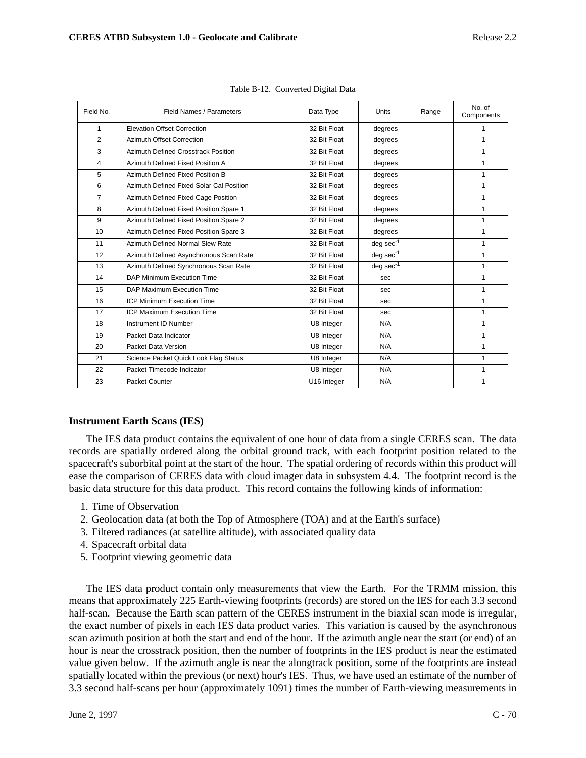| Field No.      | Field Names / Parameters                 | Data Type    | Units          | Range | No. of<br>Components |
|----------------|------------------------------------------|--------------|----------------|-------|----------------------|
| $\mathbf{1}$   | <b>Elevation Offset Correction</b>       | 32 Bit Float | degrees        |       | 1                    |
| $\overline{2}$ | Azimuth Offset Correction                | 32 Bit Float | degrees        |       | 1                    |
| 3              | Azimuth Defined Crosstrack Position      | 32 Bit Float | degrees        |       | 1                    |
| $\overline{4}$ | Azimuth Defined Fixed Position A         | 32 Bit Float | degrees        |       | 1                    |
| 5              | Azimuth Defined Fixed Position B         | 32 Bit Float | degrees        |       | 1                    |
| 6              | Azimuth Defined Fixed Solar Cal Position | 32 Bit Float | degrees        |       | 1                    |
| $\overline{7}$ | Azimuth Defined Fixed Cage Position      | 32 Bit Float | degrees        |       | $\mathbf{1}$         |
| 8              | Azimuth Defined Fixed Position Spare 1   | 32 Bit Float | degrees        |       | 1                    |
| 9              | Azimuth Defined Fixed Position Spare 2   | 32 Bit Float | degrees        |       | $\mathbf{1}$         |
| 10             | Azimuth Defined Fixed Position Spare 3   | 32 Bit Float | degrees        |       | 1                    |
| 11             | Azimuth Defined Normal Slew Rate         | 32 Bit Float | $deg sec-1$    |       | $\mathbf{1}$         |
| 12             | Azimuth Defined Asynchronous Scan Rate   | 32 Bit Float | $deg sec^{-1}$ |       | 1                    |
| 13             | Azimuth Defined Synchronous Scan Rate    | 32 Bit Float | $deg sec-1$    |       | $\mathbf{1}$         |
| 14             | DAP Minimum Execution Time               | 32 Bit Float | sec            |       | $\mathbf{1}$         |
| 15             | DAP Maximum Execution Time               | 32 Bit Float | sec            |       | 1                    |
| 16             | <b>ICP Minimum Execution Time</b>        | 32 Bit Float | sec            |       | 1                    |
| 17             | <b>ICP Maximum Execution Time</b>        | 32 Bit Float | sec            |       | 1                    |
| 18             | Instrument ID Number                     | U8 Integer   | N/A            |       | 1                    |
| 19             | Packet Data Indicator                    | U8 Integer   | N/A            |       | 1                    |
| 20             | Packet Data Version                      | U8 Integer   | N/A            |       | 1                    |
| 21             | Science Packet Quick Look Flag Status    | U8 Integer   | N/A            |       | 1                    |
| 22             | Packet Timecode Indicator                | U8 Integer   | N/A            |       | 1                    |
| 23             | Packet Counter                           | U16 Integer  | N/A            |       | 1                    |

# **Instrument Earth Scans (IES)**

The IES data product contains the equivalent of one hour of data from a single CERES scan. The data records are spatially ordered along the orbital ground track, with each footprint position related to the spacecraft's suborbital point at the start of the hour. The spatial ordering of records within this product will ease the comparison of CERES data with cloud imager data in subsystem 4.4. The footprint record is the basic data structure for this data product. This record contains the following kinds of information:

- 1. Time of Observation
- 2. Geolocation data (at both the Top of Atmosphere (TOA) and at the Earth's surface)
- 3. Filtered radiances (at satellite altitude), with associated quality data
- 4. Spacecraft orbital data
- 5. Footprint viewing geometric data

The IES data product contain only measurements that view the Earth. For the TRMM mission, this means that approximately 225 Earth-viewing footprints (records) are stored on the IES for each 3.3 second half-scan. Because the Earth scan pattern of the CERES instrument in the biaxial scan mode is irregular, the exact number of pixels in each IES data product varies. This variation is caused by the asynchronous scan azimuth position at both the start and end of the hour. If the azimuth angle near the start (or end) of an hour is near the crosstrack position, then the number of footprints in the IES product is near the estimated value given below. If the azimuth angle is near the alongtrack position, some of the footprints are instead spatially located within the previous (or next) hour's IES. Thus, we have used an estimate of the number of 3.3 second half-scans per hour (approximately 1091) times the number of Earth-viewing measurements in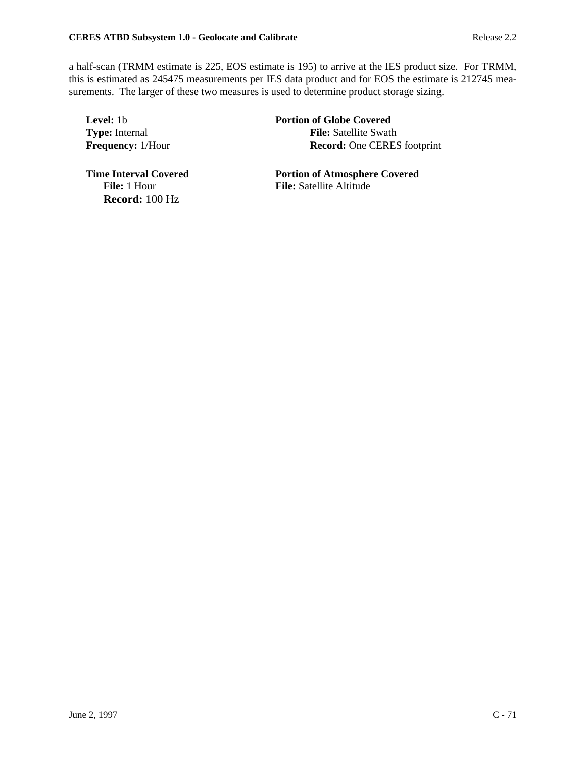a half-scan (TRMM estimate is 225, EOS estimate is 195) to arrive at the IES product size. For TRMM, this is estimated as 245475 measurements per IES data product and for EOS the estimate is 212745 measurements. The larger of these two measures is used to determine product storage sizing.

**Level:** 1b **Portion of Globe Covered Type:** Internal **File:** Satellite Swath **Frequency:** 1/Hour **Record:** One CERES footprint

**Record:** 100 Hz

**Time Interval Covered Portion of Atmosphere Covered<br>File: 1 Hour File: Satellite Altitude File:** Satellite Altitude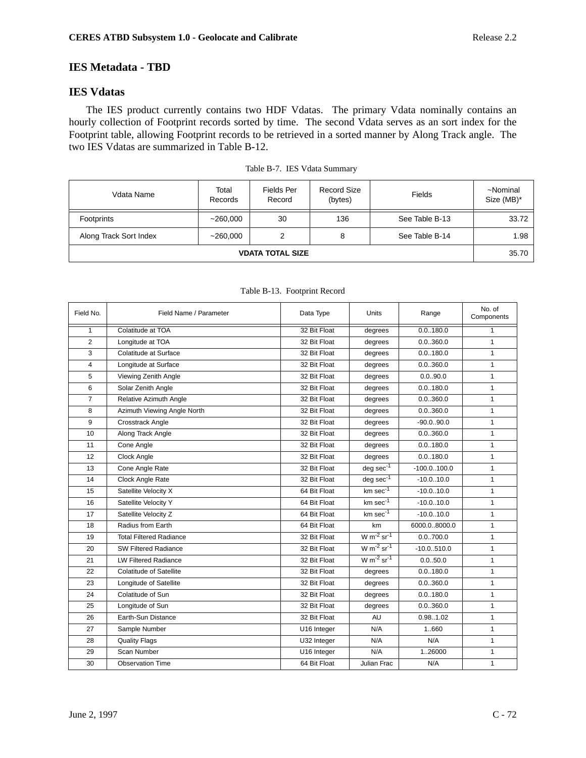# **IES Metadata - TBD**

# **IES Vdatas**

The IES product currently contains two HDF Vdatas. The primary Vdata nominally contains an hourly collection of Footprint records sorted by time. The second Vdata serves as an sort index for the Footprint table, allowing Footprint records to be retrieved in a sorted manner by Along Track angle. The two IES Vdatas are summarized in Table B-12.

| Vdata Name              | Total<br>Records | Fields Per<br>Record | <b>Record Size</b><br>(bytes) | <b>Fields</b>  | ~Nominal<br>Size (MB)* |
|-------------------------|------------------|----------------------|-------------------------------|----------------|------------------------|
| Footprints              | ~260,000         | 30                   | 136                           | See Table B-13 | 33.72                  |
| Along Track Sort Index  | ~260,000         | 2                    | 8                             | See Table B-14 | 1.98                   |
| <b>VDATA TOTAL SIZE</b> |                  |                      |                               |                |                        |

|  | Table B-7. IES Vdata Summary |
|--|------------------------------|
|--|------------------------------|

| Field No.      | Field Name / Parameter         | Data Type    | Units                       | Range          | No. of<br>Components |
|----------------|--------------------------------|--------------|-----------------------------|----------------|----------------------|
| $\mathbf{1}$   | Colatitude at TOA              | 32 Bit Float | degrees                     | 0.0.180.0      | 1                    |
| 2              | Longitude at TOA               | 32 Bit Float | degrees                     | 0.0360.0       | $\mathbf{1}$         |
| 3              | Colatitude at Surface          | 32 Bit Float | degrees                     | 0.0.180.0      | $\mathbf{1}$         |
| 4              | Longitude at Surface           | 32 Bit Float | degrees                     | 0.0360.0       | $\mathbf{1}$         |
| 5              | Viewing Zenith Angle           | 32 Bit Float | degrees                     | 0.0.90.0       | $\mathbf{1}$         |
| 6              | Solar Zenith Angle             | 32 Bit Float | degrees                     | 0.0.180.0      | $\mathbf{1}$         |
| $\overline{7}$ | Relative Azimuth Angle         | 32 Bit Float | degrees                     | 0.0.360.0      | $\mathbf{1}$         |
| 8              | Azimuth Viewing Angle North    | 32 Bit Float | degrees                     | 0.0360.0       | $\mathbf{1}$         |
| 9              | Crosstrack Angle               | 32 Bit Float | degrees                     | $-90.0.90.0$   | $\mathbf{1}$         |
| 10             | Along Track Angle              | 32 Bit Float | degrees                     | 0.0360.0       | $\mathbf{1}$         |
| 11             | Cone Angle                     | 32 Bit Float | degrees                     | 0.0.180.0      | $\mathbf{1}$         |
| 12             | Clock Angle                    | 32 Bit Float | degrees                     | 0.0.180.0      | $\mathbf{1}$         |
| 13             | Cone Angle Rate                | 32 Bit Float | $deg sec^{-1}$              | $-100.0.100.0$ | $\mathbf{1}$         |
| 14             | Clock Angle Rate               | 32 Bit Float | $deg sec-1$                 | $-10.010.0$    | $\mathbf{1}$         |
| 15             | Satellite Velocity X           | 64 Bit Float | km sec <sup>-1</sup>        | $-10.0.10.0$   | $\mathbf{1}$         |
| 16             | Satellite Velocity Y           | 64 Bit Float | $km \sec^{-1}$              | $-10.010.0$    | $\mathbf{1}$         |
| 17             | Satellite Velocity Z           | 64 Bit Float | $km \sec^{-1}$              | $-10.0.10.0$   | $\mathbf{1}$         |
| 18             | Radius from Earth              | 64 Bit Float | km                          | 6000.08000.0   | $\mathbf{1}$         |
| 19             | <b>Total Filtered Radiance</b> | 32 Bit Float | $W m^{-2}$ sr <sup>-1</sup> | 0.0700.0       | $\mathbf{1}$         |
| 20             | <b>SW Filtered Radiance</b>    | 32 Bit Float | $W m-2 sr-1$                | $-10.0.510.0$  | $\mathbf{1}$         |
| 21             | <b>LW Filtered Radiance</b>    | 32 Bit Float | $W m^{-2}$ sr <sup>-1</sup> | 0.0.50.0       | $\mathbf{1}$         |
| 22             | <b>Colatitude of Satellite</b> | 32 Bit Float | degrees                     | 0.0.180.0      | $\mathbf{1}$         |
| 23             | Longitude of Satellite         | 32 Bit Float | degrees                     | 0.0.360.0      | $\mathbf{1}$         |
| 24             | Colatitude of Sun              | 32 Bit Float | degrees                     | 0.0.180.0      | $\mathbf{1}$         |
| 25             | Longitude of Sun               | 32 Bit Float | degrees                     | 0.0.360.0      | $\mathbf{1}$         |
| 26             | Earth-Sun Distance             | 32 Bit Float | <b>AU</b>                   | 0.981.02       | $\mathbf{1}$         |
| 27             | Sample Number                  | U16 Integer  | N/A                         | 1.660          | $\mathbf{1}$         |
| 28             | <b>Quality Flags</b>           | U32 Integer  | N/A                         | N/A            | $\mathbf{1}$         |
| 29             | Scan Number                    | U16 Integer  | N/A                         | 126000         | $\mathbf{1}$         |
| 30             | <b>Observation Time</b>        | 64 Bit Float | Julian Frac                 | N/A            | $\mathbf{1}$         |

Table B-13. Footprint Record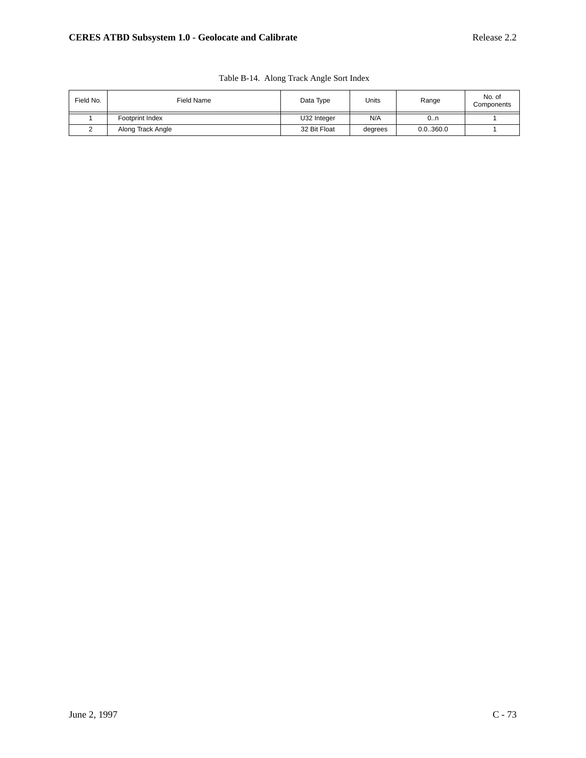| Field No. | Field Name        | Data Type    | Units   | Range    | No. of<br>Components |
|-----------|-------------------|--------------|---------|----------|----------------------|
|           | Footprint Index   | U32 Integer  | N/A     | 0n       |                      |
| ∸         | Along Track Angle | 32 Bit Float | degrees | 0.0360.0 |                      |

| Table B-14. Along Track Angle Sort Index |  |
|------------------------------------------|--|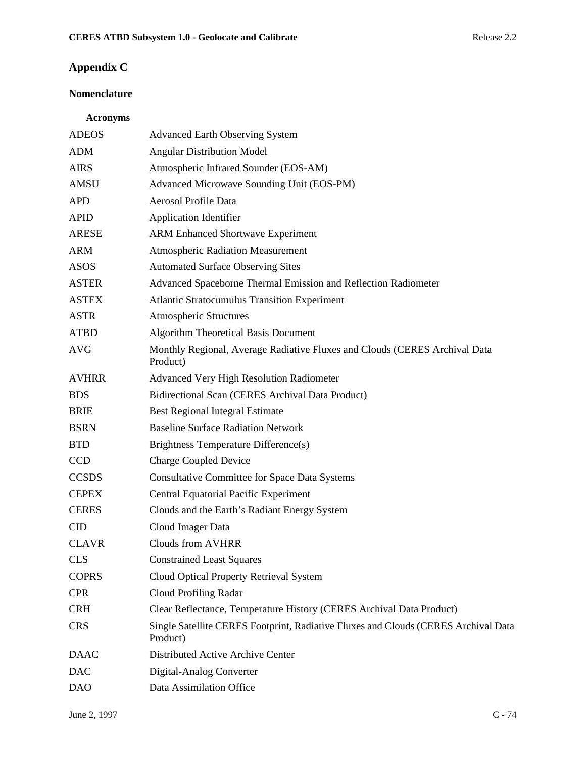### **Appendix C**

### **Nomenclature**

### **Acronyms**

| <b>ADEOS</b> | <b>Advanced Earth Observing System</b>                                                         |
|--------------|------------------------------------------------------------------------------------------------|
| <b>ADM</b>   | <b>Angular Distribution Model</b>                                                              |
| <b>AIRS</b>  | Atmospheric Infrared Sounder (EOS-AM)                                                          |
| AMSU         | Advanced Microwave Sounding Unit (EOS-PM)                                                      |
| <b>APD</b>   | Aerosol Profile Data                                                                           |
| <b>APID</b>  | <b>Application Identifier</b>                                                                  |
| <b>ARESE</b> | <b>ARM Enhanced Shortwave Experiment</b>                                                       |
| <b>ARM</b>   | <b>Atmospheric Radiation Measurement</b>                                                       |
| <b>ASOS</b>  | <b>Automated Surface Observing Sites</b>                                                       |
| <b>ASTER</b> | Advanced Spaceborne Thermal Emission and Reflection Radiometer                                 |
| <b>ASTEX</b> | <b>Atlantic Stratocumulus Transition Experiment</b>                                            |
| <b>ASTR</b>  | <b>Atmospheric Structures</b>                                                                  |
| <b>ATBD</b>  | <b>Algorithm Theoretical Basis Document</b>                                                    |
| <b>AVG</b>   | Monthly Regional, Average Radiative Fluxes and Clouds (CERES Archival Data<br>Product)         |
| <b>AVHRR</b> | Advanced Very High Resolution Radiometer                                                       |
| <b>BDS</b>   | Bidirectional Scan (CERES Archival Data Product)                                               |
| <b>BRIE</b>  | <b>Best Regional Integral Estimate</b>                                                         |
| <b>BSRN</b>  | <b>Baseline Surface Radiation Network</b>                                                      |
| <b>BTD</b>   | Brightness Temperature Difference(s)                                                           |
| <b>CCD</b>   | <b>Charge Coupled Device</b>                                                                   |
| <b>CCSDS</b> | <b>Consultative Committee for Space Data Systems</b>                                           |
| <b>CEPEX</b> | <b>Central Equatorial Pacific Experiment</b>                                                   |
| <b>CERES</b> | Clouds and the Earth's Radiant Energy System                                                   |
| <b>CID</b>   | Cloud Imager Data                                                                              |
| <b>CLAVR</b> | <b>Clouds from AVHRR</b>                                                                       |
| <b>CLS</b>   | <b>Constrained Least Squares</b>                                                               |
| <b>COPRS</b> | Cloud Optical Property Retrieval System                                                        |
| <b>CPR</b>   | Cloud Profiling Radar                                                                          |
| <b>CRH</b>   | Clear Reflectance, Temperature History (CERES Archival Data Product)                           |
| <b>CRS</b>   | Single Satellite CERES Footprint, Radiative Fluxes and Clouds (CERES Archival Data<br>Product) |
| <b>DAAC</b>  | Distributed Active Archive Center                                                              |
| <b>DAC</b>   | Digital-Analog Converter                                                                       |
| <b>DAO</b>   | Data Assimilation Office                                                                       |
|              |                                                                                                |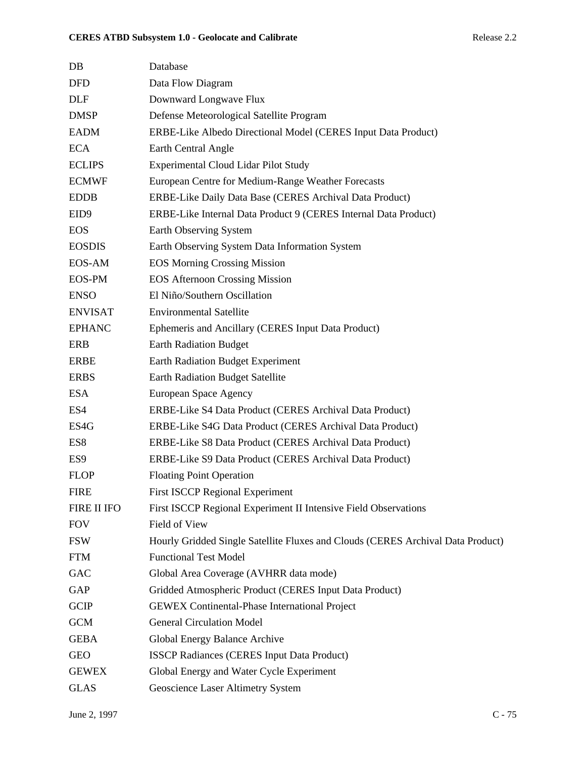| $DB$             | Database                                                                        |
|------------------|---------------------------------------------------------------------------------|
| <b>DFD</b>       | Data Flow Diagram                                                               |
| <b>DLF</b>       | Downward Longwave Flux                                                          |
| <b>DMSP</b>      | Defense Meteorological Satellite Program                                        |
| <b>EADM</b>      | ERBE-Like Albedo Directional Model (CERES Input Data Product)                   |
| <b>ECA</b>       | Earth Central Angle                                                             |
| <b>ECLIPS</b>    | <b>Experimental Cloud Lidar Pilot Study</b>                                     |
| <b>ECMWF</b>     | European Centre for Medium-Range Weather Forecasts                              |
| <b>EDDB</b>      | ERBE-Like Daily Data Base (CERES Archival Data Product)                         |
| EID <sub>9</sub> | ERBE-Like Internal Data Product 9 (CERES Internal Data Product)                 |
| <b>EOS</b>       | Earth Observing System                                                          |
| <b>EOSDIS</b>    | Earth Observing System Data Information System                                  |
| EOS-AM           | <b>EOS Morning Crossing Mission</b>                                             |
| <b>EOS-PM</b>    | <b>EOS Afternoon Crossing Mission</b>                                           |
| <b>ENSO</b>      | El Niño/Southern Oscillation                                                    |
| <b>ENVISAT</b>   | <b>Environmental Satellite</b>                                                  |
| <b>EPHANC</b>    | Ephemeris and Ancillary (CERES Input Data Product)                              |
| ERB              | <b>Earth Radiation Budget</b>                                                   |
| <b>ERBE</b>      | Earth Radiation Budget Experiment                                               |
| <b>ERBS</b>      | <b>Earth Radiation Budget Satellite</b>                                         |
| <b>ESA</b>       | European Space Agency                                                           |
| ES4              | ERBE-Like S4 Data Product (CERES Archival Data Product)                         |
| ES4G             | ERBE-Like S4G Data Product (CERES Archival Data Product)                        |
| ES8              | ERBE-Like S8 Data Product (CERES Archival Data Product)                         |
| ES <sub>9</sub>  | ERBE-Like S9 Data Product (CERES Archival Data Product)                         |
| <b>FLOP</b>      | <b>Floating Point Operation</b>                                                 |
| <b>FIRE</b>      | <b>First ISCCP Regional Experiment</b>                                          |
| FIRE II IFO      | First ISCCP Regional Experiment II Intensive Field Observations                 |
| <b>FOV</b>       | Field of View                                                                   |
| <b>FSW</b>       | Hourly Gridded Single Satellite Fluxes and Clouds (CERES Archival Data Product) |
| <b>FTM</b>       | <b>Functional Test Model</b>                                                    |
| <b>GAC</b>       | Global Area Coverage (AVHRR data mode)                                          |
| GAP              | Gridded Atmospheric Product (CERES Input Data Product)                          |
| <b>GCIP</b>      | <b>GEWEX Continental-Phase International Project</b>                            |
| <b>GCM</b>       | <b>General Circulation Model</b>                                                |
| <b>GEBA</b>      | Global Energy Balance Archive                                                   |
| <b>GEO</b>       | <b>ISSCP Radiances (CERES Input Data Product)</b>                               |
| <b>GEWEX</b>     | Global Energy and Water Cycle Experiment                                        |
| <b>GLAS</b>      | Geoscience Laser Altimetry System                                               |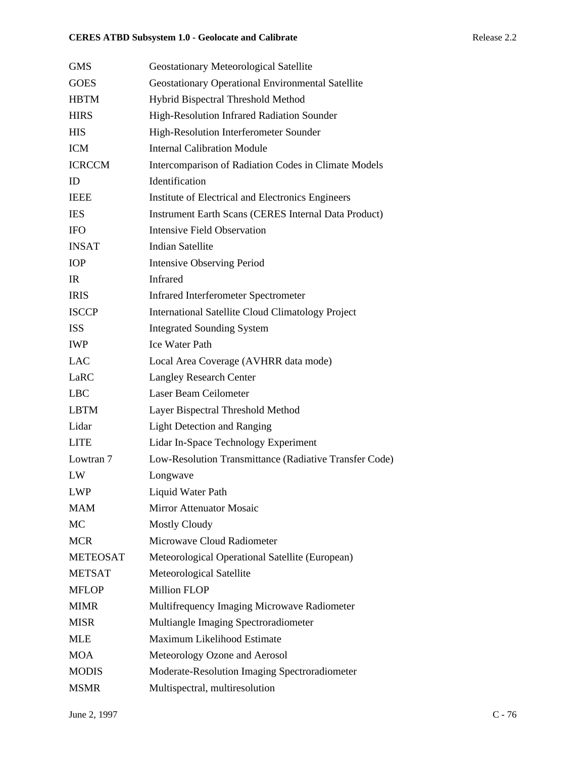| <b>GMS</b>      | <b>Geostationary Meteorological Satellite</b>               |
|-----------------|-------------------------------------------------------------|
| <b>GOES</b>     | Geostationary Operational Environmental Satellite           |
| <b>HBTM</b>     | Hybrid Bispectral Threshold Method                          |
| <b>HIRS</b>     | High-Resolution Infrared Radiation Sounder                  |
| <b>HIS</b>      | High-Resolution Interferometer Sounder                      |
| <b>ICM</b>      | <b>Internal Calibration Module</b>                          |
| <b>ICRCCM</b>   | Intercomparison of Radiation Codes in Climate Models        |
| ID              | Identification                                              |
| <b>IEEE</b>     | Institute of Electrical and Electronics Engineers           |
| <b>IES</b>      | <b>Instrument Earth Scans (CERES Internal Data Product)</b> |
| <b>IFO</b>      | <b>Intensive Field Observation</b>                          |
| <b>INSAT</b>    | <b>Indian Satellite</b>                                     |
| <b>IOP</b>      | <b>Intensive Observing Period</b>                           |
| IR              | Infrared                                                    |
| <b>IRIS</b>     | <b>Infrared Interferometer Spectrometer</b>                 |
| <b>ISCCP</b>    | <b>International Satellite Cloud Climatology Project</b>    |
| <b>ISS</b>      | <b>Integrated Sounding System</b>                           |
| <b>IWP</b>      | <b>Ice Water Path</b>                                       |
| <b>LAC</b>      | Local Area Coverage (AVHRR data mode)                       |
| LaRC            | <b>Langley Research Center</b>                              |
| <b>LBC</b>      | Laser Beam Ceilometer                                       |
| <b>LBTM</b>     | Layer Bispectral Threshold Method                           |
| Lidar           | <b>Light Detection and Ranging</b>                          |
| <b>LITE</b>     | Lidar In-Space Technology Experiment                        |
| Lowtran 7       | Low-Resolution Transmittance (Radiative Transfer Code)      |
| LW              | Longwave                                                    |
| <b>LWP</b>      | Liquid Water Path                                           |
| MAM             | <b>Mirror Attenuator Mosaic</b>                             |
| MC              | <b>Mostly Cloudy</b>                                        |
| <b>MCR</b>      | Microwave Cloud Radiometer                                  |
| <b>METEOSAT</b> | Meteorological Operational Satellite (European)             |
| <b>METSAT</b>   | Meteorological Satellite                                    |
| <b>MFLOP</b>    | <b>Million FLOP</b>                                         |
| <b>MIMR</b>     | Multifrequency Imaging Microwave Radiometer                 |
| <b>MISR</b>     | Multiangle Imaging Spectroradiometer                        |
| <b>MLE</b>      | Maximum Likelihood Estimate                                 |
| <b>MOA</b>      | Meteorology Ozone and Aerosol                               |
| <b>MODIS</b>    | Moderate-Resolution Imaging Spectroradiometer               |
| <b>MSMR</b>     | Multispectral, multiresolution                              |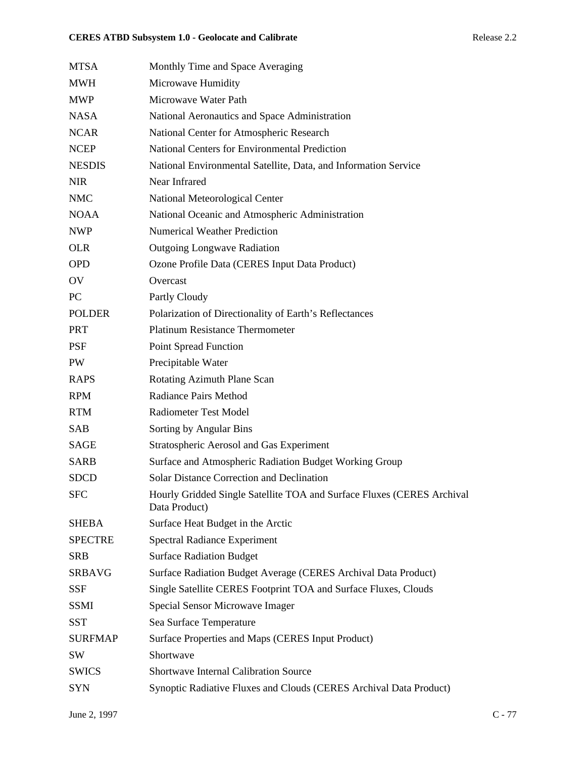| <b>MTSA</b>    | Monthly Time and Space Averaging                                                        |
|----------------|-----------------------------------------------------------------------------------------|
| <b>MWH</b>     | Microwave Humidity                                                                      |
| <b>MWP</b>     | Microwave Water Path                                                                    |
| <b>NASA</b>    | National Aeronautics and Space Administration                                           |
| <b>NCAR</b>    | National Center for Atmospheric Research                                                |
| <b>NCEP</b>    | <b>National Centers for Environmental Prediction</b>                                    |
| <b>NESDIS</b>  | National Environmental Satellite, Data, and Information Service                         |
| <b>NIR</b>     | Near Infrared                                                                           |
| <b>NMC</b>     | National Meteorological Center                                                          |
| <b>NOAA</b>    | National Oceanic and Atmospheric Administration                                         |
| <b>NWP</b>     | <b>Numerical Weather Prediction</b>                                                     |
| <b>OLR</b>     | <b>Outgoing Longwave Radiation</b>                                                      |
| <b>OPD</b>     | Ozone Profile Data (CERES Input Data Product)                                           |
| OV             | Overcast                                                                                |
| PC             | Partly Cloudy                                                                           |
| <b>POLDER</b>  | Polarization of Directionality of Earth's Reflectances                                  |
| <b>PRT</b>     | <b>Platinum Resistance Thermometer</b>                                                  |
| PSF            | Point Spread Function                                                                   |
| PW             | Precipitable Water                                                                      |
| <b>RAPS</b>    | Rotating Azimuth Plane Scan                                                             |
| <b>RPM</b>     | <b>Radiance Pairs Method</b>                                                            |
| <b>RTM</b>     | <b>Radiometer Test Model</b>                                                            |
| SAB            | Sorting by Angular Bins                                                                 |
| <b>SAGE</b>    | Stratospheric Aerosol and Gas Experiment                                                |
| <b>SARB</b>    | Surface and Atmospheric Radiation Budget Working Group                                  |
| <b>SDCD</b>    | <b>Solar Distance Correction and Declination</b>                                        |
| <b>SFC</b>     | Hourly Gridded Single Satellite TOA and Surface Fluxes (CERES Archival<br>Data Product) |
| <b>SHEBA</b>   | Surface Heat Budget in the Arctic                                                       |
| <b>SPECTRE</b> | <b>Spectral Radiance Experiment</b>                                                     |
| <b>SRB</b>     | <b>Surface Radiation Budget</b>                                                         |
| <b>SRBAVG</b>  | Surface Radiation Budget Average (CERES Archival Data Product)                          |
| <b>SSF</b>     | Single Satellite CERES Footprint TOA and Surface Fluxes, Clouds                         |
| <b>SSMI</b>    | Special Sensor Microwave Imager                                                         |
| <b>SST</b>     | Sea Surface Temperature                                                                 |
| <b>SURFMAP</b> | Surface Properties and Maps (CERES Input Product)                                       |
| SW             | Shortwave                                                                               |
| <b>SWICS</b>   | <b>Shortwave Internal Calibration Source</b>                                            |
| <b>SYN</b>     | Synoptic Radiative Fluxes and Clouds (CERES Archival Data Product)                      |
|                |                                                                                         |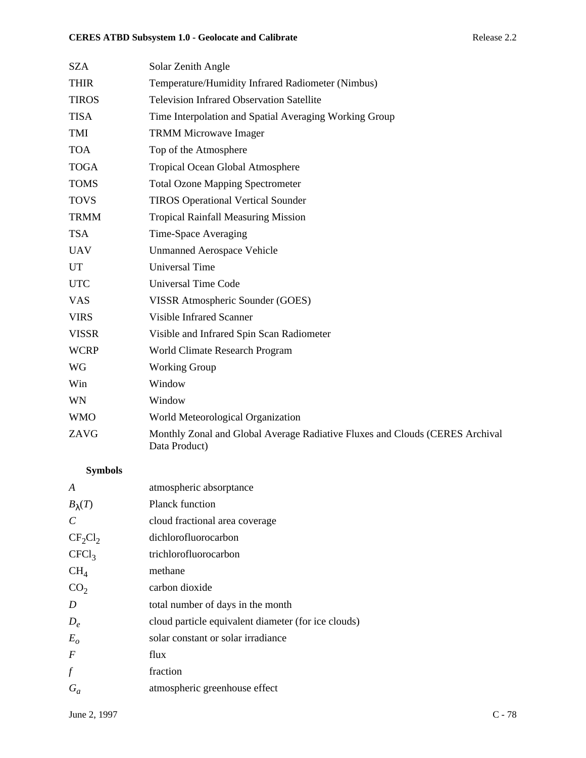| <b>SZA</b>     | Solar Zenith Angle                                                                            |
|----------------|-----------------------------------------------------------------------------------------------|
| <b>THIR</b>    | Temperature/Humidity Infrared Radiometer (Nimbus)                                             |
| <b>TIROS</b>   | <b>Television Infrared Observation Satellite</b>                                              |
| <b>TISA</b>    | Time Interpolation and Spatial Averaging Working Group                                        |
| TMI            | <b>TRMM Microwave Imager</b>                                                                  |
| <b>TOA</b>     | Top of the Atmosphere                                                                         |
| <b>TOGA</b>    | Tropical Ocean Global Atmosphere                                                              |
| <b>TOMS</b>    | <b>Total Ozone Mapping Spectrometer</b>                                                       |
| <b>TOVS</b>    | <b>TIROS Operational Vertical Sounder</b>                                                     |
| <b>TRMM</b>    | <b>Tropical Rainfall Measuring Mission</b>                                                    |
| <b>TSA</b>     | Time-Space Averaging                                                                          |
| <b>UAV</b>     | <b>Unmanned Aerospace Vehicle</b>                                                             |
| UT             | <b>Universal Time</b>                                                                         |
| <b>UTC</b>     | <b>Universal Time Code</b>                                                                    |
| <b>VAS</b>     | VISSR Atmospheric Sounder (GOES)                                                              |
| <b>VIRS</b>    | <b>Visible Infrared Scanner</b>                                                               |
| <b>VISSR</b>   | Visible and Infrared Spin Scan Radiometer                                                     |
| <b>WCRP</b>    | World Climate Research Program                                                                |
| WG             | <b>Working Group</b>                                                                          |
| Win            | Window                                                                                        |
| WN             | Window                                                                                        |
| <b>WMO</b>     | World Meteorological Organization                                                             |
| ZAVG           | Monthly Zonal and Global Average Radiative Fluxes and Clouds (CERES Archival<br>Data Product) |
| <b>Symbols</b> |                                                                                               |

### *A* atmospheric absorptance *B*λ(*T*) Planck function *C* cloud fractional area coverage  $CF<sub>2</sub>Cl<sub>2</sub>$  dichlorofluorocarbon CFCl<sub>3</sub> trichlorofluorocarbon CH<sub>4</sub> methane  $CO<sub>2</sub>$  carbon dioxide *D* total number of days in the month *D<sub>e</sub>* cloud particle equivalent diameter (for ice clouds) *E<sub>o</sub>* solar constant or solar irradiance *F* flux *f* fraction *Ga* atmospheric greenhouse effect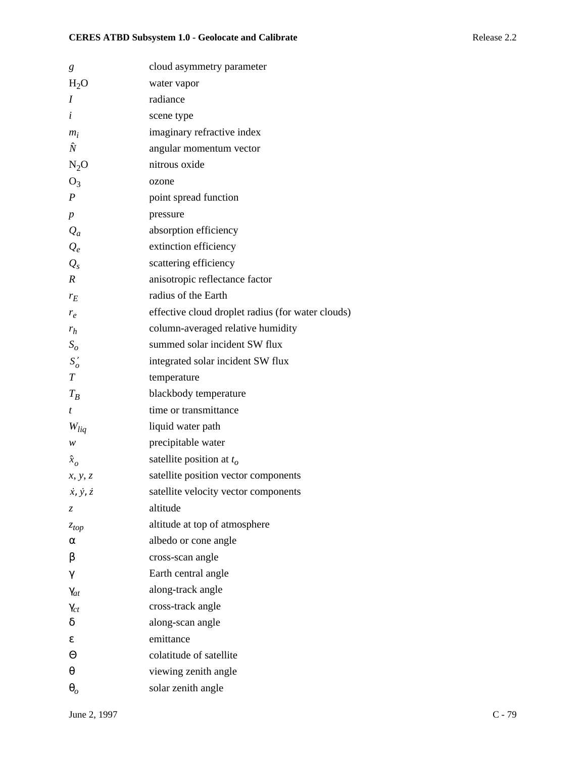| g                           | cloud asymmetry parameter                         |
|-----------------------------|---------------------------------------------------|
| $H_2O$                      | water vapor                                       |
| Ι                           | radiance                                          |
| i                           | scene type                                        |
| $m_i$                       | imaginary refractive index                        |
| Ñ                           | angular momentum vector                           |
| $N_2O$                      | nitrous oxide                                     |
| $O_3$                       | ozone                                             |
| $\boldsymbol{P}$            | point spread function                             |
| $\boldsymbol{p}$            | pressure                                          |
| $Q_a$                       | absorption efficiency                             |
| $Q_e$                       | extinction efficiency                             |
| $Q_{s}$                     | scattering efficiency                             |
| $\boldsymbol{R}$            | anisotropic reflectance factor                    |
| $r_E$                       | radius of the Earth                               |
| $r_e$                       | effective cloud droplet radius (for water clouds) |
| $r_h$                       | column-averaged relative humidity                 |
| $S_{o}$                     | summed solar incident SW flux                     |
| $S'_{o}$                    | integrated solar incident SW flux                 |
| $\overline{T}$              | temperature                                       |
| $T_R$                       | blackbody temperature                             |
| t                           | time or transmittance                             |
| $W_{liq}$                   | liquid water path                                 |
| w                           | precipitable water                                |
| $\hat{x}_o$                 | satellite position at $t_o$                       |
| x, y, z                     | satellite position vector components              |
| $\dot{x}, \dot{y}, \dot{z}$ | satellite velocity vector components              |
| $\mathcal{Z}$               | altitude                                          |
| $z_{top}$                   | altitude at top of atmosphere                     |
| α                           | albedo or cone angle                              |
| β                           | cross-scan angle                                  |
| γ                           | Earth central angle                               |
| $\gamma_{at}$               | along-track angle                                 |
| $\gamma_{ct}$               | cross-track angle                                 |
| δ                           | along-scan angle                                  |
| ε                           | emittance                                         |
| Θ                           | colatitude of satellite                           |
| $\theta$                    | viewing zenith angle                              |
| $\theta_o$                  | solar zenith angle                                |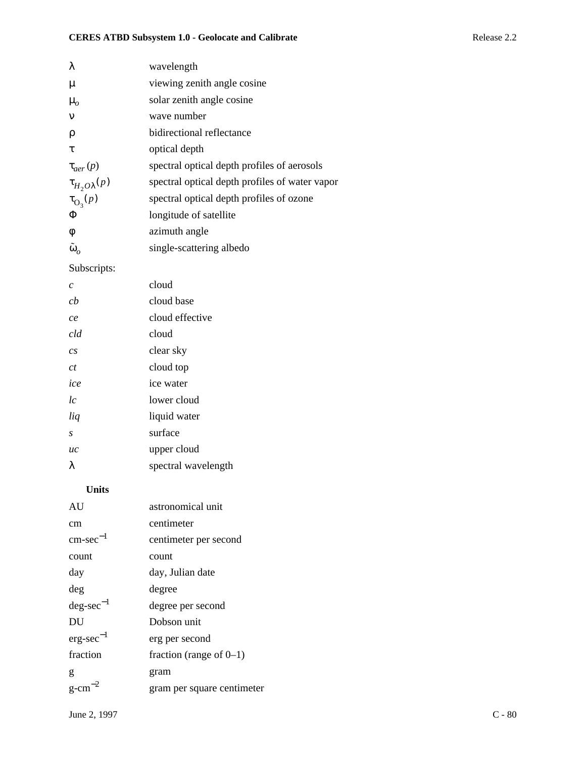| λ                       | wavelength                                     |
|-------------------------|------------------------------------------------|
| $\mu$                   | viewing zenith angle cosine                    |
| $\mu_{o}$               | solar zenith angle cosine                      |
| $\mathbf{v}$            | wave number                                    |
| ρ                       | bidirectional reflectance                      |
| τ                       | optical depth                                  |
| $\tau_{aer}(p)$         | spectral optical depth profiles of aerosols    |
| $\tau_{H_2O\lambda}(p)$ | spectral optical depth profiles of water vapor |
| $\tau_{\text{O}_3}(p)$  | spectral optical depth profiles of ozone       |
| Φ                       | longitude of satellite                         |
| φ                       | azimuth angle                                  |
| $\tilde{\omega}_o$      | single-scattering albedo                       |
|                         |                                                |

### Subscripts:

| C                | cloud               |
|------------------|---------------------|
| сh               | cloud base          |
| ce               | cloud effective     |
| cld              | cloud               |
| $\overline{c}$ s | clear sky           |
| ct               | cloud top           |
| ice              | ice water           |
| lc               | lower cloud         |
| liq              | liquid water        |
| S                | surface             |
| uc               | upper cloud         |
| λ                | spectral wavelength |

#### **Units**

| AU                    | astronomical unit          |
|-----------------------|----------------------------|
| cm                    | centimeter                 |
| $cm\text{-}sec^{-1}$  | centimeter per second      |
| count                 | count                      |
| day                   | day, Julian date           |
| deg                   | degree                     |
| $deg\text{-}sec^{-1}$ | degree per second          |
| DU                    | Dobson unit                |
| $erg\text{-}sec^{-1}$ | erg per second             |
| fraction              | fraction (range of $0-1$ ) |
| g                     | gram                       |
| $g-cm$                | gram per square centimeter |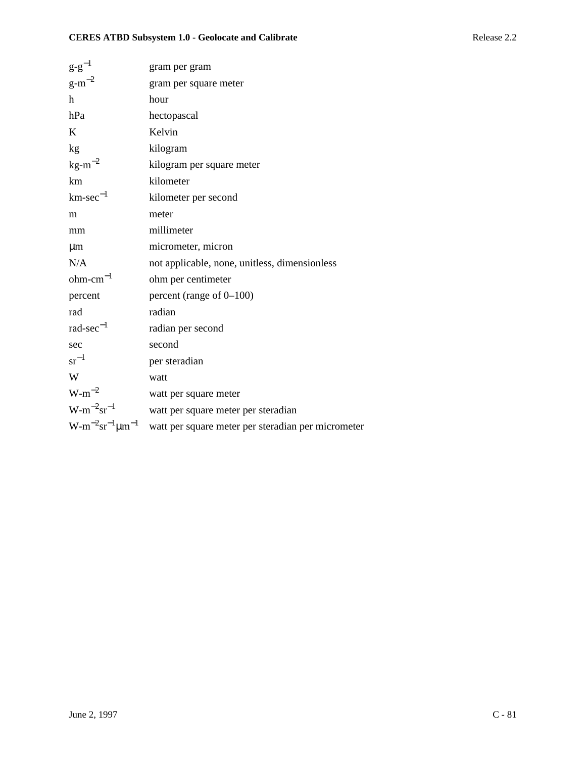| $g-g^{-1}$                  | gram per gram                                      |
|-----------------------------|----------------------------------------------------|
| $g-m^{-2}$                  | gram per square meter                              |
| h                           | hour                                               |
| hPa                         | hectopascal                                        |
| K                           | Kelvin                                             |
| kg                          | kilogram                                           |
| $kg-m^{-2}$                 | kilogram per square meter                          |
| km                          | kilometer                                          |
| $km\text{-}sec^{-1}$        | kilometer per second                               |
| m                           | meter                                              |
| mm                          | millimeter                                         |
| $\mu$ m                     | micrometer, micron                                 |
| N/A                         | not applicable, none, unitless, dimensionless      |
| $ohm-cm^{-1}$               | ohm per centimeter                                 |
| percent                     | percent (range of $0-100$ )                        |
| rad                         | radian                                             |
| $rad\text{-}sec^{-1}$       | radian per second                                  |
| sec                         | second                                             |
| $sr^{-1}$                   | per steradian                                      |
| W                           | watt                                               |
| $W-m^{-2}$                  | watt per square meter                              |
| $W-m^{-2}sr^{-1}$           | watt per square meter per steradian                |
| $W-m^{-2}sr^{-1}\mu m^{-1}$ | watt per square meter per steradian per micrometer |
|                             |                                                    |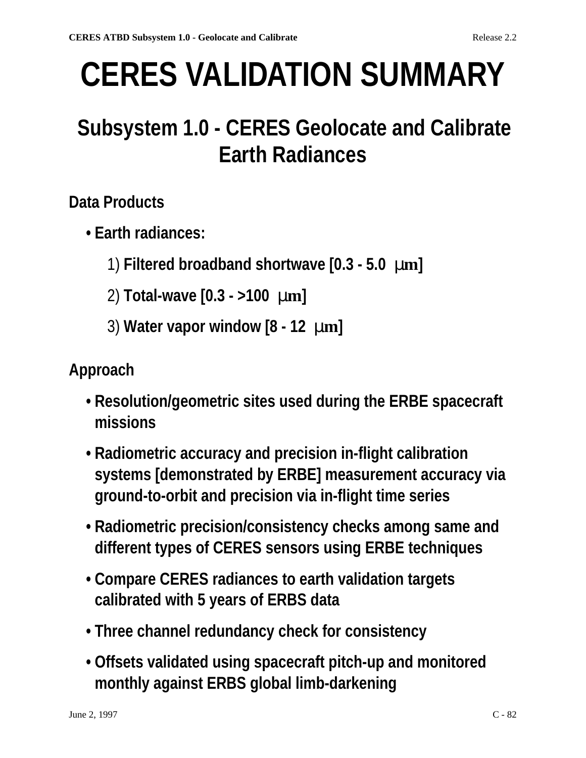# **CERES VALIDATION SUMMARY**

# **Subsystem 1.0 - CERES Geolocate and Calibrate Earth Radiances**

# **Data Products**

- **Earth radiances:**
	- 1) **Filtered broadband shortwave [0.3 5.0** µ**m]**
	- 2) **Total-wave [0.3 >100** µ**m]**
	- 3) **Water vapor window [8 12** µ**m]**

# **Approach**

- **Resolution/geometric sites used during the ERBE spacecraft missions**
- **Radiometric accuracy and precision in-flight calibration systems [demonstrated by ERBE] measurement accuracy via ground-to-orbit and precision via in-flight time series**
- **Radiometric precision/consistency checks among same and different types of CERES sensors using ERBE techniques**
- **Compare CERES radiances to earth validation targets calibrated with 5 years of ERBS data**
- **Three channel redundancy check for consistency**
- **Offsets validated using spacecraft pitch-up and monitored monthly against ERBS global limb-darkening**